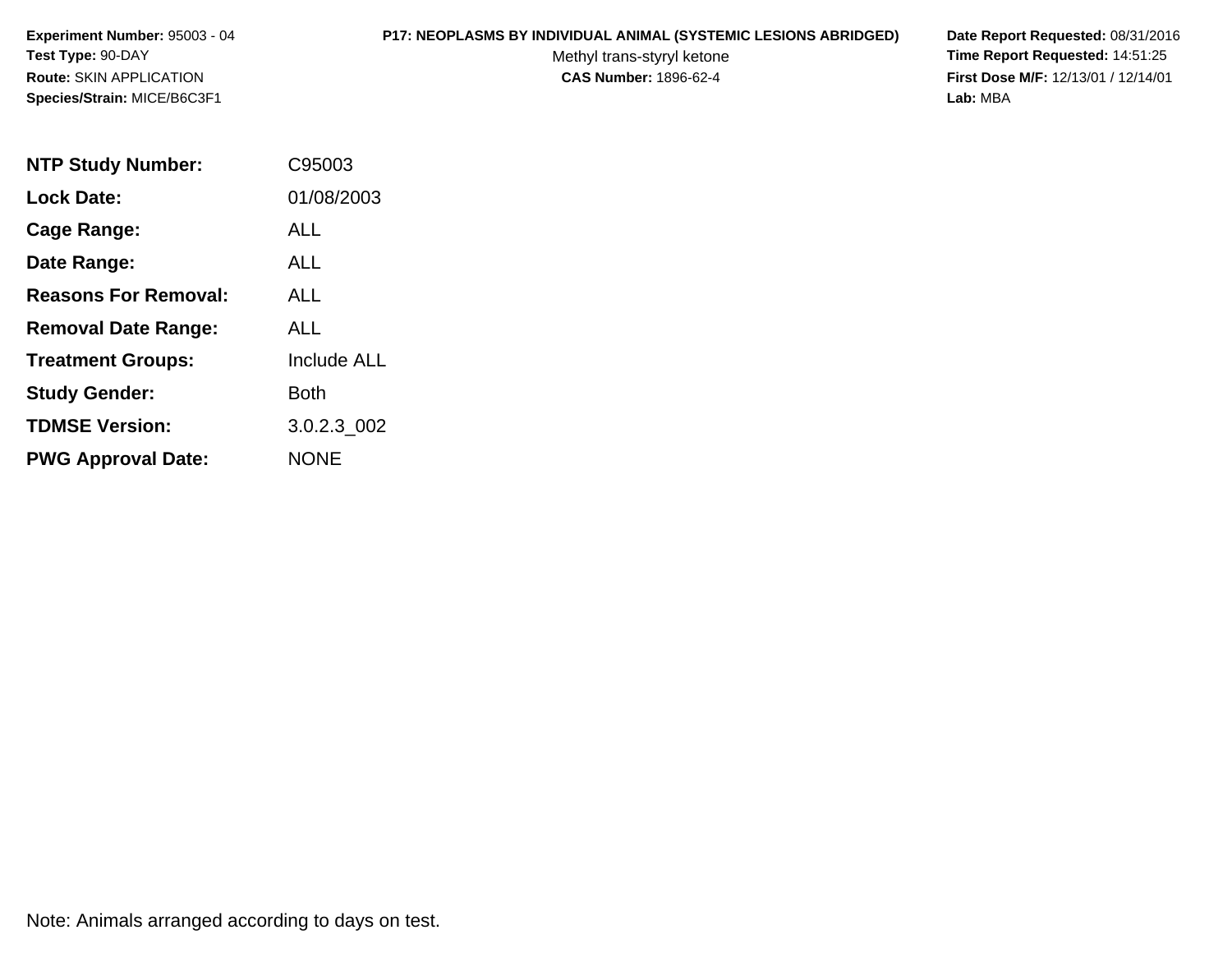#### **P17: NEOPLASMS BY INDIVIDUAL ANIMAL (SYSTEMIC LESIONS ABRIDGED) Date Report Requested:** 08/31/2016

Methyl trans-styryl ketone<br>CAS Number: 1896-62-4

 **Time Report Requested:** 14:51:25 **First Dose M/F:** 12/13/01 / 12/14/01<br>Lab: MBA **Lab:** MBA

| <b>NTP Study Number:</b>    | C95003             |
|-----------------------------|--------------------|
| <b>Lock Date:</b>           | 01/08/2003         |
| Cage Range:                 | ALL                |
| Date Range:                 | AI I               |
| <b>Reasons For Removal:</b> | ALL                |
| <b>Removal Date Range:</b>  | ALL                |
| <b>Treatment Groups:</b>    | <b>Include ALL</b> |
| <b>Study Gender:</b>        | Both               |
| <b>TDMSE Version:</b>       | 3.0.2.3 002        |
| <b>PWG Approval Date:</b>   | <b>NONE</b>        |

Note: Animals arranged according to days on test.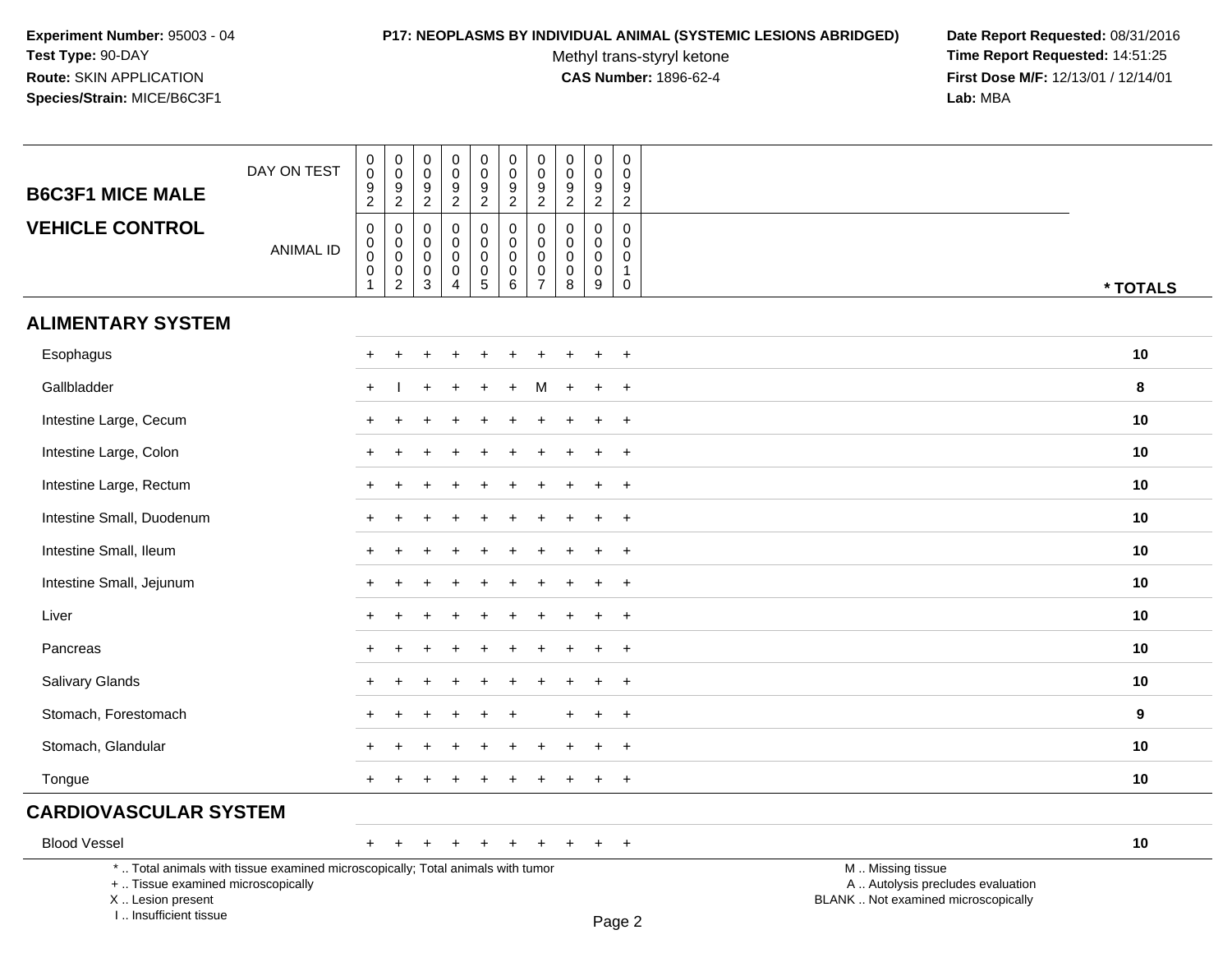#### **P17: NEOPLASMS BY INDIVIDUAL ANIMAL (SYSTEMIC LESIONS ABRIDGED) Date Report Requested:** 08/31/2016

Methyl trans-styryl ketone<br>CAS Number: 1896-62-4

 **Time Report Requested:** 14:51:25 **First Dose M/F:** 12/13/01 / 12/14/01<br>Lab: MBA **Lab:** MBA

| <b>B6C3F1 MICE MALE</b>                                                                                                                   | DAY ON TEST      | $\pmb{0}$<br>$\pmb{0}$<br>$\boldsymbol{9}$<br>$\overline{2}$ | $\pmb{0}$<br>$\ddot{\mathbf{0}}$<br>9<br>$\overline{2}$            | 0<br>$\mathbf 0$<br>9<br>$\overline{2}$                | $\pmb{0}$<br>$\mathbf 0$<br>$\boldsymbol{9}$<br>$\overline{2}$ | $\pmb{0}$<br>$\ddot{\mathbf{0}}$<br>$\frac{9}{2}$              | $\mathsf{O}$<br>$\overline{0}$<br>$9\,$<br>$\overline{2}$ | $\pmb{0}$<br>$\overline{0}$<br>$\boldsymbol{9}$<br>$\overline{2}$ | $\mathbf 0$<br>$\mathbf 0$<br>9<br>$\sqrt{2}$               | $\pmb{0}$<br>$\mathbf 0$<br>$\boldsymbol{9}$<br>$\overline{2}$ | $\pmb{0}$<br>$\mathbf 0$<br>9<br>$\overline{2}$                          |                                                                                               |  |
|-------------------------------------------------------------------------------------------------------------------------------------------|------------------|--------------------------------------------------------------|--------------------------------------------------------------------|--------------------------------------------------------|----------------------------------------------------------------|----------------------------------------------------------------|-----------------------------------------------------------|-------------------------------------------------------------------|-------------------------------------------------------------|----------------------------------------------------------------|--------------------------------------------------------------------------|-----------------------------------------------------------------------------------------------|--|
| <b>VEHICLE CONTROL</b>                                                                                                                    | <b>ANIMAL ID</b> | $\mathsf 0$<br>$\pmb{0}$<br>$\mathsf 0$<br>$\pmb{0}$<br>1    | $\mathbf 0$<br>$\mathbf 0$<br>$\ddot{\mathbf{0}}$<br>$\frac{0}{2}$ | $\mathbf 0$<br>0<br>$\mathbf 0$<br>0<br>$\mathfrak{S}$ | $\mathbf 0$<br>$\mathbf 0$<br>0<br>$\pmb{0}$<br>$\overline{4}$ | 0<br>$\mathsf 0$<br>0<br>$\begin{array}{c} 0 \\ 5 \end{array}$ | 0<br>$\overline{0}$<br>0<br>$\mathsf 0$<br>$\overline{6}$ | $\mathbf 0$<br>$\mathbf 0$<br>$\mathbf 0$<br>$\frac{0}{7}$        | $\mathbf 0$<br>$\mathbf 0$<br>$\mathbf 0$<br>$\pmb{0}$<br>8 | $\mathbf 0$<br>$\mathbf 0$<br>$\mathbf 0$<br>$\mathbf 0$<br>9  | $\mathbf 0$<br>$\mathbf 0$<br>$\mathbf 0$<br>$\mathbf{1}$<br>$\mathbf 0$ |                                                                                               |  |
| <b>ALIMENTARY SYSTEM</b>                                                                                                                  |                  |                                                              |                                                                    |                                                        |                                                                |                                                                |                                                           |                                                                   |                                                             |                                                                |                                                                          | * TOTALS                                                                                      |  |
| Esophagus                                                                                                                                 |                  |                                                              |                                                                    |                                                        |                                                                |                                                                |                                                           |                                                                   |                                                             |                                                                | $\ddot{}$                                                                | 10                                                                                            |  |
| Gallbladder                                                                                                                               |                  |                                                              |                                                                    |                                                        |                                                                |                                                                |                                                           |                                                                   |                                                             |                                                                | $\overline{1}$                                                           | 8                                                                                             |  |
| Intestine Large, Cecum                                                                                                                    |                  | $\ddot{}$                                                    |                                                                    |                                                        |                                                                |                                                                |                                                           |                                                                   |                                                             |                                                                | $\ddot{}$                                                                | 10                                                                                            |  |
|                                                                                                                                           |                  |                                                              |                                                                    |                                                        |                                                                |                                                                |                                                           |                                                                   |                                                             |                                                                |                                                                          |                                                                                               |  |
| Intestine Large, Colon                                                                                                                    |                  | $\pm$                                                        |                                                                    |                                                        |                                                                |                                                                |                                                           |                                                                   |                                                             |                                                                | $\overline{ }$                                                           | 10                                                                                            |  |
| Intestine Large, Rectum                                                                                                                   |                  | $\pm$                                                        |                                                                    |                                                        |                                                                |                                                                |                                                           |                                                                   |                                                             |                                                                | $\ddot{}$                                                                | 10                                                                                            |  |
| Intestine Small, Duodenum                                                                                                                 |                  | $\pm$                                                        |                                                                    |                                                        |                                                                |                                                                |                                                           |                                                                   |                                                             |                                                                | $\ddot{}$                                                                | 10                                                                                            |  |
| Intestine Small, Ileum                                                                                                                    |                  |                                                              |                                                                    |                                                        |                                                                |                                                                |                                                           |                                                                   |                                                             |                                                                | $\overline{ }$                                                           | 10                                                                                            |  |
| Intestine Small, Jejunum                                                                                                                  |                  |                                                              |                                                                    |                                                        |                                                                |                                                                |                                                           |                                                                   |                                                             |                                                                | $\ddot{}$                                                                | 10                                                                                            |  |
| Liver                                                                                                                                     |                  | $+$                                                          |                                                                    |                                                        |                                                                |                                                                |                                                           |                                                                   |                                                             |                                                                | $+$                                                                      | 10                                                                                            |  |
| Pancreas                                                                                                                                  |                  | $\pm$                                                        |                                                                    |                                                        |                                                                |                                                                |                                                           |                                                                   |                                                             |                                                                | $^{+}$                                                                   | 10                                                                                            |  |
| Salivary Glands                                                                                                                           |                  |                                                              |                                                                    |                                                        |                                                                |                                                                |                                                           |                                                                   |                                                             |                                                                | $\ddot{}$                                                                | 10                                                                                            |  |
| Stomach, Forestomach                                                                                                                      |                  |                                                              |                                                                    |                                                        |                                                                |                                                                |                                                           |                                                                   |                                                             |                                                                | $\ddot{}$                                                                | 9                                                                                             |  |
| Stomach, Glandular                                                                                                                        |                  |                                                              |                                                                    |                                                        |                                                                |                                                                |                                                           |                                                                   |                                                             |                                                                | $\ddot{}$                                                                | 10                                                                                            |  |
| Tongue                                                                                                                                    |                  | $+$                                                          | $\pm$                                                              | $\pm$                                                  | $\pm$                                                          | $\pm$                                                          | $\pm$                                                     | $\pm$                                                             | $+$                                                         | $+$                                                            | $+$                                                                      | 10                                                                                            |  |
| <b>CARDIOVASCULAR SYSTEM</b>                                                                                                              |                  |                                                              |                                                                    |                                                        |                                                                |                                                                |                                                           |                                                                   |                                                             |                                                                |                                                                          |                                                                                               |  |
| <b>Blood Vessel</b>                                                                                                                       |                  | $+$                                                          | $\overline{+}$                                                     | $\ddot{}$                                              | $\ddot{}$                                                      | $\ddot{}$                                                      | $\ddot{}$                                                 | $+$                                                               | $+$                                                         | $+$                                                            | $+$                                                                      | 10                                                                                            |  |
| *  Total animals with tissue examined microscopically; Total animals with tumor<br>+  Tissue examined microscopically<br>X Lesion present |                  |                                                              |                                                                    |                                                        |                                                                |                                                                |                                                           |                                                                   |                                                             |                                                                |                                                                          | M  Missing tissue<br>A  Autolysis precludes evaluation<br>BLANK  Not examined microscopically |  |

I .. Insufficient tissue

Page 2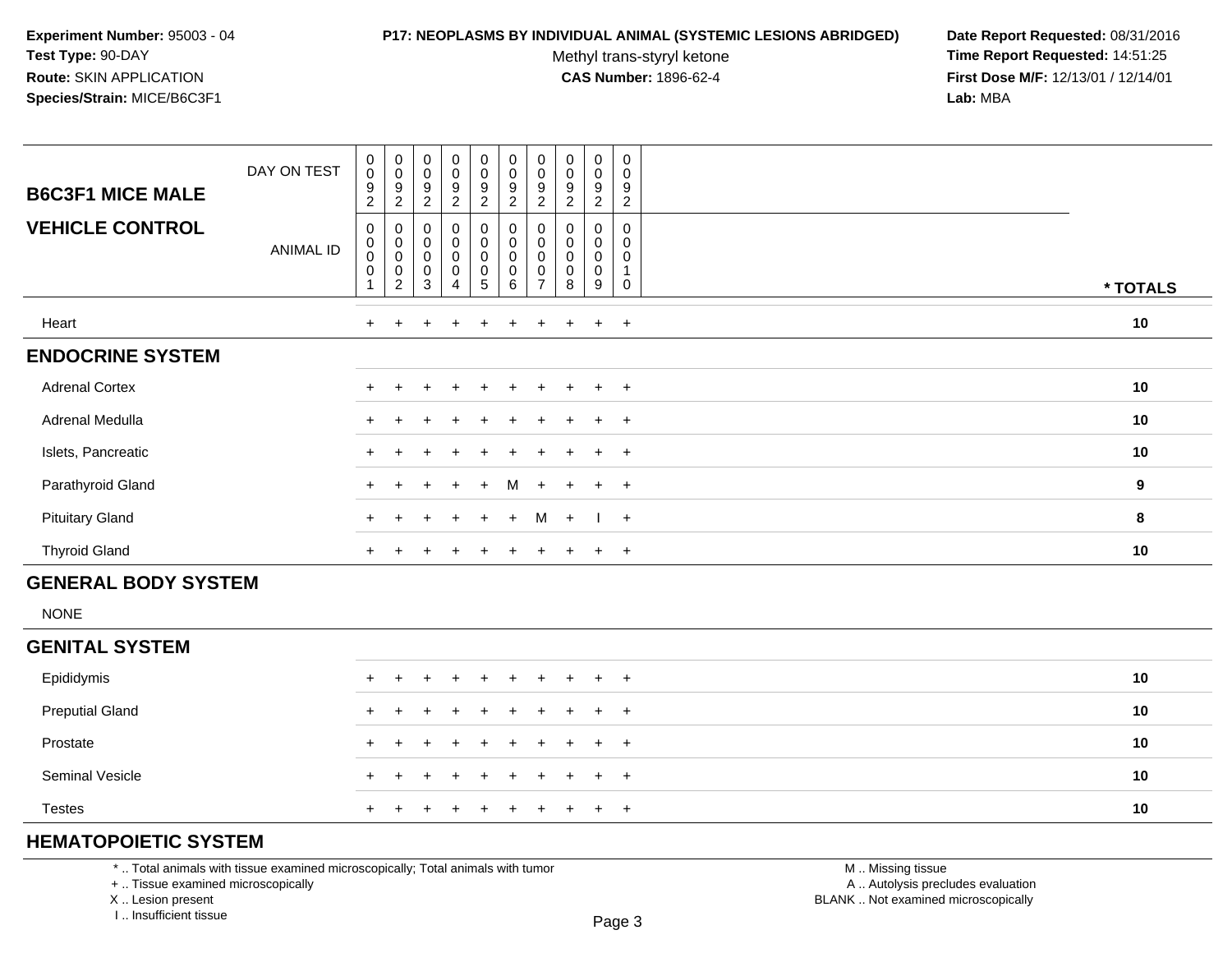#### **P17: NEOPLASMS BY INDIVIDUAL ANIMAL (SYSTEMIC LESIONS ABRIDGED) Date Report Requested:** 08/31/2016

Methyl trans-styryl ketone<br>CAS Number: 1896-62-4

 **Time Report Requested:** 14:51:25 **First Dose M/F:** 12/13/01 / 12/14/01<br>**Lab:** MBA **Lab:** MBA

| <b>B6C3F1 MICE MALE</b><br><b>VEHICLE CONTROL</b> | DAY ON TEST<br>ANIMAL ID | $\begin{smallmatrix} 0\\0 \end{smallmatrix}$<br>$\boldsymbol{9}$<br>$\overline{c}$<br>0<br>$\overline{0}$<br>0<br>$\pmb{0}$ | $_{\rm 0}^{\rm 0}$<br>9<br>$\overline{c}$<br>0<br>$\begin{smallmatrix}0\0\0\end{smallmatrix}$<br>0 | $_{\rm 0}^{\rm 0}$<br>9<br>2<br>0<br>$\pmb{0}$<br>$\mathbf 0$<br>$\boldsymbol{0}$ | $_0^0$<br>9<br>$\overline{c}$<br>0<br>$\mathsf 0$<br>$\bar{0}$<br>0 | $_{\rm 0}^{\rm 0}$<br>$\boldsymbol{9}$<br>$\overline{c}$<br>$\pmb{0}$<br>$\begin{matrix} 0 \\ 0 \end{matrix}$<br>$\pmb{0}$ | $_{\rm 0}^{\rm 0}$<br>$\boldsymbol{9}$<br>$\overline{c}$<br>0<br>$\pmb{0}$<br>$\overline{0}$<br>$\pmb{0}$ | $\pmb{0}$<br>$\pmb{0}$<br>9<br>$\overline{c}$<br>0<br>0<br>0 | $\pmb{0}$<br>$\mathbf 0$<br>9<br>2<br>0<br>0<br>$\mathbf 0$<br>0 | $\mathbf 0$<br>0<br>9<br>$\overline{c}$<br>0<br>0<br>0<br>0 | $\pmb{0}$<br>$\pmb{0}$<br>$\boldsymbol{9}$<br>$\overline{2}$<br>0<br>0<br>0 |          |
|---------------------------------------------------|--------------------------|-----------------------------------------------------------------------------------------------------------------------------|----------------------------------------------------------------------------------------------------|-----------------------------------------------------------------------------------|---------------------------------------------------------------------|----------------------------------------------------------------------------------------------------------------------------|-----------------------------------------------------------------------------------------------------------|--------------------------------------------------------------|------------------------------------------------------------------|-------------------------------------------------------------|-----------------------------------------------------------------------------|----------|
|                                                   |                          |                                                                                                                             | $\overline{c}$                                                                                     | 3                                                                                 | 4                                                                   | 5                                                                                                                          | $\,6\,$                                                                                                   | $\overline{ }$                                               | 8                                                                | 9                                                           | 0                                                                           | * TOTALS |
| Heart                                             |                          | $+$                                                                                                                         | $\pm$                                                                                              |                                                                                   | $\div$                                                              | $\pm$                                                                                                                      |                                                                                                           | $\ddot{}$                                                    |                                                                  | $+$                                                         | $+$                                                                         | 10       |
| <b>ENDOCRINE SYSTEM</b>                           |                          |                                                                                                                             |                                                                                                    |                                                                                   |                                                                     |                                                                                                                            |                                                                                                           |                                                              |                                                                  |                                                             |                                                                             |          |
| <b>Adrenal Cortex</b>                             |                          |                                                                                                                             |                                                                                                    | $\div$                                                                            | $\ddot{}$                                                           | $+$                                                                                                                        | $+$                                                                                                       | $+$                                                          | $+$                                                              | $+$                                                         | $+$                                                                         | 10       |
| Adrenal Medulla                                   |                          |                                                                                                                             |                                                                                                    |                                                                                   |                                                                     | $+$                                                                                                                        | $+$                                                                                                       | ÷                                                            | $\pm$                                                            | $+$                                                         | $+$                                                                         | 10       |
| Islets, Pancreatic                                |                          |                                                                                                                             |                                                                                                    |                                                                                   |                                                                     | ÷.                                                                                                                         |                                                                                                           |                                                              |                                                                  | $+$                                                         | $+$                                                                         | 10       |
| Parathyroid Gland                                 |                          | $+$                                                                                                                         |                                                                                                    | ÷                                                                                 | $\ddot{}$                                                           | $+$                                                                                                                        | М                                                                                                         | $+$                                                          | $+$                                                              | $+$                                                         | $+$                                                                         | 9        |
| <b>Pituitary Gland</b>                            |                          | $+$                                                                                                                         | $\div$                                                                                             | $+$                                                                               | $+$                                                                 | $+$                                                                                                                        | $+$                                                                                                       | M                                                            | $+$                                                              | $\frac{1}{2}$                                               |                                                                             | 8        |
| <b>Thyroid Gland</b>                              |                          | $\pm$                                                                                                                       |                                                                                                    |                                                                                   |                                                                     |                                                                                                                            |                                                                                                           |                                                              |                                                                  | $\ddot{}$                                                   | $+$                                                                         | 10       |

## **GENERAL BODY SYSTEM**

NONE

### **GENITAL SYSTEM**

| Epididymis             |  | + + + + + + + + + + |  |  |  |  | 10 |
|------------------------|--|---------------------|--|--|--|--|----|
| <b>Preputial Gland</b> |  | + + + + + + + + + + |  |  |  |  | 10 |
| Prostate               |  | + + + + + + + + + + |  |  |  |  | 10 |
| <b>Seminal Vesicle</b> |  | + + + + + + + + + + |  |  |  |  | 10 |
| <b>Testes</b>          |  | + + + + + + + + + + |  |  |  |  | 10 |

# **HEMATOPOIETIC SYSTEM**

\* .. Total animals with tissue examined microscopically; Total animals with tumor

+ .. Tissue examined microscopically

X .. Lesion present

I .. Insufficient tissue

 M .. Missing tissuey the contract of the contract of the contract of the contract of the contract of  $\mathsf A$  . Autolysis precludes evaluation Lesion present BLANK .. Not examined microscopically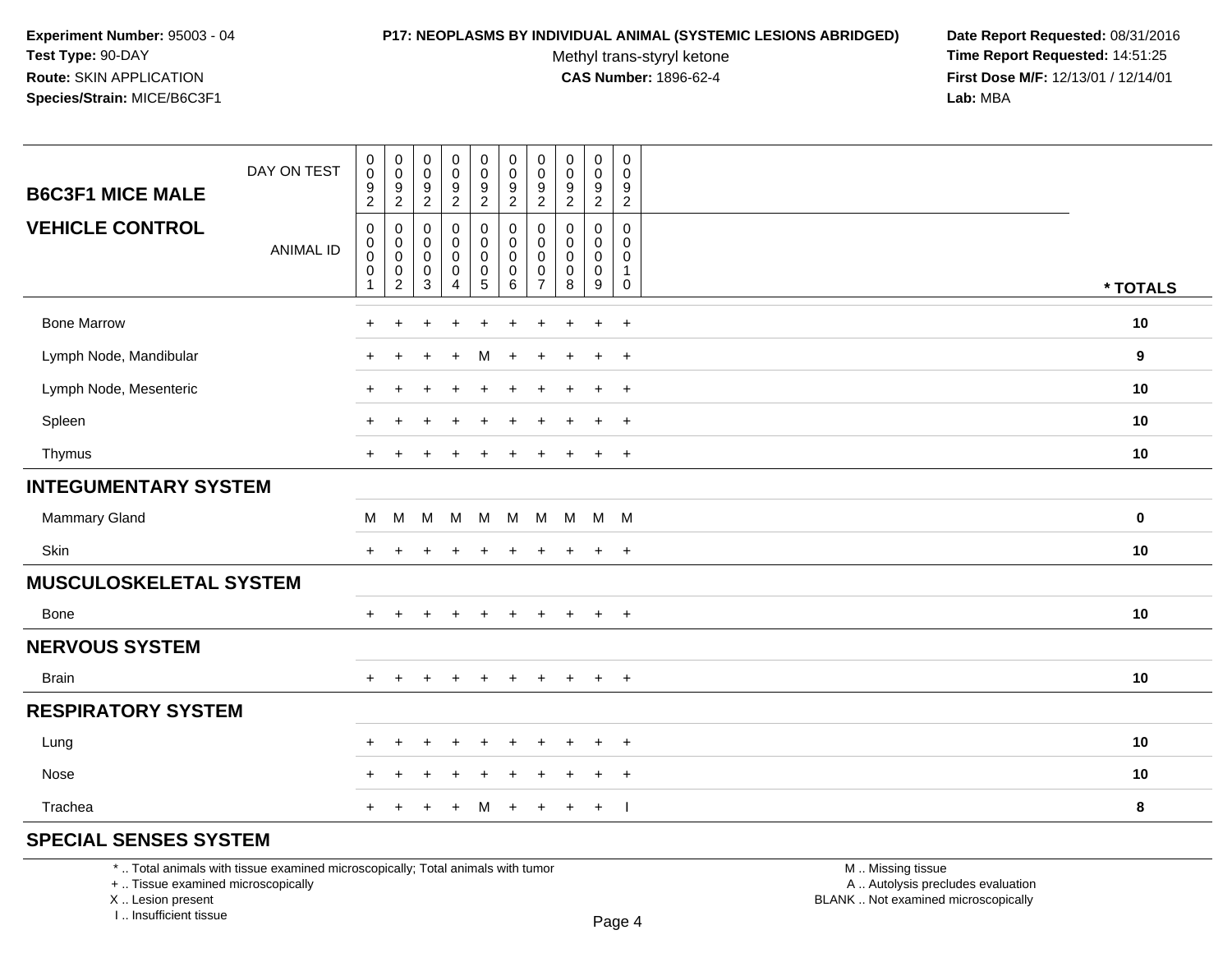#### **P17: NEOPLASMS BY INDIVIDUAL ANIMAL (SYSTEMIC LESIONS ABRIDGED) Date Report Requested:** 08/31/2016

Methyl trans-styryl ketone<br>CAS Number: 1896-62-4

 **Time Report Requested:** 14:51:25 **First Dose M/F:** 12/13/01 / 12/14/01<br>**Lab:** MBA **Lab:** MBA

| <b>B6C3F1 MICE MALE</b>     | DAY ON TEST      | $\pmb{0}$<br>$\pmb{0}$<br>9<br>$\sqrt{2}$                                  | $\mathbf 0$<br>$\mathbf 0$<br>$\boldsymbol{9}$                                         | $\pmb{0}$<br>$\pmb{0}$<br>9                                       | $\pmb{0}$<br>$\mathsf{O}\xspace$<br>9                            | $\pmb{0}$<br>$\pmb{0}$<br>$\frac{9}{2}$ | $\pmb{0}$<br>$\pmb{0}$<br>$\frac{9}{2}$                            | 0<br>0<br>9                                                 | $\mathbf 0$<br>$\mathbf 0$<br>9                                    | $\pmb{0}$<br>0<br>9<br>$\overline{2}$ | $\mathbf 0$<br>$\mathbf 0$<br>9<br>$\overline{2}$          |          |
|-----------------------------|------------------|----------------------------------------------------------------------------|----------------------------------------------------------------------------------------|-------------------------------------------------------------------|------------------------------------------------------------------|-----------------------------------------|--------------------------------------------------------------------|-------------------------------------------------------------|--------------------------------------------------------------------|---------------------------------------|------------------------------------------------------------|----------|
| <b>VEHICLE CONTROL</b>      | <b>ANIMAL ID</b> | $\mathbf 0$<br>$\mathbf 0$<br>$\mathsf 0$<br>$\mathbf 0$<br>$\overline{1}$ | $\overline{2}$<br>$\pmb{0}$<br>$\mathbf 0$<br>$\pmb{0}$<br>$\pmb{0}$<br>$\overline{c}$ | $\overline{2}$<br>0<br>0<br>$\pmb{0}$<br>$\pmb{0}$<br>$\mathsf 3$ | $\overline{a}$<br>0<br>$\mathbf 0$<br>0<br>$\boldsymbol{0}$<br>4 | 0<br>0<br>$\pmb{0}$<br>$\frac{0}{5}$    | $\boldsymbol{0}$<br>$\pmb{0}$<br>$\pmb{0}$<br>$\pmb{0}$<br>$\,6\,$ | $\overline{2}$<br>0<br>$\Omega$<br>0<br>0<br>$\overline{7}$ | $\overline{2}$<br>0<br>$\Omega$<br>$\mathbf 0$<br>$\mathbf 0$<br>8 | 0<br>0<br>0<br>$\pmb{0}$<br>9         | $\mathbf 0$<br>$\Omega$<br>$\Omega$<br>$\overline{1}$<br>0 | * TOTALS |
| <b>Bone Marrow</b>          |                  | ٠                                                                          |                                                                                        |                                                                   |                                                                  |                                         |                                                                    |                                                             |                                                                    | $\ddot{}$                             | $\ddot{}$                                                  | 10       |
| Lymph Node, Mandibular      |                  | ÷                                                                          | $\ddot{}$                                                                              |                                                                   | $\ddot{}$                                                        | м                                       | $\ddot{}$                                                          | $\pm$                                                       | ٠                                                                  | $\ddot{}$                             | $+$                                                        | 9        |
| Lymph Node, Mesenteric      |                  | $\ddot{}$                                                                  |                                                                                        |                                                                   |                                                                  | $\ddot{}$                               |                                                                    |                                                             |                                                                    | $\ddot{}$                             | $+$                                                        | 10       |
| Spleen                      |                  |                                                                            |                                                                                        |                                                                   |                                                                  |                                         |                                                                    |                                                             |                                                                    | $\div$                                | $\overline{+}$                                             | 10       |
| Thymus                      |                  | $\pm$                                                                      |                                                                                        |                                                                   | $\pm$                                                            | $\pm$                                   | $\div$                                                             | $\pm$                                                       |                                                                    | $\overline{+}$                        | $+$                                                        | 10       |
| <b>INTEGUMENTARY SYSTEM</b> |                  |                                                                            |                                                                                        |                                                                   |                                                                  |                                         |                                                                    |                                                             |                                                                    |                                       |                                                            |          |
| <b>Mammary Gland</b>        |                  | м                                                                          | M                                                                                      | M                                                                 | M                                                                | M                                       |                                                                    | M M                                                         | M M M                                                              |                                       |                                                            | 0        |
| Skin                        |                  | $\ddot{}$                                                                  |                                                                                        |                                                                   |                                                                  |                                         |                                                                    |                                                             |                                                                    | $\div$                                | $\overline{+}$                                             | 10       |
| MUSCULOSKELETAL SYSTEM      |                  |                                                                            |                                                                                        |                                                                   |                                                                  |                                         |                                                                    |                                                             |                                                                    |                                       |                                                            |          |
| Bone                        |                  | $+$                                                                        | $\ddot{}$                                                                              |                                                                   | $\ddot{}$                                                        | $\ddot{}$                               | $\pm$                                                              | $+$                                                         | $\pm$                                                              | $\ddot{}$                             | $+$                                                        | 10       |
| <b>NERVOUS SYSTEM</b>       |                  |                                                                            |                                                                                        |                                                                   |                                                                  |                                         |                                                                    |                                                             |                                                                    |                                       |                                                            |          |
| <b>Brain</b>                |                  | $+$                                                                        | $\ddot{}$                                                                              | +                                                                 | $\ddot{}$                                                        | $\ddot{}$                               | $+$                                                                | $+$                                                         | $\ddot{}$                                                          | $\ddot{}$                             | $+$                                                        | 10       |
| <b>RESPIRATORY SYSTEM</b>   |                  |                                                                            |                                                                                        |                                                                   |                                                                  |                                         |                                                                    |                                                             |                                                                    |                                       |                                                            |          |
| Lung                        |                  | $\div$                                                                     | $\div$                                                                                 |                                                                   | $\div$                                                           | $\ddot{}$                               | $\div$                                                             | ÷                                                           |                                                                    | $\ddot{}$                             | $+$                                                        | 10       |
| Nose                        |                  |                                                                            |                                                                                        |                                                                   |                                                                  |                                         |                                                                    |                                                             |                                                                    | $\ddot{}$                             | $+$                                                        | 10       |
| Trachea                     |                  | $\pm$                                                                      |                                                                                        |                                                                   | $\ddot{}$                                                        | M                                       | $\ddot{}$                                                          | $\ddot{}$                                                   | $\ddot{}$                                                          | $\ddot{}$                             | - 1                                                        | 8        |
| COFOIAL OFNOFO OVOTEM       |                  |                                                                            |                                                                                        |                                                                   |                                                                  |                                         |                                                                    |                                                             |                                                                    |                                       |                                                            |          |

## **SPECIAL SENSES SYSTEM**

\* .. Total animals with tissue examined microscopically; Total animals with tumor

+ .. Tissue examined microscopically

X .. Lesion present

I .. Insufficient tissue

 M .. Missing tissuey the contract of the contract of the contract of the contract of the contract of  $\mathsf A$  . Autolysis precludes evaluation Lesion present BLANK .. Not examined microscopically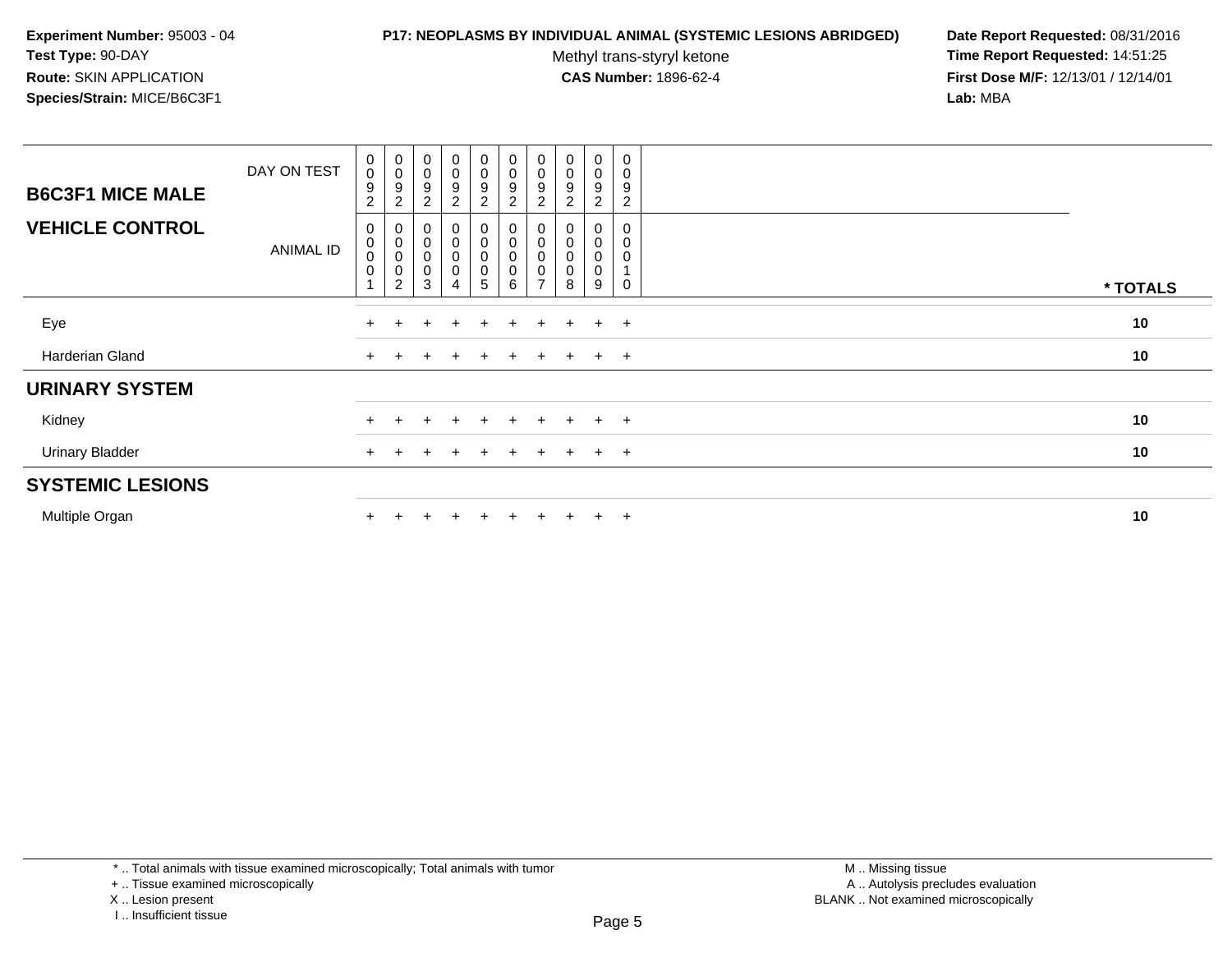#### **P17: NEOPLASMS BY INDIVIDUAL ANIMAL (SYSTEMIC LESIONS ABRIDGED) Date Report Requested:** 08/31/2016

Methyl trans-styryl ketone<br>CAS Number: 1896-62-4

| <b>B6C3F1 MICE MALE</b> | DAY ON TEST | 0<br>$\mathbf 0$<br>$\boldsymbol{9}$<br>$\overline{c}$                 | $_{\rm 0}^{\rm 0}$<br>9<br>$\overline{2}$                  | $\begin{smallmatrix}0\\0\end{smallmatrix}$<br>9<br>$\overline{c}$ | $_{\rm 0}^{\rm 0}$<br>$\boldsymbol{9}$<br>$\overline{c}$  | 0<br>0<br>9<br>$\overline{c}$ | $_{\rm 0}^{\rm 0}$<br>$\boldsymbol{9}$<br>$\boldsymbol{2}$ | $\begin{smallmatrix} 0\\0 \end{smallmatrix}$<br>9<br>$\overline{c}$ | $\begin{smallmatrix}0\\0\end{smallmatrix}$<br>9 | $\begin{smallmatrix}0\0\0\end{smallmatrix}$<br>9<br>$\overline{2}$ | 0<br>0<br>9<br>$\overline{c}$ |          |
|-------------------------|-------------|------------------------------------------------------------------------|------------------------------------------------------------|-------------------------------------------------------------------|-----------------------------------------------------------|-------------------------------|------------------------------------------------------------|---------------------------------------------------------------------|-------------------------------------------------|--------------------------------------------------------------------|-------------------------------|----------|
| <b>VEHICLE CONTROL</b>  | ANIMAL ID   | $\pmb{0}$<br>$\pmb{0}$<br>$\mathbf 0$<br>$\mathbf 0$<br>$\overline{1}$ | 0<br>$\pmb{0}$<br>$\,0\,$<br>$\mathbf 0$<br>$\overline{2}$ | 0<br>$\pmb{0}$<br>$\pmb{0}$<br>$\pmb{0}$<br>3                     | $\mathbf 0$<br>$\pmb{0}$<br>$\pmb{0}$<br>$\mathbf 0$<br>4 | 0<br>0<br>0<br>0<br>5         | 0<br>$\begin{matrix} 0 \\ 0 \\ 0 \end{matrix}$<br>$\,6\,$  | 0<br>$\pmb{0}$<br>$\mathsf 0$<br>$\mathbf 0$<br>$\overline{ }$      | $\mathbf 0$<br>$\mathbf 0$<br>$\mathbf 0$<br>8  | 0<br>0<br>$\pmb{0}$<br>0<br>9                                      | 0<br>0<br>0<br>0              | * TOTALS |
| Eye                     |             |                                                                        |                                                            |                                                                   |                                                           | $\pm$                         |                                                            |                                                                     |                                                 | $+$                                                                | $+$                           | 10       |
| Harderian Gland         |             |                                                                        |                                                            |                                                                   |                                                           |                               |                                                            | $\pm$                                                               |                                                 | $+$                                                                | $+$                           | 10       |
| <b>URINARY SYSTEM</b>   |             |                                                                        |                                                            |                                                                   |                                                           |                               |                                                            |                                                                     |                                                 |                                                                    |                               |          |
| Kidney                  |             |                                                                        |                                                            |                                                                   |                                                           | $\div$                        |                                                            |                                                                     |                                                 | $+$                                                                | $+$                           | 10       |
| <b>Urinary Bladder</b>  |             | $+$                                                                    |                                                            |                                                                   | $\pm$                                                     | $+$                           | $+$                                                        | $\ddot{}$                                                           | $+$                                             | $+$ $+$                                                            |                               | 10       |
| <b>SYSTEMIC LESIONS</b> |             |                                                                        |                                                            |                                                                   |                                                           |                               |                                                            |                                                                     |                                                 |                                                                    |                               |          |
| Multiple Organ          |             |                                                                        |                                                            |                                                                   |                                                           | ÷                             | $\pm$                                                      |                                                                     |                                                 | $+$                                                                | $+$                           | 10       |

<sup>+ ..</sup> Tissue examined microscopically

X .. Lesion present

I .. Insufficient tissue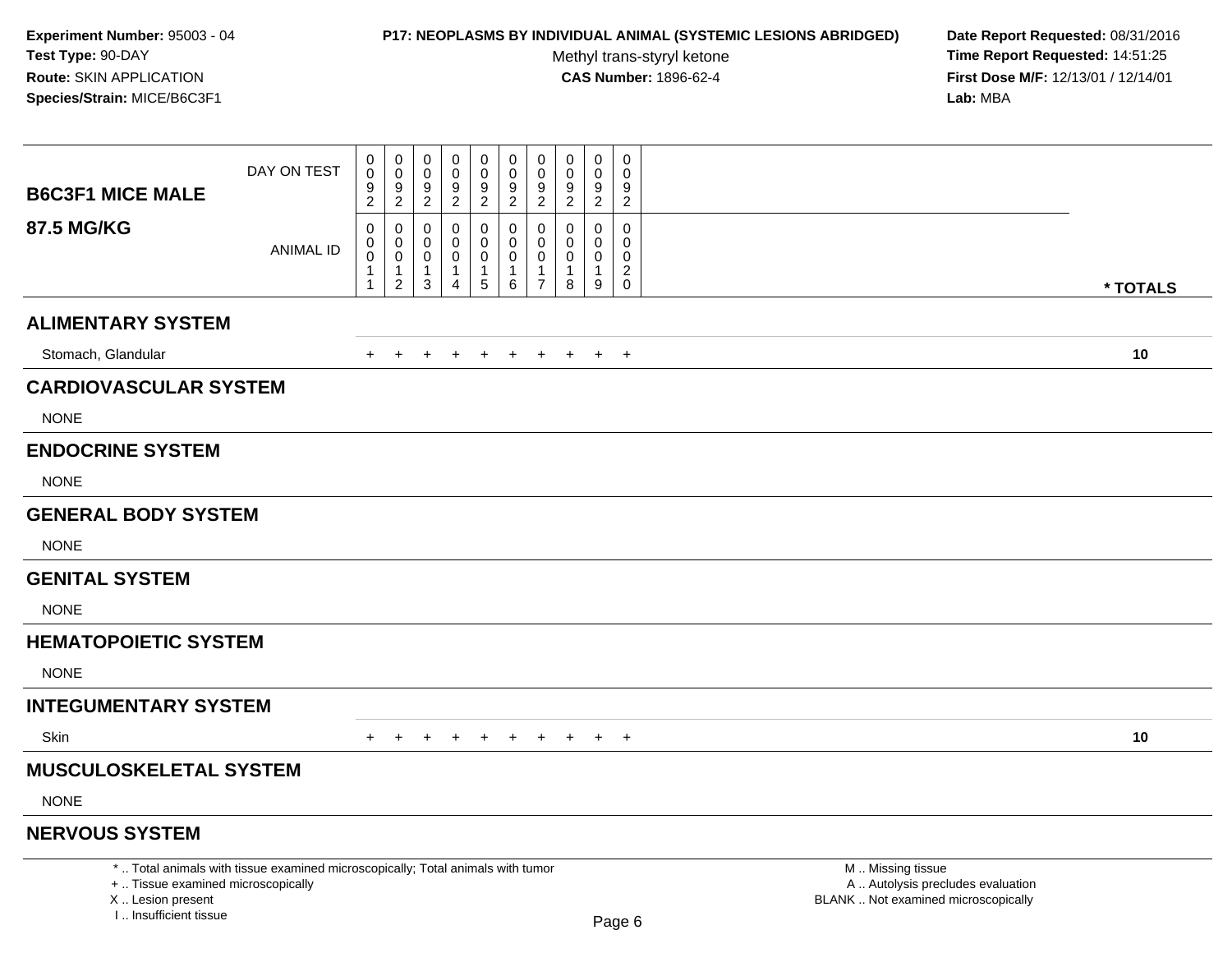### **P17: NEOPLASMS BY INDIVIDUAL ANIMAL (SYSTEMIC LESIONS ABRIDGED) Date Report Requested:** 08/31/2016

Methyl trans-styryl ketone<br>CAS Number: 1896-62-4

|                                                                                  | DAY ON TEST                                                                     | 0<br>$\pmb{0}$                                  | $\pmb{0}$<br>$\mathbf 0$                              | 0<br>$\mathbf 0$       | $\mathbf 0$<br>$\mathsf 0$                    | $\mathbf 0$<br>$\pmb{0}$           | $\pmb{0}$<br>$\mathbf 0$               | 0<br>$\Omega$                   | 0<br>$\mathbf 0$                         | $\mathbf 0$<br>$\mathbf 0$ | 0<br>$\Omega$                                |                                                                                               |          |
|----------------------------------------------------------------------------------|---------------------------------------------------------------------------------|-------------------------------------------------|-------------------------------------------------------|------------------------|-----------------------------------------------|------------------------------------|----------------------------------------|---------------------------------|------------------------------------------|----------------------------|----------------------------------------------|-----------------------------------------------------------------------------------------------|----------|
| <b>B6C3F1 MICE MALE</b>                                                          |                                                                                 | $\frac{9}{2}$                                   | $\frac{9}{2}$                                         | 9<br>$\overline{c}$    | $\frac{9}{2}$                                 | $\boldsymbol{9}$<br>$\overline{2}$ | $\frac{9}{2}$                          | 9<br>$\overline{c}$             | $\frac{9}{2}$                            | 9<br>$\overline{2}$        | 9<br>$\overline{2}$                          |                                                                                               |          |
| <b>87.5 MG/KG</b>                                                                | <b>ANIMAL ID</b>                                                                | 0<br>0                                          | $\mathbf 0$<br>$\pmb{0}$                              | $\mathbf 0$<br>0       | $\mathbf 0$<br>$\mathbf 0$                    | 0<br>0                             | $\mathbf 0$<br>$\mathbf 0$             | $\Omega$<br>0                   | $\Omega$<br>$\mathbf 0$                  | $\Omega$<br>$\Omega$       | $\mathbf 0$<br>$\mathbf 0$                   |                                                                                               |          |
|                                                                                  |                                                                                 | $\mathbf 0$<br>$\overline{1}$<br>$\overline{1}$ | $\mathsf{O}\xspace$<br>$\mathbf{1}$<br>$\overline{2}$ | 0<br>$\mathbf{1}$<br>3 | $\mathbf 0$<br>$\mathbf{1}$<br>$\overline{4}$ | 0<br>$\mathbf{1}$<br>$\sqrt{5}$    | $\mathbf 0$<br>$\mathbf{1}$<br>$\,6\,$ | $\Omega$<br>1<br>$\overline{7}$ | $\mathsf{O}\xspace$<br>$\mathbf{1}$<br>8 | 0<br>$\mathbf{1}$<br>9     | $\mathbf 0$<br>$\overline{2}$<br>$\mathbf 0$ |                                                                                               | * TOTALS |
| <b>ALIMENTARY SYSTEM</b>                                                         |                                                                                 |                                                 |                                                       |                        |                                               |                                    |                                        |                                 |                                          |                            |                                              |                                                                                               |          |
| Stomach, Glandular                                                               |                                                                                 | $+$                                             | $+$                                                   | $+$                    | $+$                                           | $+$                                | $+$                                    | $+$                             | $+$                                      | $+$                        | $+$                                          |                                                                                               | 10       |
| <b>CARDIOVASCULAR SYSTEM</b>                                                     |                                                                                 |                                                 |                                                       |                        |                                               |                                    |                                        |                                 |                                          |                            |                                              |                                                                                               |          |
| <b>NONE</b>                                                                      |                                                                                 |                                                 |                                                       |                        |                                               |                                    |                                        |                                 |                                          |                            |                                              |                                                                                               |          |
| <b>ENDOCRINE SYSTEM</b>                                                          |                                                                                 |                                                 |                                                       |                        |                                               |                                    |                                        |                                 |                                          |                            |                                              |                                                                                               |          |
| <b>NONE</b>                                                                      |                                                                                 |                                                 |                                                       |                        |                                               |                                    |                                        |                                 |                                          |                            |                                              |                                                                                               |          |
| <b>GENERAL BODY SYSTEM</b>                                                       |                                                                                 |                                                 |                                                       |                        |                                               |                                    |                                        |                                 |                                          |                            |                                              |                                                                                               |          |
| <b>NONE</b>                                                                      |                                                                                 |                                                 |                                                       |                        |                                               |                                    |                                        |                                 |                                          |                            |                                              |                                                                                               |          |
| <b>GENITAL SYSTEM</b>                                                            |                                                                                 |                                                 |                                                       |                        |                                               |                                    |                                        |                                 |                                          |                            |                                              |                                                                                               |          |
| <b>NONE</b>                                                                      |                                                                                 |                                                 |                                                       |                        |                                               |                                    |                                        |                                 |                                          |                            |                                              |                                                                                               |          |
| <b>HEMATOPOIETIC SYSTEM</b>                                                      |                                                                                 |                                                 |                                                       |                        |                                               |                                    |                                        |                                 |                                          |                            |                                              |                                                                                               |          |
| <b>NONE</b>                                                                      |                                                                                 |                                                 |                                                       |                        |                                               |                                    |                                        |                                 |                                          |                            |                                              |                                                                                               |          |
| <b>INTEGUMENTARY SYSTEM</b>                                                      |                                                                                 |                                                 |                                                       |                        |                                               |                                    |                                        |                                 |                                          |                            |                                              |                                                                                               |          |
| Skin                                                                             |                                                                                 | $+$                                             | $\div$                                                | ÷                      | $\div$                                        | $+$                                | $\pm$                                  | $\pm$                           | $\pm$                                    | $+$                        | $+$                                          |                                                                                               | 10       |
| <b>MUSCULOSKELETAL SYSTEM</b>                                                    |                                                                                 |                                                 |                                                       |                        |                                               |                                    |                                        |                                 |                                          |                            |                                              |                                                                                               |          |
| <b>NONE</b>                                                                      |                                                                                 |                                                 |                                                       |                        |                                               |                                    |                                        |                                 |                                          |                            |                                              |                                                                                               |          |
| <b>NERVOUS SYSTEM</b>                                                            |                                                                                 |                                                 |                                                       |                        |                                               |                                    |                                        |                                 |                                          |                            |                                              |                                                                                               |          |
| +  Tissue examined microscopically<br>X  Lesion present<br>I Insufficient tissue | *  Total animals with tissue examined microscopically; Total animals with tumor |                                                 |                                                       |                        |                                               |                                    |                                        |                                 |                                          |                            | Page 6                                       | M  Missing tissue<br>A  Autolysis precludes evaluation<br>BLANK  Not examined microscopically |          |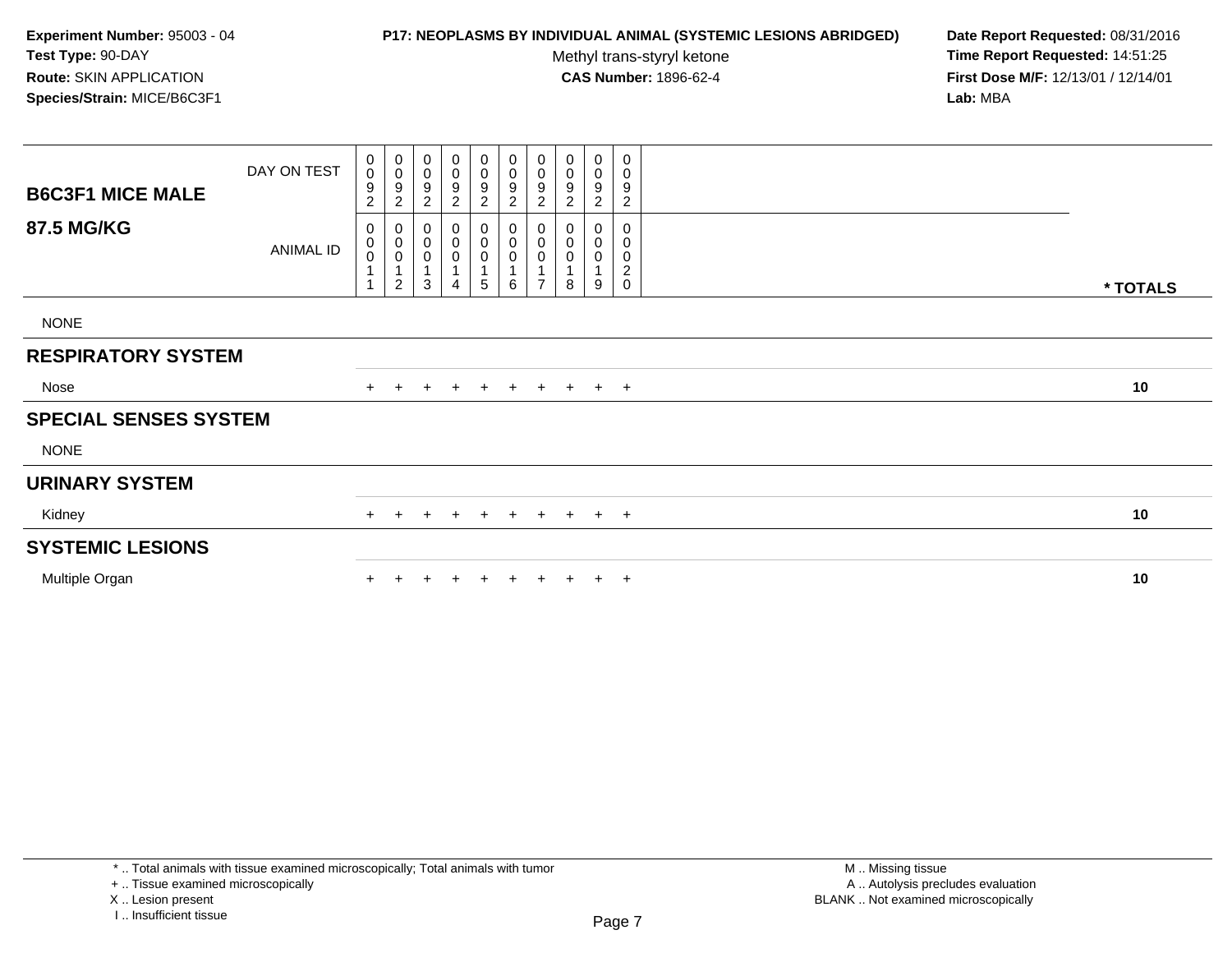### **P17: NEOPLASMS BY INDIVIDUAL ANIMAL (SYSTEMIC LESIONS ABRIDGED) Date Report Requested:** 08/31/2016

Methyl trans-styryl ketone<br>CAS Number: 1896-62-4

 **Time Report Requested:** 14:51:25 **First Dose M/F:** 12/13/01 / 12/14/01<br>**Lab:** MBA **Lab:** MBA

| <b>B6C3F1 MICE MALE</b>      | DAY ON TEST | $_0^0$<br>9<br>$\boldsymbol{2}$ | $\begin{matrix} 0 \\ 0 \\ 9 \end{matrix}$<br>$\overline{c}$                   | $\pmb{0}$<br>$\pmb{0}$<br>9<br>$\overline{c}$        | $\pmb{0}$<br>$\boldsymbol{0}$<br>9<br>$\overline{c}$ | 0<br>0<br>$\boldsymbol{9}$<br>$\overline{c}$ | 0<br>$\pmb{0}$<br>$\boldsymbol{9}$<br>$\overline{c}$                         | 0<br>$\pmb{0}$<br>$\boldsymbol{9}$<br>$\overline{c}$                        | $\pmb{0}$<br>$\pmb{0}$<br>$\boldsymbol{9}$<br>$\boldsymbol{2}$                   | $\pmb{0}$<br>$\pmb{0}$<br>$\boldsymbol{9}$<br>$\overline{c}$                    | 0<br>0<br>9<br>$\overline{c}$                  |          |
|------------------------------|-------------|---------------------------------|-------------------------------------------------------------------------------|------------------------------------------------------|------------------------------------------------------|----------------------------------------------|------------------------------------------------------------------------------|-----------------------------------------------------------------------------|----------------------------------------------------------------------------------|---------------------------------------------------------------------------------|------------------------------------------------|----------|
| 87.5 MG/KG                   | ANIMAL ID   | 0<br>0<br>0                     | $\begin{smallmatrix}0\\0\\0\end{smallmatrix}$<br>$\overline{1}$<br>$\sqrt{2}$ | $_{\rm 0}^{\rm 0}$<br>$\pmb{0}$<br>$\mathbf{1}$<br>3 | 0<br>$\pmb{0}$<br>$\boldsymbol{0}$<br>4              | $_0^0$<br>0<br>5                             | $\begin{smallmatrix}0\\0\end{smallmatrix}$<br>$\pmb{0}$<br>$\mathbf{1}$<br>6 | $\begin{smallmatrix}0\\0\end{smallmatrix}$<br>$\mathbf 0$<br>$\overline{ }$ | $\begin{smallmatrix} 0\\0 \end{smallmatrix}$<br>$\pmb{0}$<br>$\overline{1}$<br>8 | $\begin{smallmatrix}0\0\0\end{smallmatrix}$<br>$\mathbf 0$<br>$\mathbf{1}$<br>9 | 0<br>0<br>0<br>$\boldsymbol{2}$<br>$\mathbf 0$ | * TOTALS |
| <b>NONE</b>                  |             |                                 |                                                                               |                                                      |                                                      |                                              |                                                                              |                                                                             |                                                                                  |                                                                                 |                                                |          |
| <b>RESPIRATORY SYSTEM</b>    |             |                                 |                                                                               |                                                      |                                                      |                                              |                                                                              |                                                                             |                                                                                  |                                                                                 |                                                |          |
| Nose                         |             | $+$                             | $+$                                                                           | $+$                                                  | $+$                                                  |                                              |                                                                              |                                                                             | + + + + + +                                                                      |                                                                                 |                                                | 10       |
| <b>SPECIAL SENSES SYSTEM</b> |             |                                 |                                                                               |                                                      |                                                      |                                              |                                                                              |                                                                             |                                                                                  |                                                                                 |                                                |          |
| <b>NONE</b>                  |             |                                 |                                                                               |                                                      |                                                      |                                              |                                                                              |                                                                             |                                                                                  |                                                                                 |                                                |          |
| <b>URINARY SYSTEM</b>        |             |                                 |                                                                               |                                                      |                                                      |                                              |                                                                              |                                                                             |                                                                                  |                                                                                 |                                                |          |
| Kidney                       |             | $+$                             |                                                                               |                                                      | $+$                                                  | $\pm$                                        | $+$                                                                          | $+$                                                                         |                                                                                  | $+$ $+$ $+$                                                                     |                                                | 10       |
| <b>SYSTEMIC LESIONS</b>      |             |                                 |                                                                               |                                                      |                                                      |                                              |                                                                              |                                                                             |                                                                                  |                                                                                 |                                                |          |
| Multiple Organ               |             |                                 |                                                                               |                                                      |                                                      |                                              | $+$                                                                          | $+$                                                                         |                                                                                  | $+$                                                                             | $+$                                            | 10       |

+ .. Tissue examined microscopically

X .. Lesion present

I .. Insufficient tissue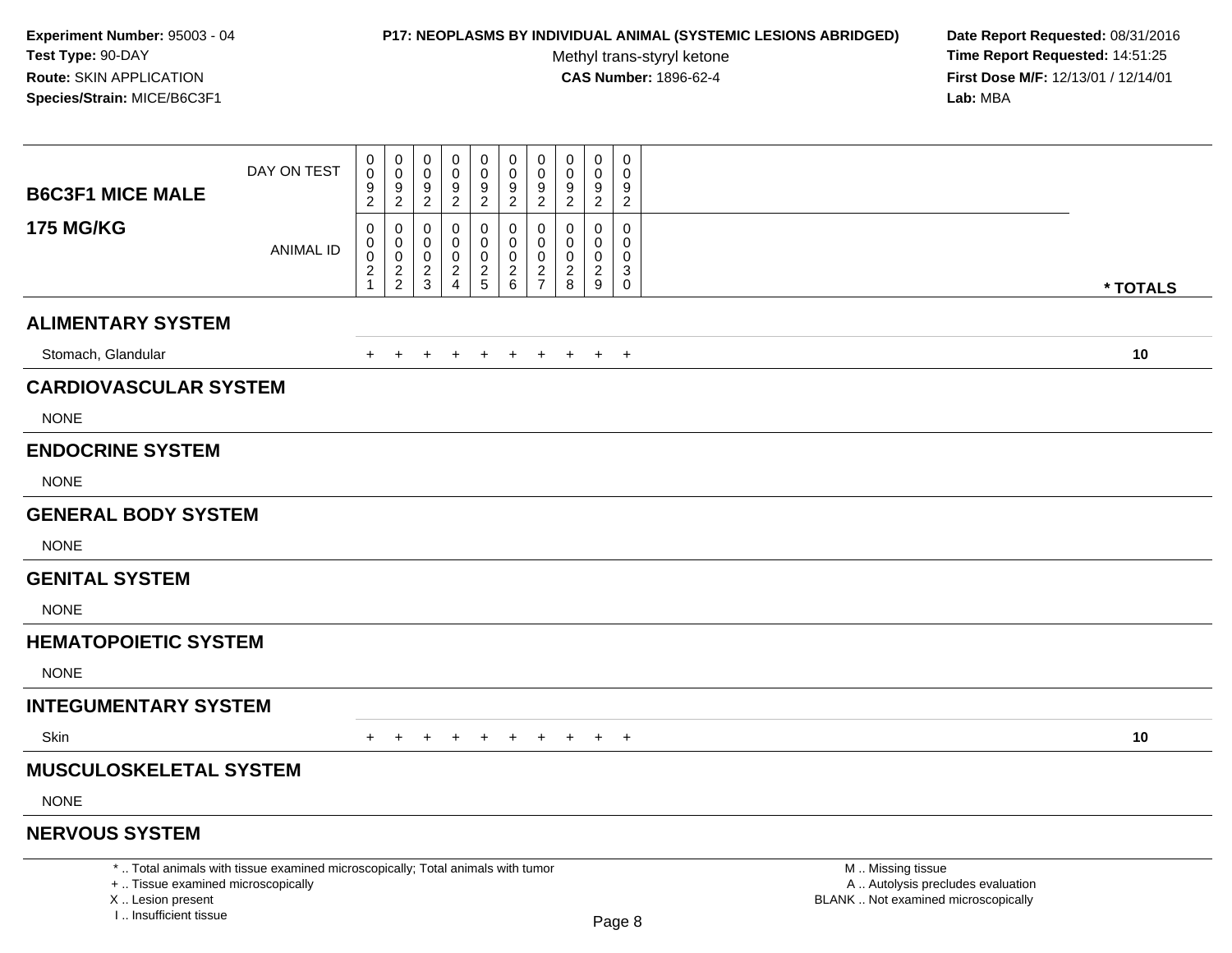### **P17: NEOPLASMS BY INDIVIDUAL ANIMAL (SYSTEMIC LESIONS ABRIDGED) Date Report Requested:** 08/31/2016

Methyl trans-styryl ketone<br>CAS Number: 1896-62-4

| <b>B6C3F1 MICE MALE</b>                                                            | DAY ON TEST                                                                     | 0<br>$\mathsf{O}\xspace$<br>9 | $\pmb{0}$<br>$\pmb{0}$<br>$\boldsymbol{9}$ | 0<br>$\mathbf 0$<br>9 | $\mathbf 0$<br>$\mathsf{O}\xspace$      | $\pmb{0}$<br>$\pmb{0}$<br>9   | $\pmb{0}$<br>$\mathbf 0$<br>$\boldsymbol{9}$ | 0<br>$\mathbf 0$<br>9            | $\pmb{0}$<br>$\pmb{0}$<br>9  | $\mathbf 0$<br>$\mathbf 0$<br>9  | $\pmb{0}$<br>$\mathbf 0$<br>9 |                                                                                               |          |
|------------------------------------------------------------------------------------|---------------------------------------------------------------------------------|-------------------------------|--------------------------------------------|-----------------------|-----------------------------------------|-------------------------------|----------------------------------------------|----------------------------------|------------------------------|----------------------------------|-------------------------------|-----------------------------------------------------------------------------------------------|----------|
|                                                                                    |                                                                                 | $\overline{c}$                | $\overline{2}$                             | $\overline{c}$        | $\frac{9}{2}$                           | $\overline{a}$                | $\overline{2}$                               | $\overline{2}$                   | $\overline{2}$               | $\overline{2}$                   | $\overline{c}$                |                                                                                               |          |
| <b>175 MG/KG</b>                                                                   | <b>ANIMAL ID</b>                                                                | 0<br>0<br>$\boldsymbol{0}$    | $\mathbf 0$<br>$\mathbf 0$<br>$\mathbf 0$  | $\mathbf 0$<br>0<br>0 | $\mathbf 0$<br>$\mathbf 0$<br>$\pmb{0}$ | 0<br>$\mathbf 0$<br>$\pmb{0}$ | $\pmb{0}$<br>$\mathbf 0$<br>$\mathbf 0$      | $\Omega$<br>$\Omega$<br>$\Omega$ | $\Omega$<br>0<br>$\mathbf 0$ | $\Omega$<br>$\Omega$<br>$\Omega$ | $\mathsf{O}\xspace$<br>0<br>0 |                                                                                               |          |
|                                                                                    |                                                                                 | $\frac{2}{1}$                 | $\frac{2}{2}$                              | $\frac{2}{3}$         | $\frac{2}{4}$                           | $rac{2}{5}$                   | $\begin{array}{c} 2 \\ 6 \end{array}$        | $\frac{2}{7}$                    | $^{\,2}_{\,8}$               | $\frac{2}{9}$                    | $_{\rm 0}^3$                  |                                                                                               | * TOTALS |
| <b>ALIMENTARY SYSTEM</b>                                                           |                                                                                 |                               |                                            |                       |                                         |                               |                                              |                                  |                              |                                  |                               |                                                                                               |          |
| Stomach, Glandular                                                                 |                                                                                 | $+$                           | $+$                                        | $+$                   | $+$                                     | $+$                           | $+$                                          | $+$                              | $+$                          | $+$                              | $+$                           |                                                                                               | 10       |
| <b>CARDIOVASCULAR SYSTEM</b>                                                       |                                                                                 |                               |                                            |                       |                                         |                               |                                              |                                  |                              |                                  |                               |                                                                                               |          |
| <b>NONE</b>                                                                        |                                                                                 |                               |                                            |                       |                                         |                               |                                              |                                  |                              |                                  |                               |                                                                                               |          |
| <b>ENDOCRINE SYSTEM</b>                                                            |                                                                                 |                               |                                            |                       |                                         |                               |                                              |                                  |                              |                                  |                               |                                                                                               |          |
| <b>NONE</b>                                                                        |                                                                                 |                               |                                            |                       |                                         |                               |                                              |                                  |                              |                                  |                               |                                                                                               |          |
| <b>GENERAL BODY SYSTEM</b>                                                         |                                                                                 |                               |                                            |                       |                                         |                               |                                              |                                  |                              |                                  |                               |                                                                                               |          |
| <b>NONE</b>                                                                        |                                                                                 |                               |                                            |                       |                                         |                               |                                              |                                  |                              |                                  |                               |                                                                                               |          |
| <b>GENITAL SYSTEM</b>                                                              |                                                                                 |                               |                                            |                       |                                         |                               |                                              |                                  |                              |                                  |                               |                                                                                               |          |
| <b>NONE</b>                                                                        |                                                                                 |                               |                                            |                       |                                         |                               |                                              |                                  |                              |                                  |                               |                                                                                               |          |
| <b>HEMATOPOIETIC SYSTEM</b>                                                        |                                                                                 |                               |                                            |                       |                                         |                               |                                              |                                  |                              |                                  |                               |                                                                                               |          |
| <b>NONE</b>                                                                        |                                                                                 |                               |                                            |                       |                                         |                               |                                              |                                  |                              |                                  |                               |                                                                                               |          |
| <b>INTEGUMENTARY SYSTEM</b>                                                        |                                                                                 |                               |                                            |                       |                                         |                               |                                              |                                  |                              |                                  |                               |                                                                                               |          |
| <b>Skin</b>                                                                        |                                                                                 | $+$                           | $+$                                        | $+$                   | $+$                                     | $+$                           | $+$                                          |                                  |                              | + + + +                          |                               |                                                                                               | 10       |
| <b>MUSCULOSKELETAL SYSTEM</b>                                                      |                                                                                 |                               |                                            |                       |                                         |                               |                                              |                                  |                              |                                  |                               |                                                                                               |          |
| <b>NONE</b>                                                                        |                                                                                 |                               |                                            |                       |                                         |                               |                                              |                                  |                              |                                  |                               |                                                                                               |          |
| <b>NERVOUS SYSTEM</b>                                                              |                                                                                 |                               |                                            |                       |                                         |                               |                                              |                                  |                              |                                  |                               |                                                                                               |          |
| +  Tissue examined microscopically<br>X  Lesion present<br>I., Insufficient tissue | *  Total animals with tissue examined microscopically; Total animals with tumor |                               |                                            |                       |                                         |                               |                                              |                                  |                              |                                  | Page 8                        | M  Missing tissue<br>A  Autolysis precludes evaluation<br>BLANK  Not examined microscopically |          |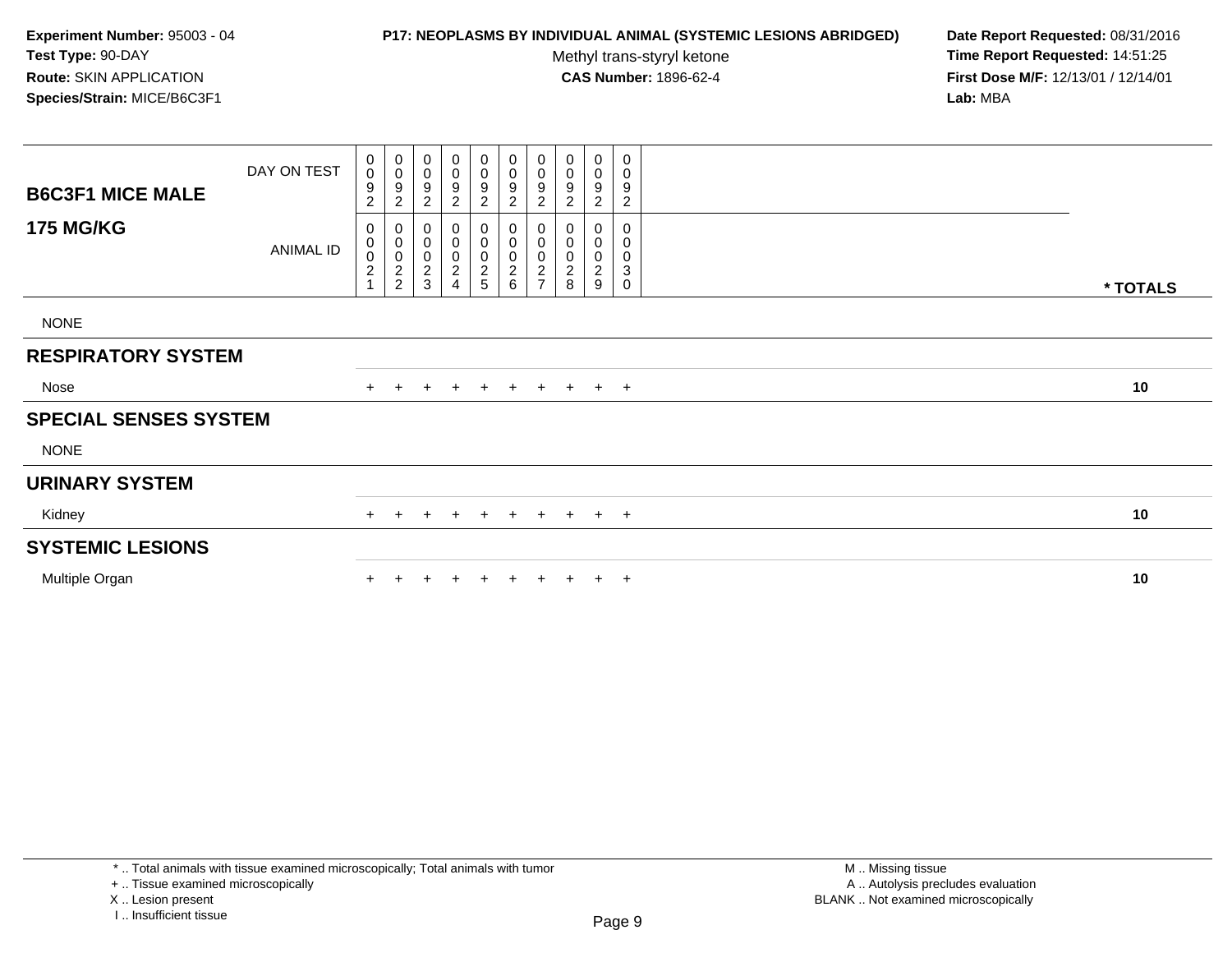### **P17: NEOPLASMS BY INDIVIDUAL ANIMAL (SYSTEMIC LESIONS ABRIDGED) Date Report Requested:** 08/31/2016

Methyl trans-styryl ketone<br>CAS Number: 1896-62-4

 **Time Report Requested:** 14:51:25 **First Dose M/F:** 12/13/01 / 12/14/01<br>**Lab:** MBA **Lab:** MBA

| <b>B6C3F1 MICE MALE</b>      | DAY ON TEST      | $\begin{smallmatrix} 0\\0 \end{smallmatrix}$<br>$\boldsymbol{9}$<br>$\overline{c}$ | 0<br>$\pmb{0}$<br>$\boldsymbol{9}$<br>$\overline{c}$ | $\pmb{0}$<br>$\boldsymbol{0}$<br>9<br>$\overline{c}$ | 0<br>$\pmb{0}$<br>$\boldsymbol{9}$<br>$\overline{\mathbf{c}}$       | $_0^0$<br>$\boldsymbol{9}$<br>$\overline{c}$ | $\mathbf 0$<br>0<br>9<br>$\overline{c}$ | $\pmb{0}$<br>$\mathbf 0$<br>$\boldsymbol{9}$<br>$\overline{c}$ | 0<br>0<br>9<br>$\overline{c}$  | 0<br>0<br>9<br>2                                    | 0<br>0<br>9<br>$\overline{\mathbf{c}}$ |          |
|------------------------------|------------------|------------------------------------------------------------------------------------|------------------------------------------------------|------------------------------------------------------|---------------------------------------------------------------------|----------------------------------------------|-----------------------------------------|----------------------------------------------------------------|--------------------------------|-----------------------------------------------------|----------------------------------------|----------|
| <b>175 MG/KG</b>             | <b>ANIMAL ID</b> | 0<br>$\pmb{0}$<br>$\frac{0}{2}$                                                    | 0<br>$\begin{matrix} 0 \\ 0 \\ 2 \\ 2 \end{matrix}$  | 0<br>$\,0\,$<br>$\pmb{0}$<br>$\sqrt{2}$<br>3         | 0<br>$\pmb{0}$<br>$\begin{smallmatrix} 0\\2 \end{smallmatrix}$<br>4 | 0<br>0<br>0<br>2<br>5                        | $_{0}^{0}$<br>$\frac{0}{2}$ 6           | 000002                                                         | $\pmb{0}$<br>0<br>$_{\rm 8}^2$ | 0<br>$\boldsymbol{0}$<br>0<br>$\boldsymbol{2}$<br>9 | 0<br>0<br>0<br>3<br>$\mathbf 0$        | * TOTALS |
| <b>NONE</b>                  |                  |                                                                                    |                                                      |                                                      |                                                                     |                                              |                                         |                                                                |                                |                                                     |                                        |          |
| <b>RESPIRATORY SYSTEM</b>    |                  |                                                                                    |                                                      |                                                      |                                                                     |                                              |                                         |                                                                |                                |                                                     |                                        |          |
| Nose                         |                  |                                                                                    | $+$                                                  | $+$                                                  |                                                                     |                                              | + + + + + + +                           |                                                                |                                |                                                     |                                        | 10       |
| <b>SPECIAL SENSES SYSTEM</b> |                  |                                                                                    |                                                      |                                                      |                                                                     |                                              |                                         |                                                                |                                |                                                     |                                        |          |
| <b>NONE</b>                  |                  |                                                                                    |                                                      |                                                      |                                                                     |                                              |                                         |                                                                |                                |                                                     |                                        |          |
| <b>URINARY SYSTEM</b>        |                  |                                                                                    |                                                      |                                                      |                                                                     |                                              |                                         |                                                                |                                |                                                     |                                        |          |
| Kidney                       |                  | $+$                                                                                | $+$                                                  | $\pm$                                                | $+$                                                                 | $+$                                          | $+$                                     |                                                                | + + + +                        |                                                     |                                        | 10       |
| <b>SYSTEMIC LESIONS</b>      |                  |                                                                                    |                                                      |                                                      |                                                                     |                                              |                                         |                                                                |                                |                                                     |                                        |          |
| Multiple Organ               |                  |                                                                                    |                                                      |                                                      |                                                                     | $\pm$                                        | $+$                                     | $+$                                                            | $+$                            |                                                     | $+$ $+$                                | 10       |

\* .. Total animals with tissue examined microscopically; Total animals with tumor

+ .. Tissue examined microscopically

X .. Lesion present

I .. Insufficient tissue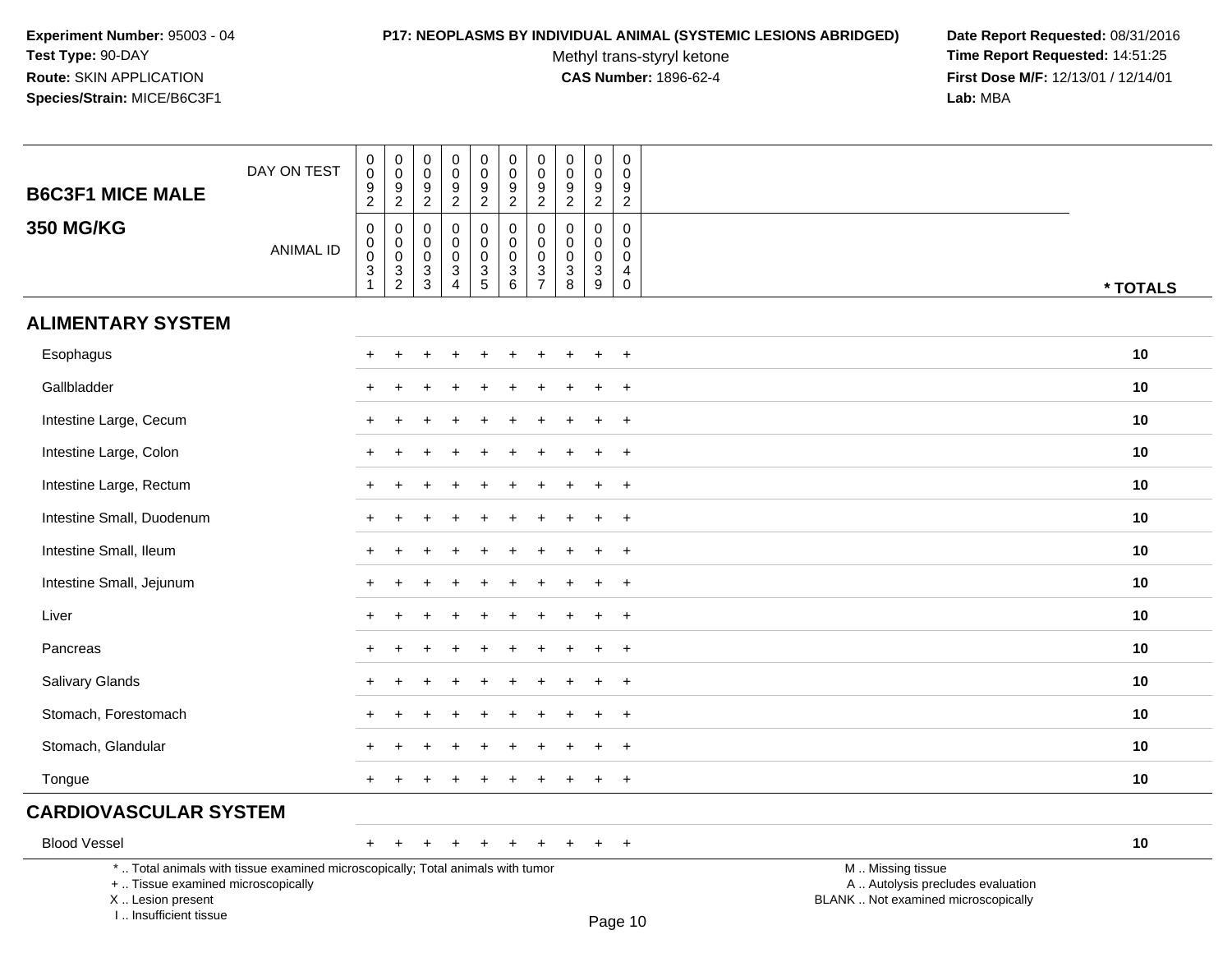I .. Insufficient tissue

#### **P17: NEOPLASMS BY INDIVIDUAL ANIMAL (SYSTEMIC LESIONS ABRIDGED) Date Report Requested:** 08/31/2016

Methyl trans-styryl ketone<br>CAS Number: 1896-62-4

 **Time Report Requested:** 14:51:25 **First Dose M/F:** 12/13/01 / 12/14/01<br>Lab: MBA **Lab:** MBA

| <b>B6C3F1 MICE MALE</b>                                                                                                                    | DAY ON TEST      | 0<br>$\mathbf 0$<br>$\frac{9}{2}$               | $\begin{array}{c} 0 \\ 0 \\ 9 \\ 2 \end{array}$             | $\pmb{0}$<br>$\mathbf 0$<br>9                                                       | $\mathbf 0$<br>$\mathbf 0$<br>9                                                                            | $\pmb{0}$<br>$\mathsf 0$<br>$\frac{9}{2}$      | $\pmb{0}$<br>$\mathbf 0$<br>9                                                       | $\pmb{0}$<br>$\pmb{0}$<br>9<br>$\overline{2}$                                        | $\pmb{0}$<br>$\mathbf 0$<br>$\frac{9}{2}$                | $\pmb{0}$<br>$\mathbf 0$<br>9                                                | $\pmb{0}$<br>$\mathbf 0$<br>$9\,$                                                       |                                                                                               |          |
|--------------------------------------------------------------------------------------------------------------------------------------------|------------------|-------------------------------------------------|-------------------------------------------------------------|-------------------------------------------------------------------------------------|------------------------------------------------------------------------------------------------------------|------------------------------------------------|-------------------------------------------------------------------------------------|--------------------------------------------------------------------------------------|----------------------------------------------------------|------------------------------------------------------------------------------|-----------------------------------------------------------------------------------------|-----------------------------------------------------------------------------------------------|----------|
| <b>350 MG/KG</b>                                                                                                                           | <b>ANIMAL ID</b> | 0<br>$\mathbf 0$<br>$\pmb{0}$<br>$\overline{3}$ | $\pmb{0}$<br>$\begin{matrix} 0 \\ 0 \\ 3 \\ 2 \end{matrix}$ | $\overline{2}$<br>$\mathbf 0$<br>$\mathbf 0$<br>0<br>$\ensuremath{\mathsf{3}}$<br>3 | $\overline{2}$<br>$\mathbf 0$<br>$\mathbf 0$<br>$\mathbf 0$<br>$\ensuremath{\mathsf{3}}$<br>$\overline{4}$ | 0<br>$\mathbf 0$<br>$\pmb{0}$<br>$\frac{3}{5}$ | $\overline{2}$<br>0<br>$\mathbf 0$<br>$\mathbf 0$<br>$\ensuremath{\mathsf{3}}$<br>6 | $\mathbf 0$<br>$\pmb{0}$<br>$\pmb{0}$<br>$\ensuremath{\mathsf{3}}$<br>$\overline{7}$ | $\mathbf 0$<br>$\mathbf 0$<br>$\pmb{0}$<br>$\frac{3}{8}$ | $\overline{2}$<br>$\mathbf 0$<br>$\mathbf 0$<br>$\pmb{0}$<br>$\sqrt{3}$<br>9 | $\overline{2}$<br>0<br>$\mathbf 0$<br>$\boldsymbol{0}$<br>$\overline{4}$<br>$\mathbf 0$ |                                                                                               | * TOTALS |
| <b>ALIMENTARY SYSTEM</b>                                                                                                                   |                  |                                                 |                                                             |                                                                                     |                                                                                                            |                                                |                                                                                     |                                                                                      |                                                          |                                                                              |                                                                                         |                                                                                               |          |
| Esophagus                                                                                                                                  |                  |                                                 |                                                             |                                                                                     |                                                                                                            |                                                |                                                                                     |                                                                                      |                                                          |                                                                              | $\overline{+}$                                                                          |                                                                                               | 10       |
| Gallbladder                                                                                                                                |                  |                                                 |                                                             |                                                                                     |                                                                                                            |                                                |                                                                                     |                                                                                      |                                                          |                                                                              | $+$                                                                                     |                                                                                               | 10       |
| Intestine Large, Cecum                                                                                                                     |                  |                                                 |                                                             |                                                                                     |                                                                                                            |                                                |                                                                                     |                                                                                      |                                                          | ÷                                                                            | $+$                                                                                     |                                                                                               | 10       |
| Intestine Large, Colon                                                                                                                     |                  |                                                 |                                                             |                                                                                     |                                                                                                            |                                                |                                                                                     |                                                                                      |                                                          |                                                                              | $\overline{+}$                                                                          |                                                                                               | 10       |
| Intestine Large, Rectum                                                                                                                    |                  |                                                 |                                                             |                                                                                     |                                                                                                            |                                                |                                                                                     |                                                                                      |                                                          |                                                                              | $\overline{+}$                                                                          |                                                                                               | 10       |
| Intestine Small, Duodenum                                                                                                                  |                  |                                                 |                                                             |                                                                                     |                                                                                                            |                                                |                                                                                     |                                                                                      |                                                          |                                                                              | $+$                                                                                     |                                                                                               | 10       |
| Intestine Small, Ileum                                                                                                                     |                  |                                                 |                                                             |                                                                                     |                                                                                                            |                                                |                                                                                     |                                                                                      |                                                          |                                                                              | $+$                                                                                     |                                                                                               | 10       |
| Intestine Small, Jejunum                                                                                                                   |                  |                                                 |                                                             |                                                                                     |                                                                                                            |                                                |                                                                                     |                                                                                      |                                                          |                                                                              | $\ddot{}$                                                                               |                                                                                               | 10       |
| Liver                                                                                                                                      |                  |                                                 |                                                             |                                                                                     |                                                                                                            |                                                |                                                                                     |                                                                                      |                                                          |                                                                              | $\ddot{}$                                                                               |                                                                                               | 10       |
| Pancreas                                                                                                                                   |                  |                                                 |                                                             |                                                                                     |                                                                                                            |                                                |                                                                                     |                                                                                      |                                                          |                                                                              | $\overline{+}$                                                                          |                                                                                               | 10       |
| Salivary Glands                                                                                                                            |                  | ÷                                               |                                                             |                                                                                     |                                                                                                            |                                                |                                                                                     |                                                                                      |                                                          |                                                                              | $+$                                                                                     |                                                                                               | 10       |
| Stomach, Forestomach                                                                                                                       |                  |                                                 |                                                             |                                                                                     |                                                                                                            |                                                |                                                                                     |                                                                                      |                                                          |                                                                              | $\overline{+}$                                                                          |                                                                                               | 10       |
| Stomach, Glandular                                                                                                                         |                  |                                                 |                                                             |                                                                                     |                                                                                                            |                                                |                                                                                     |                                                                                      |                                                          |                                                                              | $\ddot{}$                                                                               |                                                                                               | 10       |
| Tongue                                                                                                                                     |                  | $\pm$                                           |                                                             |                                                                                     |                                                                                                            |                                                |                                                                                     |                                                                                      |                                                          | $\pm$                                                                        | $+$                                                                                     |                                                                                               | 10       |
| <b>CARDIOVASCULAR SYSTEM</b>                                                                                                               |                  |                                                 |                                                             |                                                                                     |                                                                                                            |                                                |                                                                                     |                                                                                      |                                                          |                                                                              |                                                                                         |                                                                                               |          |
| <b>Blood Vessel</b>                                                                                                                        |                  | $+$                                             | $\ddot{}$                                                   | $\ddot{}$                                                                           | $\ddot{}$                                                                                                  | $\overline{+}$                                 | $\ddot{}$                                                                           | $\ddot{}$                                                                            | $\ddot{}$                                                | $+$                                                                          | $+$                                                                                     |                                                                                               | 10       |
| *  Total animals with tissue examined microscopically; Total animals with tumor<br>+  Tissue examined microscopically<br>X  Lesion present |                  |                                                 |                                                             |                                                                                     |                                                                                                            |                                                |                                                                                     |                                                                                      |                                                          |                                                                              |                                                                                         | M  Missing tissue<br>A  Autolysis precludes evaluation<br>BLANK  Not examined microscopically |          |

Page 10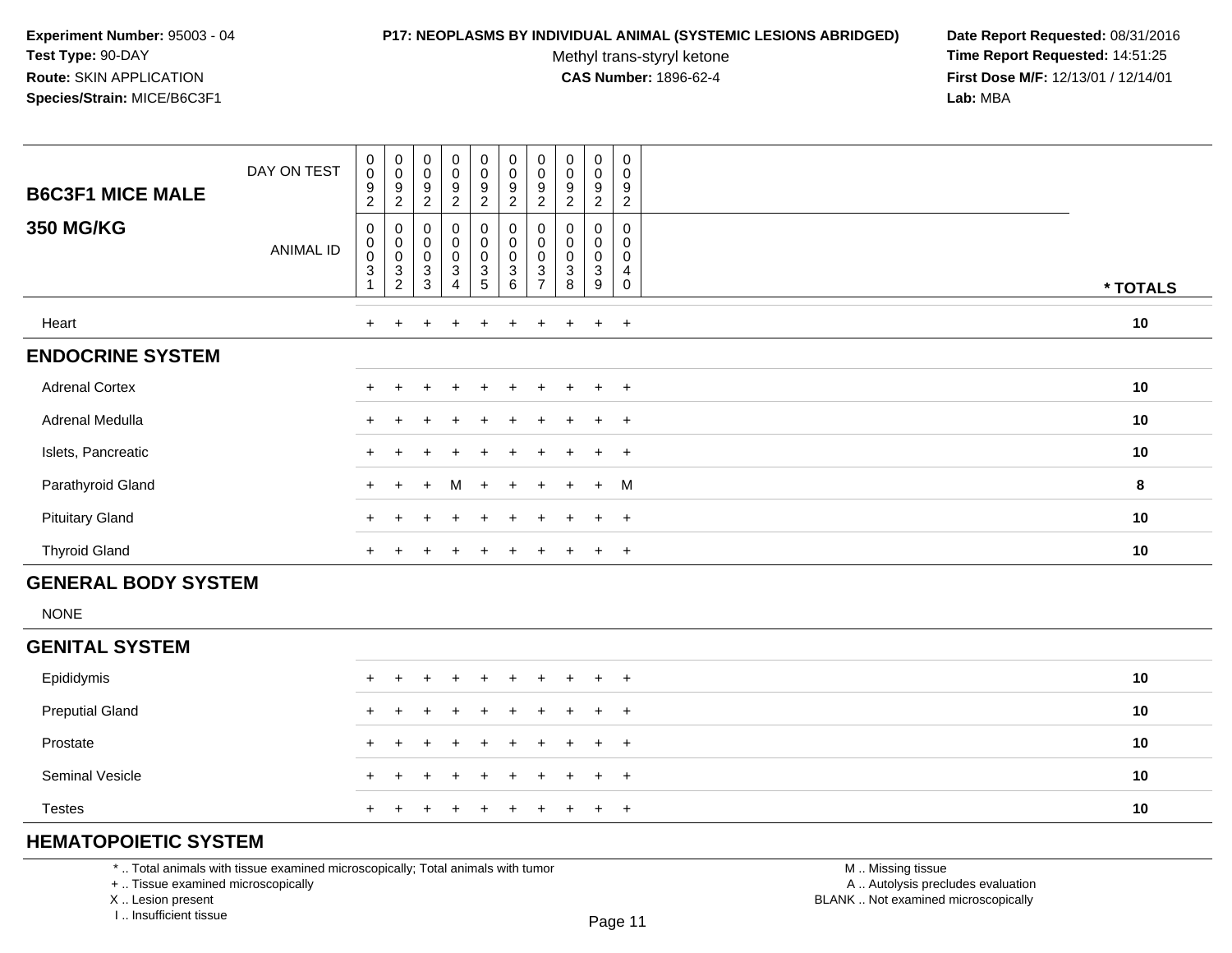#### **P17: NEOPLASMS BY INDIVIDUAL ANIMAL (SYSTEMIC LESIONS ABRIDGED) Date Report Requested:** 08/31/2016

Methyl trans-styryl ketone<br>CAS Number: 1896-62-4

 **Time Report Requested:** 14:51:25 **First Dose M/F:** 12/13/01 / 12/14/01<br>**Lab:** MBA **Lab:** MBA

| <b>B6C3F1 MICE MALE</b> | DAY ON TEST      | $\pmb{0}$<br>$\pmb{0}$<br>9<br>$\sqrt{2}$                          | $_{\rm 0}^{\rm 0}$<br>$\boldsymbol{9}$<br>$\sqrt{2}$                       | $_{\rm 0}^{\rm 0}$<br>9<br>$\sqrt{2}$               | $\pmb{0}$<br>0<br>9<br>$\overline{c}$        | $\pmb{0}$<br>$\pmb{0}$<br>$\boldsymbol{9}$<br>$\overline{c}$ | $_{\rm 0}^{\rm 0}$<br>$\boldsymbol{9}$<br>$\overline{c}$          | $\begin{smallmatrix} 0\\0 \end{smallmatrix}$<br>9<br>$\overline{c}$ | $\pmb{0}$<br>$\pmb{0}$<br>$\boldsymbol{9}$<br>$\overline{c}$ | $\pmb{0}$<br>0<br>9<br>$\overline{c}$ | $\pmb{0}$<br>$\mathbf 0$<br>9<br>$\overline{c}$ |          |
|-------------------------|------------------|--------------------------------------------------------------------|----------------------------------------------------------------------------|-----------------------------------------------------|----------------------------------------------|--------------------------------------------------------------|-------------------------------------------------------------------|---------------------------------------------------------------------|--------------------------------------------------------------|---------------------------------------|-------------------------------------------------|----------|
| <b>350 MG/KG</b>        | <b>ANIMAL ID</b> | $\pmb{0}$<br>$\pmb{0}$<br>$\mathbf 0$<br>$\ensuremath{\mathsf{3}}$ | $\pmb{0}$<br>$_{\rm 0}^{\rm 0}$<br>$\ensuremath{\mathsf{3}}$<br>$\sqrt{2}$ | 0<br>$\begin{matrix} 0 \\ 0 \end{matrix}$<br>$_3^3$ | 0<br>0<br>$\mathsf 0$<br>3<br>$\overline{4}$ | 0<br>$\mathsf{O}\xspace$<br>0<br>$\frac{3}{5}$               | 0<br>$\pmb{0}$<br>$\pmb{0}$<br>$\ensuremath{\mathsf{3}}$<br>$\,6$ | 0<br>0<br>$\pmb{0}$<br>$\ensuremath{\mathsf{3}}$<br>$\overline{ }$  | $\pmb{0}$<br>$\mathbf 0$<br>$\ensuremath{\mathsf{3}}$<br>8   | 0<br>0<br>$\pmb{0}$<br>3<br>9         | 0<br>0<br>0<br>4<br>$\mathbf 0$                 | * TOTALS |
| Heart                   |                  | $+$                                                                | $+$                                                                        | $+$                                                 | $^{+}$                                       | $+$                                                          | $\ddot{}$                                                         | $\pm$                                                               | $+$                                                          | $+$                                   | $+$                                             | 10       |
| <b>ENDOCRINE SYSTEM</b> |                  |                                                                    |                                                                            |                                                     |                                              |                                                              |                                                                   |                                                                     |                                                              |                                       |                                                 |          |
| <b>Adrenal Cortex</b>   |                  | $\pm$                                                              |                                                                            |                                                     | $\div$                                       | $\ddot{}$                                                    | $\ddot{}$                                                         |                                                                     | $\ddot{}$                                                    | $\ddot{}$                             | $+$                                             | 10       |
| Adrenal Medulla         |                  | $+$                                                                |                                                                            | $\pm$                                               | $\pm$                                        | $+$                                                          | $+$                                                               | $+$                                                                 | $+$                                                          | $\overline{+}$                        | $+$                                             | 10       |
| Islets, Pancreatic      |                  | $\pm$                                                              |                                                                            |                                                     | $\div$                                       | $+$                                                          | $\pm$                                                             | $+$                                                                 | $\pm$                                                        | $\ddot{}$                             | $+$                                             | 10       |
| Parathyroid Gland       |                  | $+$                                                                | $+$                                                                        | $+$                                                 | M                                            | $+$                                                          | $+$                                                               | $+$                                                                 | $+$                                                          | $+$                                   | M                                               | 8        |
| <b>Pituitary Gland</b>  |                  | $+$                                                                |                                                                            |                                                     | $\div$                                       | $+$                                                          | $\pm$                                                             |                                                                     | $\pm$                                                        | $\ddot{}$                             | $+$                                             | 10       |
| <b>Thyroid Gland</b>    |                  | $+$                                                                |                                                                            |                                                     | $\div$                                       |                                                              | $\pm$                                                             |                                                                     |                                                              | $\div$                                | $+$                                             | 10       |

# **GENERAL BODY SYSTEM**

NONE

### **GENITAL SYSTEM**

| Epididymis             |  | + + + + + + + + + + |  |  |  |  | 10 |
|------------------------|--|---------------------|--|--|--|--|----|
| <b>Preputial Gland</b> |  | + + + + + + + + + + |  |  |  |  | 10 |
| Prostate               |  | + + + + + + + + + + |  |  |  |  | 10 |
| <b>Seminal Vesicle</b> |  | + + + + + + + + + + |  |  |  |  | 10 |
| <b>Testes</b>          |  | + + + + + + + + + + |  |  |  |  | 10 |

# **HEMATOPOIETIC SYSTEM**

\* .. Total animals with tissue examined microscopically; Total animals with tumor

+ .. Tissue examined microscopically

X .. Lesion present

I .. Insufficient tissue

 M .. Missing tissuey the contract of the contract of the contract of the contract of the contract of  $\mathsf A$  . Autolysis precludes evaluation Lesion present BLANK .. Not examined microscopically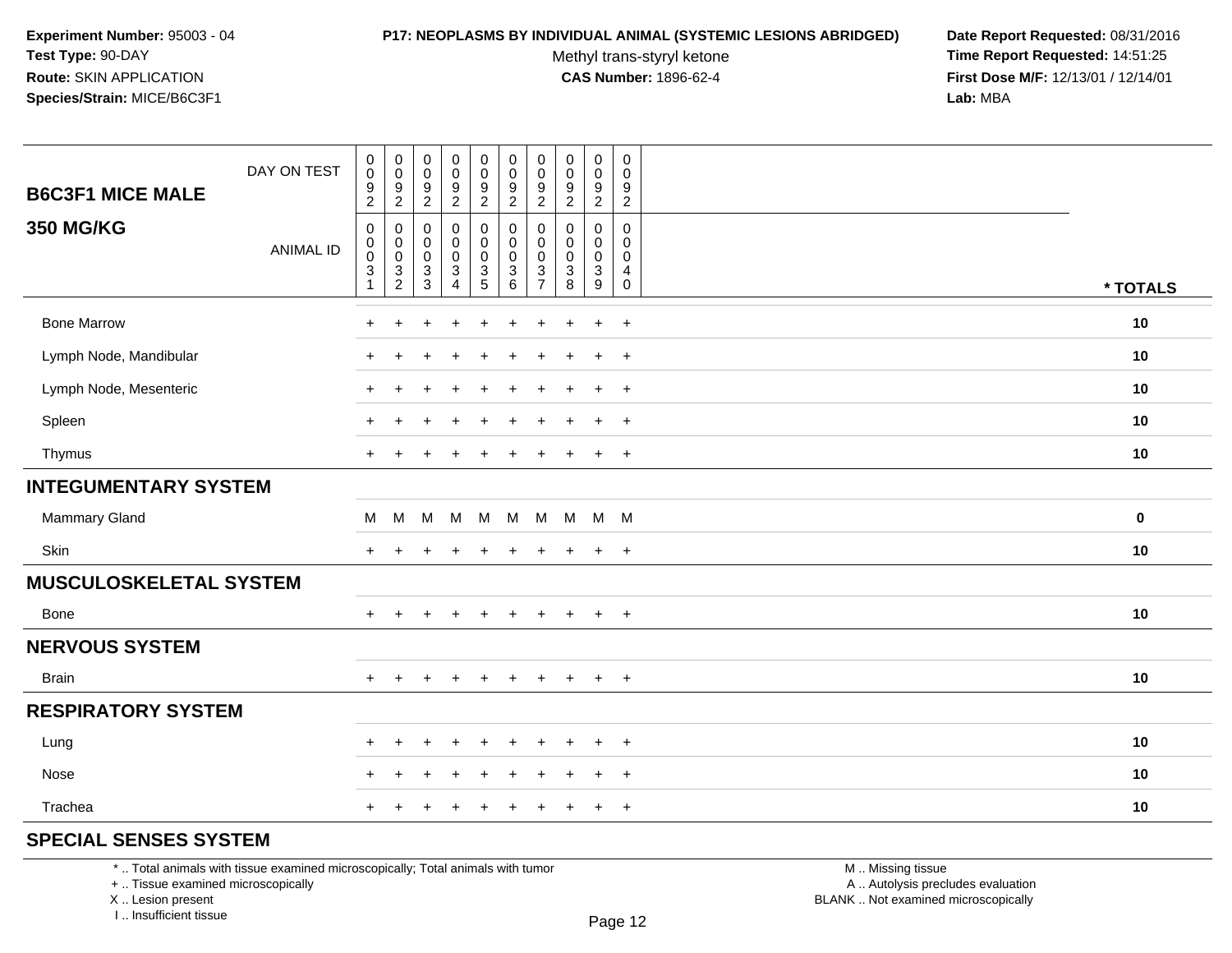#### **P17: NEOPLASMS BY INDIVIDUAL ANIMAL (SYSTEMIC LESIONS ABRIDGED) Date Report Requested:** 08/31/2016

Methyl trans-styryl ketone<br>CAS Number: 1896-62-4

 **Time Report Requested:** 14:51:25 **First Dose M/F:** 12/13/01 / 12/14/01<br>**Lab:** MBA **Lab:** MBA

| $\pmb{0}$<br>$\mathsf 0$<br>9<br>$\overline{2}$                      | $\,0\,$<br>$\pmb{0}$<br>9<br>$\overline{2}$ | $\pmb{0}$<br>$\boldsymbol{0}$<br>$\frac{9}{2}$      | $_{\rm 0}^{\rm 0}$<br>$\frac{9}{2}$                      | $\pmb{0}$<br>$\mathbf 0$<br>$\frac{9}{2}$                                     | $\pmb{0}$<br>$\pmb{0}$<br>$\frac{9}{2}$          | $\pmb{0}$<br>$\mathbf 0$<br>$\frac{9}{2}$                                  | $\pmb{0}$<br>$\mathsf{O}\xspace$<br>9<br>$\overline{2}$ | $\pmb{0}$<br>$\mathbf 0$<br>$\frac{9}{2}$                                      |          |
|----------------------------------------------------------------------|---------------------------------------------|-----------------------------------------------------|----------------------------------------------------------|-------------------------------------------------------------------------------|--------------------------------------------------|----------------------------------------------------------------------------|---------------------------------------------------------|--------------------------------------------------------------------------------|----------|
| 0<br>0<br>$\mathbf 0$<br>$\ensuremath{\mathsf{3}}$<br>$\overline{2}$ | 0<br>0<br>$\pmb{0}$<br>$\sqrt{3}$<br>3      | 0<br>0<br>$\pmb{0}$<br>$\sqrt{3}$<br>$\overline{4}$ | $\pmb{0}$<br>$\mathbf 0$<br>$\mathsf 0$<br>$\frac{3}{5}$ | $\pmb{0}$<br>$\mathbf 0$<br>$\pmb{0}$<br>$\ensuremath{\mathsf{3}}$<br>$\,6\,$ | 0<br>$\mathbf 0$<br>$\mathbf 0$<br>$\frac{3}{7}$ | $\mathbf 0$<br>$\mathbf{0}$<br>$\pmb{0}$<br>$\ensuremath{\mathsf{3}}$<br>8 | 0<br>$\Omega$<br>$\mathbf 0$<br>$\sqrt{3}$<br>9         | 0<br>$\Omega$<br>$\mathbf 0$<br>$\overline{\mathbf{4}}$<br>$\mathsf{O}\xspace$ | * TOTALS |
| +                                                                    |                                             |                                                     |                                                          |                                                                               |                                                  |                                                                            | $\ddot{}$                                               | $+$                                                                            | 10       |
|                                                                      |                                             |                                                     |                                                          |                                                                               |                                                  |                                                                            | $\ddot{}$                                               | $\overline{+}$                                                                 | 10       |
| $\ddot{}$                                                            |                                             | $\div$                                              | $\pm$                                                    | $\div$                                                                        |                                                  | $\div$                                                                     | $\ddot{}$                                               | $+$                                                                            | 10       |
|                                                                      |                                             |                                                     |                                                          |                                                                               |                                                  |                                                                            | $\ddot{}$                                               | $\overline{+}$                                                                 | 10       |
| $\ddot{}$                                                            |                                             |                                                     | $\div$                                                   | $\ddot{}$                                                                     |                                                  | $\ddot{}$                                                                  | $\ddot{}$                                               | $+$                                                                            | 10       |
|                                                                      |                                             |                                                     |                                                          |                                                                               |                                                  |                                                                            |                                                         |                                                                                |          |
| M                                                                    | M                                           |                                                     |                                                          | M                                                                             |                                                  |                                                                            |                                                         |                                                                                | 0        |
|                                                                      |                                             |                                                     |                                                          | ÷                                                                             |                                                  |                                                                            | $\ddot{}$                                               | $\overline{+}$                                                                 | 10       |
|                                                                      |                                             |                                                     |                                                          |                                                                               |                                                  |                                                                            |                                                         |                                                                                |          |
| ÷.                                                                   |                                             | $\ddot{}$                                           | $\ddot{}$                                                | $\ddot{}$                                                                     | $\ddot{}$                                        | $\ddot{}$                                                                  | $\ddot{}$                                               | $+$                                                                            | 10       |
|                                                                      |                                             |                                                     |                                                          |                                                                               |                                                  |                                                                            |                                                         |                                                                                |          |
| $\overline{+}$                                                       | ÷                                           | $\ddot{}$                                           | $\ddot{}$                                                | $\ddot{}$                                                                     | $+$                                              | $+$                                                                        | $\ddot{}$                                               | $+$                                                                            | 10       |
|                                                                      |                                             |                                                     |                                                          |                                                                               |                                                  |                                                                            |                                                         |                                                                                |          |
| $\ddot{}$                                                            | ٠                                           | $\pm$                                               | $\ddot{}$                                                | $\div$                                                                        | +                                                | $\pm$                                                                      | $\ddot{}$                                               | $^{+}$                                                                         | 10       |
| +                                                                    |                                             | ÷                                                   |                                                          | ÷                                                                             |                                                  |                                                                            | $\ddot{}$                                               | $\overline{+}$                                                                 | 10       |
|                                                                      |                                             |                                                     |                                                          | $\div$                                                                        |                                                  |                                                                            | $\ddot{}$                                               | $+$                                                                            | 10       |
|                                                                      |                                             |                                                     | M                                                        | M                                                                             |                                                  | M                                                                          |                                                         |                                                                                | M M M    |

## **SPECIAL SENSES SYSTEM**

\* .. Total animals with tissue examined microscopically; Total animals with tumor

+ .. Tissue examined microscopically

X .. Lesion present

I .. Insufficient tissue

 M .. Missing tissuey the contract of the contract of the contract of the contract of the contract of  $\mathsf A$  . Autolysis precludes evaluation Lesion present BLANK .. Not examined microscopically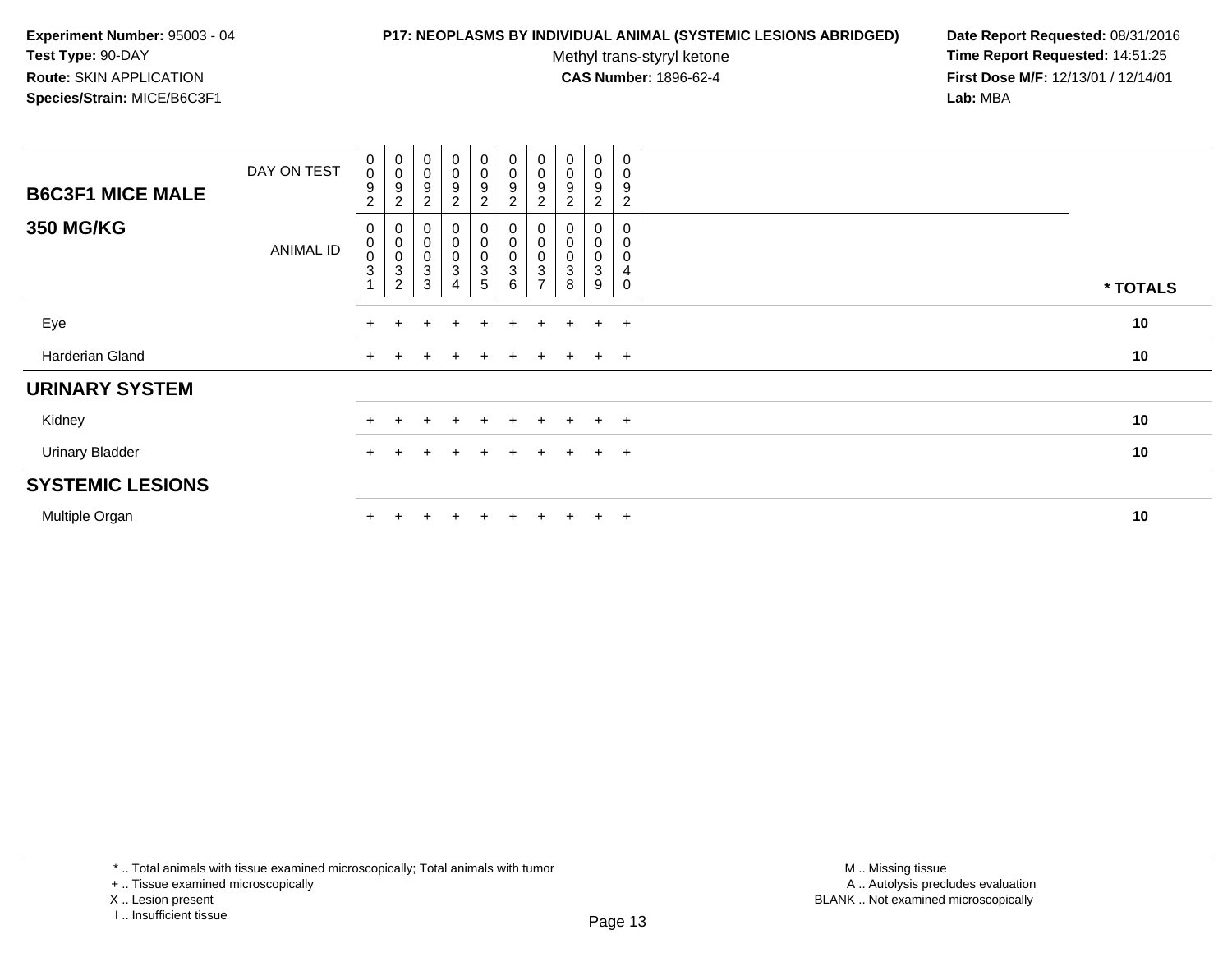#### **P17: NEOPLASMS BY INDIVIDUAL ANIMAL (SYSTEMIC LESIONS ABRIDGED) Date Report Requested:** 08/31/2016

Methyl trans-styryl ketone<br>CAS Number: 1896-62-4

| <b>B6C3F1 MICE MALE</b><br><b>350 MG/KG</b> | DAY ON TEST      | $_{\rm 0}^{\rm 0}$<br>$\boldsymbol{9}$<br>$\overline{2}$<br>0 | $\begin{smallmatrix}0\0\0\end{smallmatrix}$<br>9<br>$\overline{c}$                       | $_{0}^{0}$<br>9<br>$\overline{2}$<br>0                                       | $_0^0$<br>9<br>$\overline{c}$<br>0   | $_{\rm 0}^{\rm 0}$<br>$\boldsymbol{9}$<br>$\boldsymbol{2}$ | $\begin{smallmatrix} 0\\0 \end{smallmatrix}$<br>$\boldsymbol{9}$<br>$\overline{2}$<br>$\pmb{0}$ | $_{\rm 0}^{\rm 0}$<br>9<br>2                                  | $\begin{smallmatrix}0\\0\end{smallmatrix}$<br>9 | 0<br>0<br>9<br>2 | $\pmb{0}$<br>$\pmb{0}$<br>9<br>$\overline{c}$<br>0 |          |
|---------------------------------------------|------------------|---------------------------------------------------------------|------------------------------------------------------------------------------------------|------------------------------------------------------------------------------|--------------------------------------|------------------------------------------------------------|-------------------------------------------------------------------------------------------------|---------------------------------------------------------------|-------------------------------------------------|------------------|----------------------------------------------------|----------|
|                                             | <b>ANIMAL ID</b> | $\pmb{0}$<br>$\mathbf 0$<br>$\sqrt{3}$                        | $\begin{matrix} 0 \\ 0 \\ 0 \end{matrix}$<br>$\ensuremath{\mathsf{3}}$<br>$\overline{c}$ | $\begin{smallmatrix}0\\0\end{smallmatrix}$<br>$\ensuremath{\mathsf{3}}$<br>3 | $\mathsf 0$<br>$\mathsf 0$<br>3<br>4 | $\begin{matrix} 0 \\ 0 \\ 0 \\ 3 \end{matrix}$<br>5        | $\overline{0}$<br>$\sqrt{3}$<br>$6\phantom{1}6$                                                 | 0<br>$\pmb{0}$<br>$\ensuremath{\mathsf{3}}$<br>$\overline{ }$ | 0<br>$\overline{0}$<br>3<br>8                   | 0<br>0<br>3<br>9 | 0<br>$\,0\,$<br>4<br>0                             | * TOTALS |
| Eye                                         |                  | $\pm$                                                         |                                                                                          | $\pm$                                                                        | $\ddot{}$                            | $+$                                                        | $+$                                                                                             | $\pm$                                                         | $+$                                             | $+$              | $+$                                                | 10       |
| Harderian Gland                             |                  | $+$                                                           | $\pm$                                                                                    | ÷                                                                            | $\mathbf +$                          | $+$                                                        | $+$                                                                                             | $+$                                                           | $+$                                             | $+$ $+$          |                                                    | 10       |
| <b>URINARY SYSTEM</b>                       |                  |                                                               |                                                                                          |                                                                              |                                      |                                                            |                                                                                                 |                                                               |                                                 |                  |                                                    |          |
| Kidney                                      |                  |                                                               |                                                                                          |                                                                              |                                      | $+$                                                        | $+$                                                                                             | $+$                                                           | $+$                                             | $+$              | $+$                                                | 10       |
| <b>Urinary Bladder</b>                      |                  | $+$                                                           |                                                                                          | ÷                                                                            | $\pm$                                | $+$                                                        | $+$                                                                                             | $+$                                                           | $+$                                             | $+$              | $+$                                                | 10       |
| <b>SYSTEMIC LESIONS</b>                     |                  |                                                               |                                                                                          |                                                                              |                                      |                                                            |                                                                                                 |                                                               |                                                 |                  |                                                    |          |
| Multiple Organ                              |                  |                                                               |                                                                                          |                                                                              |                                      | $\pm$                                                      | $+$                                                                                             | $+$                                                           | $+$                                             | $+$              | $+$                                                | 10       |

<sup>+ ..</sup> Tissue examined microscopically

X .. Lesion present

I .. Insufficient tissue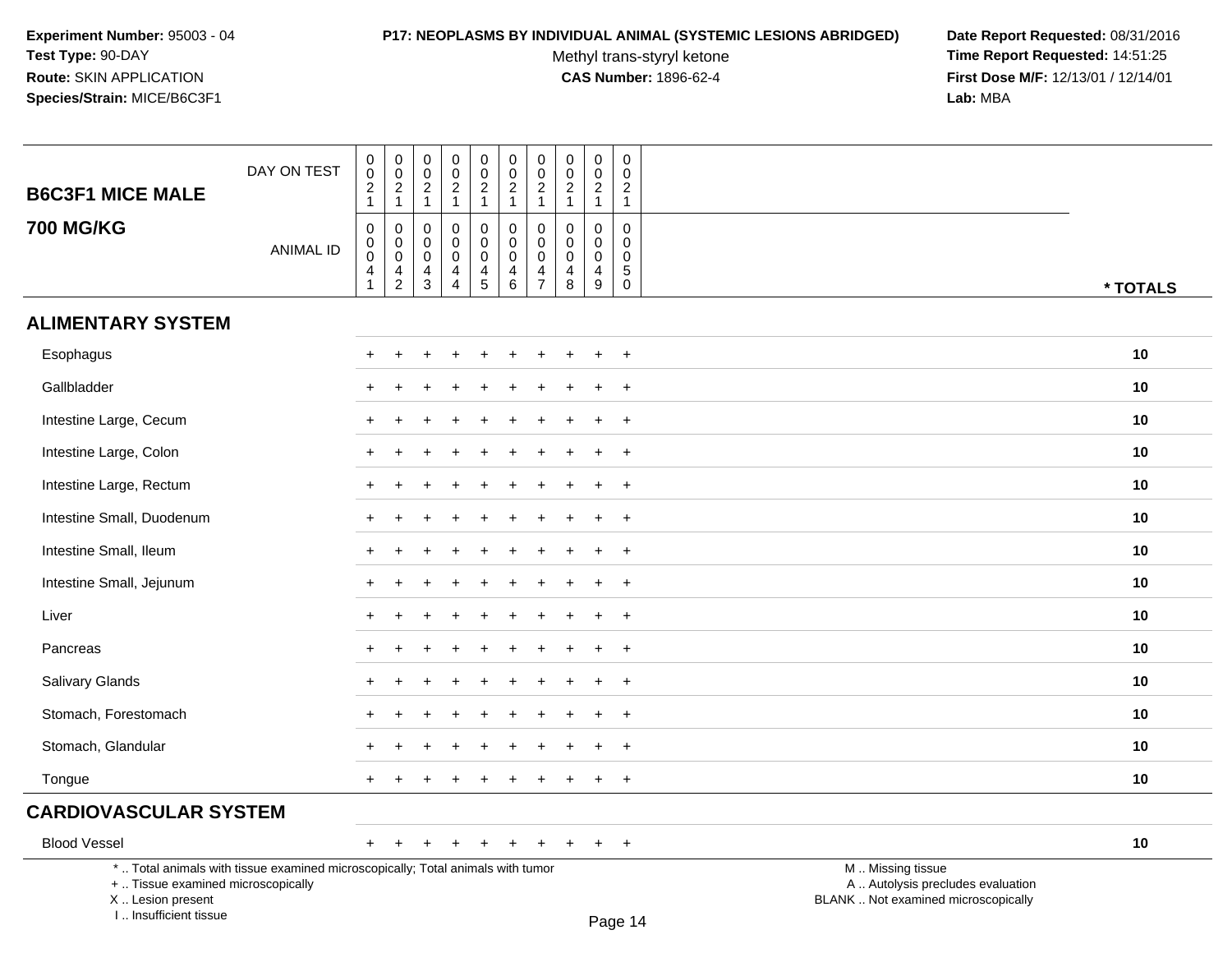#### **P17: NEOPLASMS BY INDIVIDUAL ANIMAL (SYSTEMIC LESIONS ABRIDGED) Date Report Requested:** 08/31/2016

Methyl trans-styryl ketone<br>CAS Number: 1896-62-4

 **Time Report Requested:** 14:51:25 **First Dose M/F:** 12/13/01 / 12/14/01<br>Lab: MBA **Lab:** MBA

| <b>B6C3F1 MICE MALE</b>            | DAY ON TEST                                                                     | $_{\rm 0}^{\rm 0}$<br>$\frac{2}{1}$ | $\begin{array}{c} 0 \\ 0 \\ 2 \\ 1 \end{array}$                                   | $\pmb{0}$<br>$\mathsf 0$<br>$\sqrt{2}$<br>$\mathbf{1}$ | 0<br>$\pmb{0}$<br>$\sqrt{2}$<br>$\mathbf{1}$                  | $_{\rm 0}^{\rm 0}$<br>$\frac{2}{1}$                    | $_{\rm 0}^{\rm 0}$<br>$\sqrt{2}$<br>$\mathbf{1}$    | $\begin{smallmatrix}0\\0\end{smallmatrix}$<br>$\sqrt{2}$<br>$\mathbf{1}$ | $\begin{smallmatrix} 0\\0 \end{smallmatrix}$<br>$\begin{array}{c} 2 \\ 1 \end{array}$ | $\pmb{0}$<br>$\pmb{0}$<br>$\sqrt{2}$<br>$\mathbf{1}$             | $\pmb{0}$<br>$\boldsymbol{0}$<br>$\sqrt{2}$<br>$\mathbf{1}$            |                                                        |          |
|------------------------------------|---------------------------------------------------------------------------------|-------------------------------------|-----------------------------------------------------------------------------------|--------------------------------------------------------|---------------------------------------------------------------|--------------------------------------------------------|-----------------------------------------------------|--------------------------------------------------------------------------|---------------------------------------------------------------------------------------|------------------------------------------------------------------|------------------------------------------------------------------------|--------------------------------------------------------|----------|
| <b>700 MG/KG</b>                   | <b>ANIMAL ID</b>                                                                | 0<br>$\mathbf 0$<br>$\pmb{0}$<br>4  | $\begin{smallmatrix}0\\0\\0\end{smallmatrix}$<br>$\overline{4}$<br>$\overline{2}$ | $\mathbf 0$<br>$\mathbf 0$<br>0<br>4<br>3              | $\Omega$<br>$\mathbf 0$<br>$\mathbf 0$<br>4<br>$\overline{4}$ | 0<br>$\mathbf 0$<br>$\mathbf 0$<br>$\overline{4}$<br>5 | $\mathbf 0$<br>$\mathbf 0$<br>$\mathbf 0$<br>4<br>6 | $\mathbf 0$<br>$\pmb{0}$<br>$\pmb{0}$<br>4<br>$\overline{7}$             | $\mathbf 0$<br>$\mathbf 0$<br>$\mathbf 0$<br>$\overline{\mathbf{4}}$<br>8             | $\mathbf 0$<br>$\mathbf 0$<br>$\mathbf 0$<br>$\overline{4}$<br>9 | $\mathbf 0$<br>$\mathbf 0$<br>$\mathbf 0$<br>$\sqrt{5}$<br>$\mathsf 0$ |                                                        | * TOTALS |
| <b>ALIMENTARY SYSTEM</b>           |                                                                                 |                                     |                                                                                   |                                                        |                                                               |                                                        |                                                     |                                                                          |                                                                                       |                                                                  |                                                                        |                                                        |          |
| Esophagus                          |                                                                                 | $\pm$                               |                                                                                   |                                                        |                                                               |                                                        |                                                     |                                                                          |                                                                                       |                                                                  | $+$                                                                    |                                                        | 10       |
| Gallbladder                        |                                                                                 |                                     |                                                                                   |                                                        |                                                               |                                                        |                                                     |                                                                          |                                                                                       |                                                                  | $\overline{+}$                                                         |                                                        | 10       |
| Intestine Large, Cecum             |                                                                                 |                                     |                                                                                   |                                                        |                                                               |                                                        |                                                     |                                                                          |                                                                                       |                                                                  | $\ddot{}$                                                              |                                                        | 10       |
| Intestine Large, Colon             |                                                                                 | $\pm$                               |                                                                                   |                                                        |                                                               |                                                        |                                                     |                                                                          |                                                                                       |                                                                  | $+$                                                                    |                                                        | 10       |
| Intestine Large, Rectum            |                                                                                 | $\pm$                               |                                                                                   |                                                        |                                                               |                                                        |                                                     |                                                                          |                                                                                       | ÷                                                                | $^{+}$                                                                 |                                                        | 10       |
| Intestine Small, Duodenum          |                                                                                 |                                     |                                                                                   |                                                        |                                                               |                                                        |                                                     |                                                                          |                                                                                       |                                                                  | $+$                                                                    |                                                        | 10       |
| Intestine Small, Ileum             |                                                                                 |                                     |                                                                                   |                                                        |                                                               |                                                        |                                                     |                                                                          |                                                                                       |                                                                  | $\overline{+}$                                                         |                                                        | 10       |
| Intestine Small, Jejunum           |                                                                                 | ÷                                   |                                                                                   |                                                        |                                                               |                                                        |                                                     |                                                                          |                                                                                       |                                                                  | $\overline{+}$                                                         |                                                        | 10       |
| Liver                              |                                                                                 |                                     |                                                                                   |                                                        |                                                               |                                                        |                                                     |                                                                          |                                                                                       |                                                                  | $+$                                                                    |                                                        | 10       |
| Pancreas                           |                                                                                 |                                     |                                                                                   |                                                        |                                                               |                                                        |                                                     |                                                                          |                                                                                       |                                                                  | $\ddot{}$                                                              |                                                        | 10       |
| Salivary Glands                    |                                                                                 |                                     |                                                                                   |                                                        |                                                               |                                                        |                                                     |                                                                          |                                                                                       |                                                                  | $\overline{+}$                                                         |                                                        | 10       |
| Stomach, Forestomach               |                                                                                 |                                     |                                                                                   |                                                        |                                                               |                                                        |                                                     |                                                                          |                                                                                       |                                                                  | $+$                                                                    |                                                        | 10       |
| Stomach, Glandular                 |                                                                                 |                                     |                                                                                   |                                                        |                                                               |                                                        |                                                     |                                                                          |                                                                                       |                                                                  | $\overline{+}$                                                         |                                                        | 10       |
| Tongue                             |                                                                                 | $\pm$                               |                                                                                   |                                                        |                                                               |                                                        |                                                     |                                                                          |                                                                                       | $\ddot{}$                                                        | $+$                                                                    |                                                        | 10       |
| <b>CARDIOVASCULAR SYSTEM</b>       |                                                                                 |                                     |                                                                                   |                                                        |                                                               |                                                        |                                                     |                                                                          |                                                                                       |                                                                  |                                                                        |                                                        |          |
| <b>Blood Vessel</b>                |                                                                                 | $+$                                 |                                                                                   |                                                        |                                                               |                                                        |                                                     | $\pm$                                                                    | $\pm$                                                                                 | $+$                                                              | $+$                                                                    |                                                        | 10       |
| +  Tissue examined microscopically | *  Total animals with tissue examined microscopically; Total animals with tumor |                                     |                                                                                   |                                                        |                                                               |                                                        |                                                     |                                                                          |                                                                                       |                                                                  |                                                                        | M  Missing tissue<br>A  Autolysis precludes evaluation |          |

 Lesion present BLANK .. Not examined microscopicallyX .. Lesion present

I .. Insufficient tissue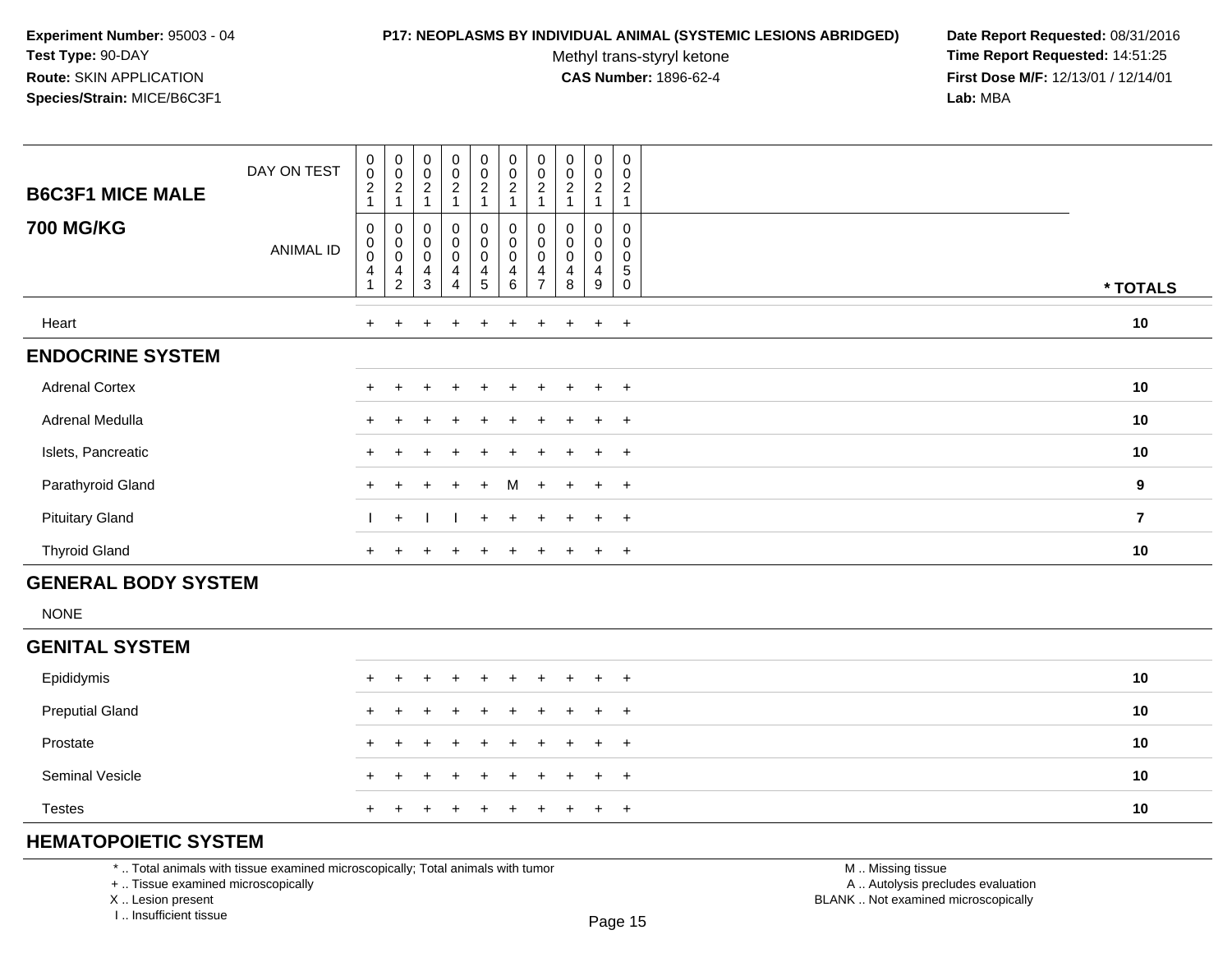#### **P17: NEOPLASMS BY INDIVIDUAL ANIMAL (SYSTEMIC LESIONS ABRIDGED) Date Report Requested:** 08/31/2016

Methyl trans-styryl ketone<br>CAS Number: 1896-62-4

 **Time Report Requested:** 14:51:25 **First Dose M/F:** 12/13/01 / 12/14/01<br>**Lab:** MBA **Lab:** MBA

| <b>B6C3F1 MICE MALE</b> | DAY ON TEST      | $\pmb{0}$<br>$\pmb{0}$<br>$\overline{2}$ | $\begin{smallmatrix} 0\\0\\2 \end{smallmatrix}$                                               | $\begin{smallmatrix} 0\\0\\2 \end{smallmatrix}$<br>$\overline{1}$          | $\pmb{0}$<br>$\pmb{0}$<br>$\overline{2}$ | $\pmb{0}$<br>$\pmb{0}$<br>$\overline{2}$ | $\begin{smallmatrix} 0\\0\\2 \end{smallmatrix}$                 | $\begin{smallmatrix} 0\\0 \end{smallmatrix}$<br>$\overline{2}$ | $\pmb{0}$<br>$\pmb{0}$<br>$\overline{2}$ | $\pmb{0}$<br>0<br>$\overline{c}$ | $\pmb{0}$<br>$\mathbf 0$<br>$\overline{c}$ |                  |
|-------------------------|------------------|------------------------------------------|-----------------------------------------------------------------------------------------------|----------------------------------------------------------------------------|------------------------------------------|------------------------------------------|-----------------------------------------------------------------|----------------------------------------------------------------|------------------------------------------|----------------------------------|--------------------------------------------|------------------|
| <b>700 MG/KG</b>        | <b>ANIMAL ID</b> | 0<br>$\pmb{0}$<br>$\mathbf 0$<br>4       | $\pmb{0}$<br>$\begin{smallmatrix} 0\\0 \end{smallmatrix}$<br>$\overline{4}$<br>$\overline{2}$ | $\pmb{0}$<br>$_{\rm 0}^{\rm 0}$<br>$\overline{\mathbf{4}}$<br>$\mathbf{3}$ | 0<br>0<br>0<br>4<br>$\overline{4}$       | 0<br>$\pmb{0}$<br>$\mathbf 0$<br>4<br>5  | 0<br>$\begin{smallmatrix}0\\0\end{smallmatrix}$<br>4<br>$\,6\,$ | 0<br>$_{\rm 0}^{\rm 0}$<br>4<br>$\overline{7}$                 | 0<br>$\pmb{0}$<br>$\mathbf 0$<br>4<br>8  | 0<br>0<br>$\mathbf 0$<br>4<br>9  | 0<br>0<br>$\mathbf 0$<br>5<br>$\mathbf 0$  | * TOTALS         |
| Heart                   |                  | $+$                                      | $\ddot{}$                                                                                     | $+$                                                                        | $\overline{+}$                           | $+$                                      | $\ddot{}$                                                       | $\pm$                                                          | $+$                                      | $+$                              | $+$                                        | 10               |
| <b>ENDOCRINE SYSTEM</b> |                  |                                          |                                                                                               |                                                                            |                                          |                                          |                                                                 |                                                                |                                          |                                  |                                            |                  |
| <b>Adrenal Cortex</b>   |                  | $+$                                      | $\pm$                                                                                         | $\div$                                                                     | $\ddot{}$                                | $+$                                      | $\ddot{}$                                                       | $+$                                                            | $+$                                      | $+$                              | $+$                                        | 10               |
| Adrenal Medulla         |                  | $\pm$                                    |                                                                                               |                                                                            | $\pm$                                    | $+$                                      | $+$                                                             | $+$                                                            | $+$                                      | $+$                              | $+$                                        | 10               |
| Islets, Pancreatic      |                  | $\pm$                                    |                                                                                               |                                                                            | $\div$                                   | $+$                                      | $\pm$                                                           | $+$                                                            | $\pm$                                    | $+$                              | $+$                                        | 10               |
| Parathyroid Gland       |                  | $+$                                      | $\ddot{}$                                                                                     | $+$                                                                        | $\ddot{}$                                | $+$                                      | M                                                               | $+$                                                            | $+$                                      | $+$                              | $+$                                        | $\boldsymbol{9}$ |
| <b>Pituitary Gland</b>  |                  |                                          | $+$                                                                                           |                                                                            |                                          | $+$                                      | $\ddot{}$                                                       | $+$                                                            | $+$                                      | $\ddot{}$                        | $+$                                        | $\overline{7}$   |
| <b>Thyroid Gland</b>    |                  | $+$                                      | $\pm$                                                                                         | $\pm$                                                                      | $\pm$                                    | $\pm$                                    | $+$                                                             | $\pm$                                                          | $+$                                      | $\overline{+}$                   | $+$                                        | 10               |

# **GENERAL BODY SYSTEM**

NONE

### **GENITAL SYSTEM**

| Epididymis             |  | + + + + + + + + + + |  |  |  |  | 10 |
|------------------------|--|---------------------|--|--|--|--|----|
| <b>Preputial Gland</b> |  | + + + + + + + + + + |  |  |  |  | 10 |
| Prostate               |  | + + + + + + + + + + |  |  |  |  | 10 |
| <b>Seminal Vesicle</b> |  | + + + + + + + + + + |  |  |  |  | 10 |
| <b>Testes</b>          |  | + + + + + + + + + + |  |  |  |  | 10 |

# **HEMATOPOIETIC SYSTEM**

\* .. Total animals with tissue examined microscopically; Total animals with tumor

+ .. Tissue examined microscopically

X .. Lesion present

I .. Insufficient tissue

 M .. Missing tissuey the contract of the contract of the contract of the contract of the contract of  $\mathsf A$  . Autolysis precludes evaluation Lesion present BLANK .. Not examined microscopically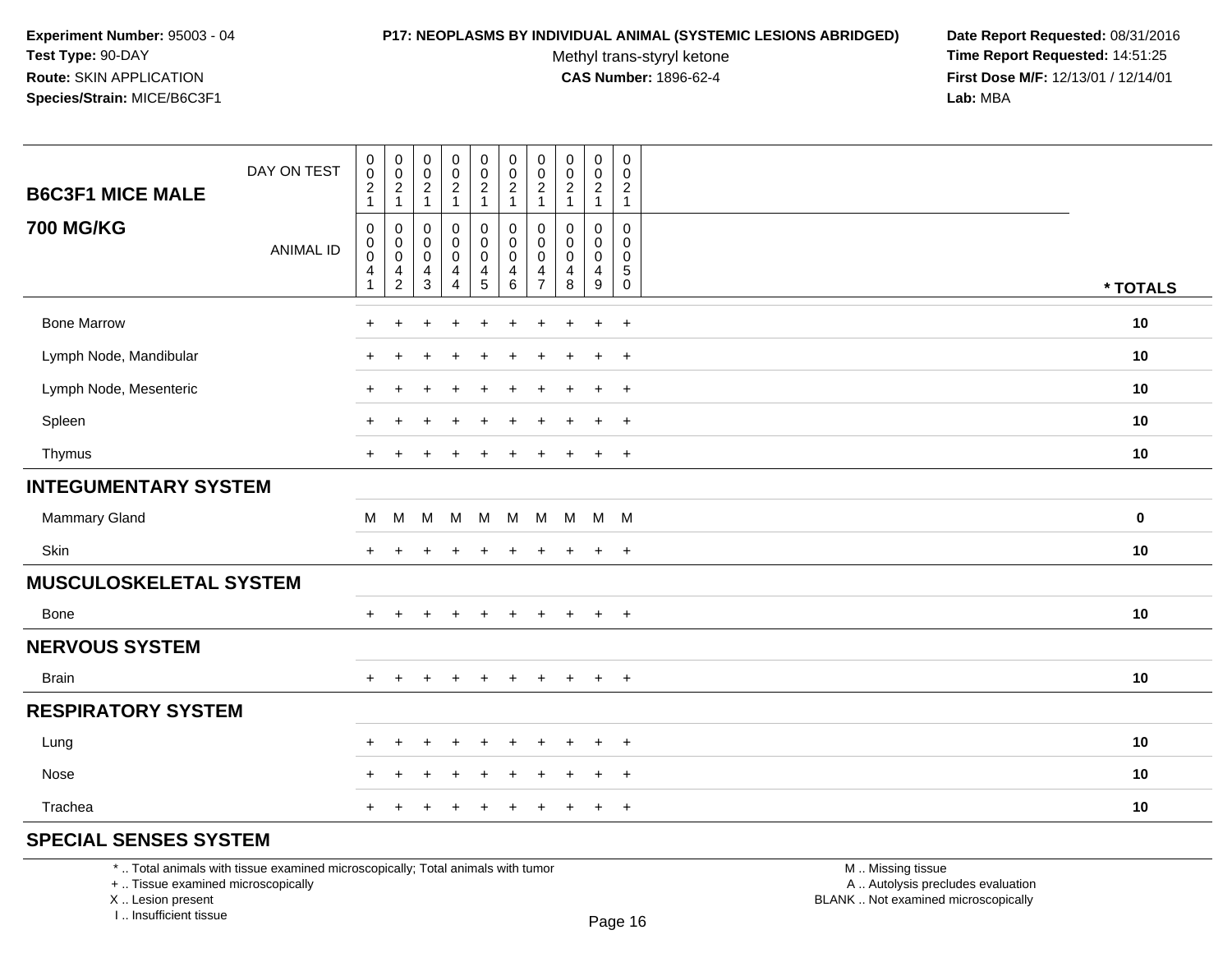#### **P17: NEOPLASMS BY INDIVIDUAL ANIMAL (SYSTEMIC LESIONS ABRIDGED) Date Report Requested:** 08/31/2016

Methyl trans-styryl ketone<br>CAS Number: 1896-62-4

 **Time Report Requested:** 14:51:25 **First Dose M/F:** 12/13/01 / 12/14/01<br>**Lab:** MBA **Lab:** MBA

| <b>B6C3F1 MICE MALE</b>       | DAY ON TEST      | $\pmb{0}$<br>$\pmb{0}$<br>$\boldsymbol{2}$<br>$\overline{1}$                       | $\pmb{0}$<br>$\mathbf 0$<br>$\begin{array}{c} 2 \\ 1 \end{array}$             | $\pmb{0}$<br>$\mathbf 0$<br>$\begin{array}{c} 2 \\ 1 \end{array}$         | 0<br>$\overline{0}$<br>$\frac{2}{1}$                                       | $\begin{smallmatrix} 0\\0\\2 \end{smallmatrix}$<br>$\mathbf{1}$ | $\pmb{0}$<br>$\ddot{\mathbf{0}}$<br>$\frac{2}{1}$                  | $\pmb{0}$<br>$\mathbf 0$<br>$\overline{2}$<br>$\overline{1}$  | $\mathbf 0$<br>$\mathbf 0$<br>$\overline{2}$<br>$\overline{1}$ | $\pmb{0}$<br>$\pmb{0}$<br>$\overline{2}$<br>$\mathbf{1}$ | $\pmb{0}$<br>$\pmb{0}$<br>$\overline{2}$<br>$\mathbf{1}$      |          |
|-------------------------------|------------------|------------------------------------------------------------------------------------|-------------------------------------------------------------------------------|---------------------------------------------------------------------------|----------------------------------------------------------------------------|-----------------------------------------------------------------|--------------------------------------------------------------------|---------------------------------------------------------------|----------------------------------------------------------------|----------------------------------------------------------|---------------------------------------------------------------|----------|
| <b>700 MG/KG</b>              | <b>ANIMAL ID</b> | $\mathbf 0$<br>$\mathbf 0$<br>$\boldsymbol{0}$<br>$\overline{a}$<br>$\overline{1}$ | $\mathbf 0$<br>$\mathbf 0$<br>$\mathbf 0$<br>$\overline{4}$<br>$\overline{c}$ | $\mathbf 0$<br>0<br>$\mathsf{O}\xspace$<br>$\overline{4}$<br>$\mathbf{3}$ | 0<br>0<br>$\mathsf{O}\xspace$<br>$\overline{\mathbf{4}}$<br>$\overline{4}$ | $\pmb{0}$<br>$\pmb{0}$<br>$\mathbf 0$<br>$\frac{4}{5}$          | $\pmb{0}$<br>$\mathbf 0$<br>$\pmb{0}$<br>$\overline{4}$<br>$\,6\,$ | $\mathbf 0$<br>$\Omega$<br>$\mathbf 0$<br>4<br>$\overline{7}$ | $\mathbf 0$<br>$\Omega$<br>$\mathbf 0$<br>4<br>8               | 0<br>0<br>$\mathbf 0$<br>$\overline{4}$<br>9             | 0<br>$\mathbf{0}$<br>$\mathbf 0$<br>$\sqrt{5}$<br>$\mathbf 0$ | * TOTALS |
| <b>Bone Marrow</b>            |                  | ÷                                                                                  | +                                                                             |                                                                           |                                                                            |                                                                 |                                                                    |                                                               |                                                                | $\ddot{}$                                                | $+$                                                           | 10       |
| Lymph Node, Mandibular        |                  |                                                                                    |                                                                               |                                                                           |                                                                            |                                                                 |                                                                    |                                                               |                                                                | $\overline{ }$                                           | $+$                                                           | 10       |
| Lymph Node, Mesenteric        |                  | $+$                                                                                | $\ddot{}$                                                                     |                                                                           | $\pm$                                                                      | $\ddot{}$                                                       |                                                                    |                                                               |                                                                | $\ddot{}$                                                | $+$                                                           | 10       |
| Spleen                        |                  |                                                                                    |                                                                               |                                                                           |                                                                            |                                                                 |                                                                    |                                                               |                                                                | $\div$                                                   | $\div$                                                        | 10       |
| Thymus                        |                  | $+$                                                                                |                                                                               |                                                                           |                                                                            | $\ddot{}$                                                       |                                                                    |                                                               |                                                                | $\ddot{}$                                                | $+$                                                           | 10       |
| <b>INTEGUMENTARY SYSTEM</b>   |                  |                                                                                    |                                                                               |                                                                           |                                                                            |                                                                 |                                                                    |                                                               |                                                                |                                                          |                                                               |          |
| <b>Mammary Gland</b>          |                  | м                                                                                  | M                                                                             | M                                                                         | M                                                                          | M                                                               | M                                                                  | M                                                             | M M M                                                          |                                                          |                                                               | 0        |
| Skin                          |                  | $\ddot{}$                                                                          |                                                                               |                                                                           |                                                                            |                                                                 |                                                                    |                                                               |                                                                | $\ddot{}$                                                | $+$                                                           | 10       |
| <b>MUSCULOSKELETAL SYSTEM</b> |                  |                                                                                    |                                                                               |                                                                           |                                                                            |                                                                 |                                                                    |                                                               |                                                                |                                                          |                                                               |          |
| Bone                          |                  | $\div$                                                                             |                                                                               |                                                                           | $\div$                                                                     | $\pm$                                                           | $\pm$                                                              | $\pm$                                                         | $\pm$                                                          | $\ddot{}$                                                | $+$                                                           | 10       |
| <b>NERVOUS SYSTEM</b>         |                  |                                                                                    |                                                                               |                                                                           |                                                                            |                                                                 |                                                                    |                                                               |                                                                |                                                          |                                                               |          |
| <b>Brain</b>                  |                  | $+$                                                                                | $\ddot{}$                                                                     | ÷                                                                         | $\ddot{}$                                                                  | $\ddot{}$                                                       | $\ddot{}$                                                          | $\ddot{}$                                                     | $\pm$                                                          | $\overline{+}$                                           | $+$                                                           | 10       |
| <b>RESPIRATORY SYSTEM</b>     |                  |                                                                                    |                                                                               |                                                                           |                                                                            |                                                                 |                                                                    |                                                               |                                                                |                                                          |                                                               |          |
| Lung                          |                  | ÷.                                                                                 | $\ddot{}$                                                                     |                                                                           | $\ddot{}$                                                                  | $\ddot{}$                                                       | $\pm$                                                              | $\pm$                                                         | $\pm$                                                          | $\ddot{}$                                                | $\overline{+}$                                                | 10       |
| Nose                          |                  | ÷                                                                                  | +                                                                             |                                                                           |                                                                            |                                                                 |                                                                    |                                                               |                                                                | $\ddot{}$                                                | $+$                                                           | 10       |
| Trachea                       |                  | $\ddot{}$                                                                          |                                                                               |                                                                           |                                                                            |                                                                 |                                                                    |                                                               |                                                                | $\ddot{}$                                                | $+$                                                           | 10       |
| $\overline{O}$                |                  |                                                                                    |                                                                               |                                                                           |                                                                            |                                                                 |                                                                    |                                                               |                                                                |                                                          |                                                               |          |

## **SPECIAL SENSES SYSTEM**

\* .. Total animals with tissue examined microscopically; Total animals with tumor

+ .. Tissue examined microscopically

X .. Lesion present

I .. Insufficient tissue

 M .. Missing tissuey the contract of the contract of the contract of the contract of the contract of  $\mathsf A$  . Autolysis precludes evaluation Lesion present BLANK .. Not examined microscopically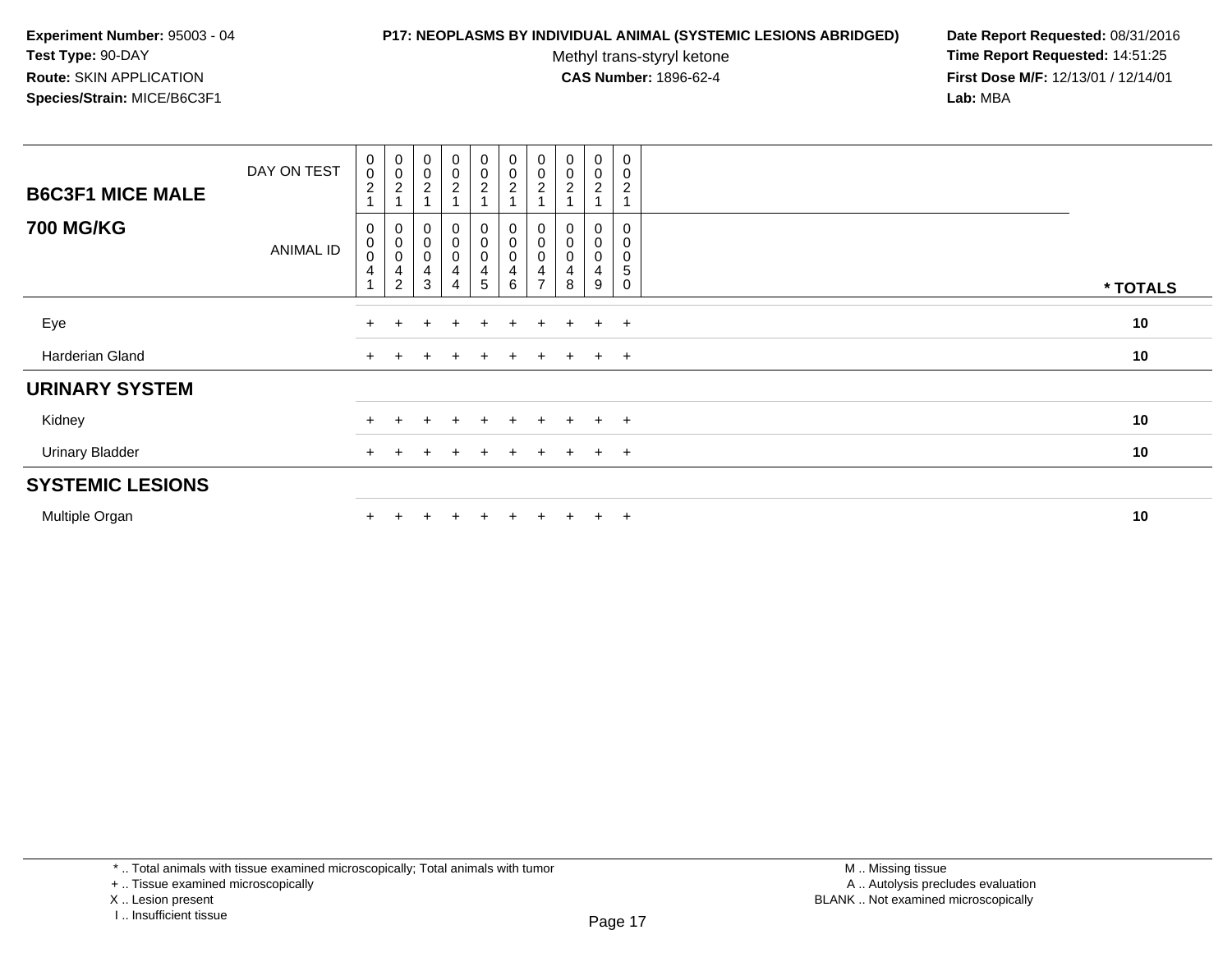#### **P17: NEOPLASMS BY INDIVIDUAL ANIMAL (SYSTEMIC LESIONS ABRIDGED) Date Report Requested:** 08/31/2016

Methyl trans-styryl ketone<br>CAS Number: 1896-62-4

| <b>B6C3F1 MICE MALE</b><br><b>700 MG/KG</b> | DAY ON TEST | $\begin{smallmatrix}0\0\0\end{smallmatrix}$<br>$\overline{c}$<br>0 | $\begin{matrix} 0 \\ 0 \\ 2 \\ 1 \end{matrix}$ | $\begin{smallmatrix} 0\\0\\2 \end{smallmatrix}$<br>$\overline{A}$ | $\mathbf 0$<br>$\mathbf 0$<br>$\overline{a}$<br>0      | $\pmb{0}$<br>$\pmb{0}$<br>$\overline{c}$<br>0 | $\begin{smallmatrix} 0\\0 \end{smallmatrix}$<br>$\overline{c}$        | $\begin{smallmatrix} 0\\0 \end{smallmatrix}$<br>$\boldsymbol{2}$     | $\begin{smallmatrix} 0\\0 \end{smallmatrix}$<br>$\overline{c}$<br>0 | $\mathbf 0$<br>0<br>$\boldsymbol{2}$<br>0 | $\pmb{0}$<br>$\pmb{0}$<br>$\overline{\mathbf{c}}$ |          |
|---------------------------------------------|-------------|--------------------------------------------------------------------|------------------------------------------------|-------------------------------------------------------------------|--------------------------------------------------------|-----------------------------------------------|-----------------------------------------------------------------------|----------------------------------------------------------------------|---------------------------------------------------------------------|-------------------------------------------|---------------------------------------------------|----------|
|                                             | ANIMAL ID   | 0<br>$\,0\,$<br>4                                                  | $0000$<br>42                                   | $\begin{smallmatrix}0\\0\\0\end{smallmatrix}$<br>4<br>3           | $\pmb{0}$<br>$\pmb{0}$<br>$\overline{\mathbf{4}}$<br>4 | 0<br>$\mathsf 0$<br>4<br>5                    | $\begin{smallmatrix} 0\\0 \end{smallmatrix}$<br>$\mathbf 0$<br>4<br>6 | $\begin{smallmatrix}0\0\0\0\end{smallmatrix}$<br>4<br>$\overline{ }$ | $\begin{smallmatrix}0\\0\end{smallmatrix}$<br>4<br>8                | $\mathbf 0$<br>$\mathbf 0$<br>4<br>9      | 0<br>0<br>5<br>$\Omega$                           | * TOTALS |
| Eye                                         |             | $\pm$                                                              |                                                | $\pm$                                                             | $\pm$                                                  | $+$                                           | $+$                                                                   | $+$                                                                  | $+$                                                                 | $\ddot{}$                                 | $+$                                               | 10       |
| Harderian Gland                             |             | $+$                                                                |                                                |                                                                   | $\pm$                                                  | $+$                                           | $+$                                                                   | $\pm$                                                                | $+$                                                                 | $+$                                       | $+$                                               | 10       |
| <b>URINARY SYSTEM</b>                       |             |                                                                    |                                                |                                                                   |                                                        |                                               |                                                                       |                                                                      |                                                                     |                                           |                                                   |          |
| Kidney                                      |             | $+$                                                                |                                                |                                                                   |                                                        | $+$                                           | $+$                                                                   | $+$                                                                  | $+$                                                                 | $\ddot{}$                                 | $+$                                               | 10       |
| <b>Urinary Bladder</b>                      |             | $+$                                                                |                                                | $\pm$                                                             | $\pm$                                                  | $+$                                           | $+$                                                                   | $+$                                                                  | $+$                                                                 | $+$                                       | $+$                                               | 10       |
| <b>SYSTEMIC LESIONS</b>                     |             |                                                                    |                                                |                                                                   |                                                        |                                               |                                                                       |                                                                      |                                                                     |                                           |                                                   |          |
| Multiple Organ                              |             |                                                                    |                                                |                                                                   |                                                        | $+$                                           | $\ddot{}$                                                             | $+$                                                                  | $+$                                                                 | $\ddot{}$                                 | $+$                                               | 10       |

<sup>+ ..</sup> Tissue examined microscopically

X .. Lesion present

I .. Insufficient tissue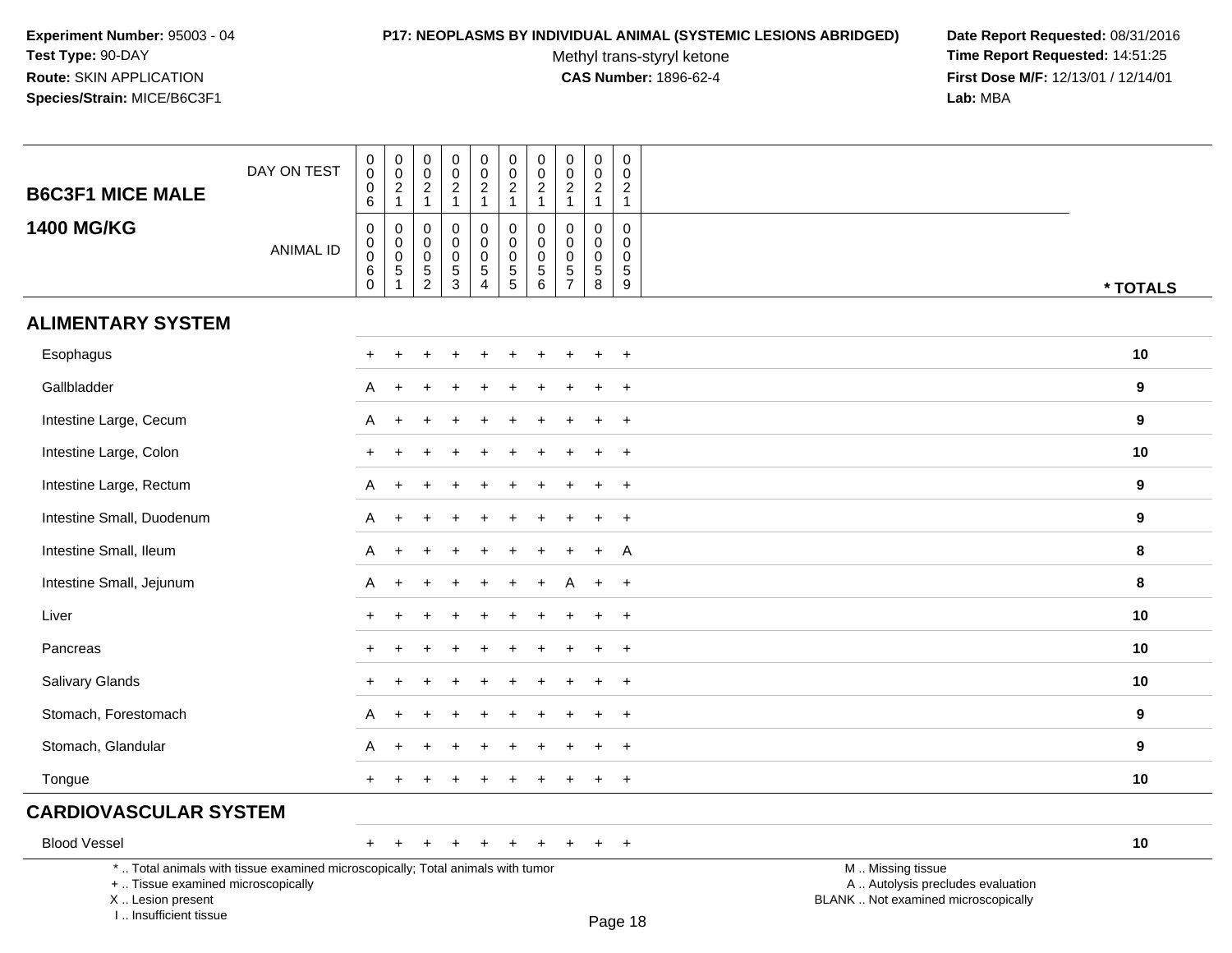#### **P17: NEOPLASMS BY INDIVIDUAL ANIMAL (SYSTEMIC LESIONS ABRIDGED) Date Report Requested:** 08/31/2016

Methyl trans-styryl ketone<br>CAS Number: 1896-62-4

 **Time Report Requested:** 14:51:25 **First Dose M/F:** 12/13/01 / 12/14/01<br>Lab: MBA **Lab:** MBA

| <b>B6C3F1 MICE MALE</b>            | DAY ON TEST                                                                     | $\pmb{0}$<br>$\pmb{0}$<br>$\pmb{0}$<br>6                  | $\begin{array}{c} 0 \\ 0 \\ 2 \\ 1 \end{array}$                                     | $\pmb{0}$<br>$\mathsf 0$<br>$\overline{2}$<br>$\mathbf{1}$ | $\pmb{0}$<br>$\pmb{0}$<br>$\overline{c}$<br>$\mathbf{1}$   | $\pmb{0}$<br>$\pmb{0}$<br>$\overline{2}$<br>$\mathbf{1}$                    | $\pmb{0}$<br>$\pmb{0}$<br>$\overline{c}$<br>$\mathbf{1}$         | $\pmb{0}$<br>$\pmb{0}$<br>$\overline{c}$<br>$\mathbf{1}$                  | $\mathsf 0$<br>$\mathbf 0$<br>$\overline{2}$<br>$\mathbf{1}$    | $\mathbf 0$<br>$\pmb{0}$<br>$\sqrt{2}$<br>$\overline{1}$     | $\pmb{0}$<br>$\boldsymbol{0}$<br>$\overline{2}$<br>$\mathbf{1}$ |                                                        |                  |
|------------------------------------|---------------------------------------------------------------------------------|-----------------------------------------------------------|-------------------------------------------------------------------------------------|------------------------------------------------------------|------------------------------------------------------------|-----------------------------------------------------------------------------|------------------------------------------------------------------|---------------------------------------------------------------------------|-----------------------------------------------------------------|--------------------------------------------------------------|-----------------------------------------------------------------|--------------------------------------------------------|------------------|
| <b>1400 MG/KG</b>                  | <b>ANIMAL ID</b>                                                                | $\mathbf 0$<br>0<br>$\mathbf 0$<br>$\,6\,$<br>$\mathbf 0$ | $\boldsymbol{0}$<br>$\overline{0}$ <sub>0</sub><br>$\overline{5}$<br>$\overline{1}$ | $\Omega$<br>0<br>0<br>$\,$ 5 $\,$<br>$\overline{c}$        | $\Omega$<br>$\mathbf 0$<br>$\mathbf 0$<br>$\mathbf 5$<br>3 | 0<br>$\mathsf 0$<br>$\mathsf 0$<br>$\overline{5}$<br>$\boldsymbol{\Lambda}$ | $\mathbf 0$<br>$\mathbf 0$<br>$\mathbf 0$<br>$\overline{5}$<br>5 | $\mathbf 0$<br>$\pmb{0}$<br>$\pmb{0}$<br>$\overline{5}$<br>$6\phantom{1}$ | $\mathbf 0$<br>0<br>$\mathbf 0$<br>$\sqrt{5}$<br>$\overline{7}$ | $\mathbf 0$<br>$\mathbf 0$<br>$\mathbf 0$<br>$\sqrt{5}$<br>8 | $\mathbf 0$<br>0<br>$\mathbf 0$<br>$\sqrt{5}$<br>$9\,$          |                                                        | * TOTALS         |
| <b>ALIMENTARY SYSTEM</b>           |                                                                                 |                                                           |                                                                                     |                                                            |                                                            |                                                                             |                                                                  |                                                                           |                                                                 |                                                              |                                                                 |                                                        |                  |
| Esophagus                          |                                                                                 | $\pm$                                                     |                                                                                     |                                                            |                                                            | $\ddot{}$                                                                   | $\ddot{}$                                                        |                                                                           |                                                                 |                                                              | $+$                                                             |                                                        | 10               |
| Gallbladder                        |                                                                                 | A                                                         |                                                                                     |                                                            |                                                            |                                                                             |                                                                  |                                                                           |                                                                 |                                                              | $\overline{+}$                                                  |                                                        | $\boldsymbol{9}$ |
| Intestine Large, Cecum             |                                                                                 | A                                                         |                                                                                     |                                                            |                                                            |                                                                             |                                                                  |                                                                           |                                                                 |                                                              | $\ddot{}$                                                       |                                                        | 9                |
| Intestine Large, Colon             |                                                                                 | $+$                                                       |                                                                                     |                                                            |                                                            |                                                                             |                                                                  |                                                                           |                                                                 |                                                              | $+$                                                             |                                                        | 10               |
| Intestine Large, Rectum            |                                                                                 | A                                                         |                                                                                     |                                                            |                                                            |                                                                             |                                                                  |                                                                           |                                                                 |                                                              | $\ddot{}$                                                       |                                                        | 9                |
| Intestine Small, Duodenum          |                                                                                 | A                                                         |                                                                                     |                                                            |                                                            |                                                                             |                                                                  |                                                                           |                                                                 |                                                              |                                                                 |                                                        | 9                |
| Intestine Small, Ileum             |                                                                                 | A                                                         |                                                                                     |                                                            |                                                            |                                                                             |                                                                  |                                                                           |                                                                 | ÷                                                            | A                                                               |                                                        | 8                |
| Intestine Small, Jejunum           |                                                                                 | A                                                         | $\ddot{}$                                                                           |                                                            |                                                            |                                                                             | $\div$                                                           |                                                                           | A                                                               | $\pm$                                                        | $+$                                                             |                                                        | 8                |
| Liver                              |                                                                                 |                                                           |                                                                                     |                                                            |                                                            |                                                                             |                                                                  |                                                                           |                                                                 |                                                              | $+$                                                             |                                                        | 10               |
| Pancreas                           |                                                                                 |                                                           |                                                                                     |                                                            |                                                            |                                                                             |                                                                  |                                                                           |                                                                 |                                                              | $\ddot{}$                                                       |                                                        | 10               |
| Salivary Glands                    |                                                                                 |                                                           |                                                                                     |                                                            |                                                            |                                                                             |                                                                  |                                                                           |                                                                 |                                                              | $\overline{+}$                                                  |                                                        | 10               |
| Stomach, Forestomach               |                                                                                 | A                                                         |                                                                                     |                                                            |                                                            |                                                                             |                                                                  |                                                                           |                                                                 |                                                              | $+$                                                             |                                                        | 9                |
| Stomach, Glandular                 |                                                                                 | A                                                         |                                                                                     |                                                            |                                                            |                                                                             |                                                                  |                                                                           |                                                                 |                                                              |                                                                 |                                                        | 9                |
| Tongue                             |                                                                                 | $+$                                                       |                                                                                     |                                                            |                                                            |                                                                             |                                                                  |                                                                           |                                                                 |                                                              | $+$                                                             |                                                        | 10               |
| <b>CARDIOVASCULAR SYSTEM</b>       |                                                                                 |                                                           |                                                                                     |                                                            |                                                            |                                                                             |                                                                  |                                                                           |                                                                 |                                                              |                                                                 |                                                        |                  |
| <b>Blood Vessel</b>                |                                                                                 |                                                           |                                                                                     |                                                            |                                                            |                                                                             |                                                                  |                                                                           |                                                                 | $\pm$                                                        | $+$                                                             |                                                        | 10               |
| +  Tissue examined microscopically | *  Total animals with tissue examined microscopically; Total animals with tumor |                                                           |                                                                                     |                                                            |                                                            |                                                                             |                                                                  |                                                                           |                                                                 |                                                              |                                                                 | M  Missing tissue<br>A  Autolysis precludes evaluation |                  |

X .. Lesion present

I .. Insufficient tissue

Lesion present BLANK .. Not examined microscopically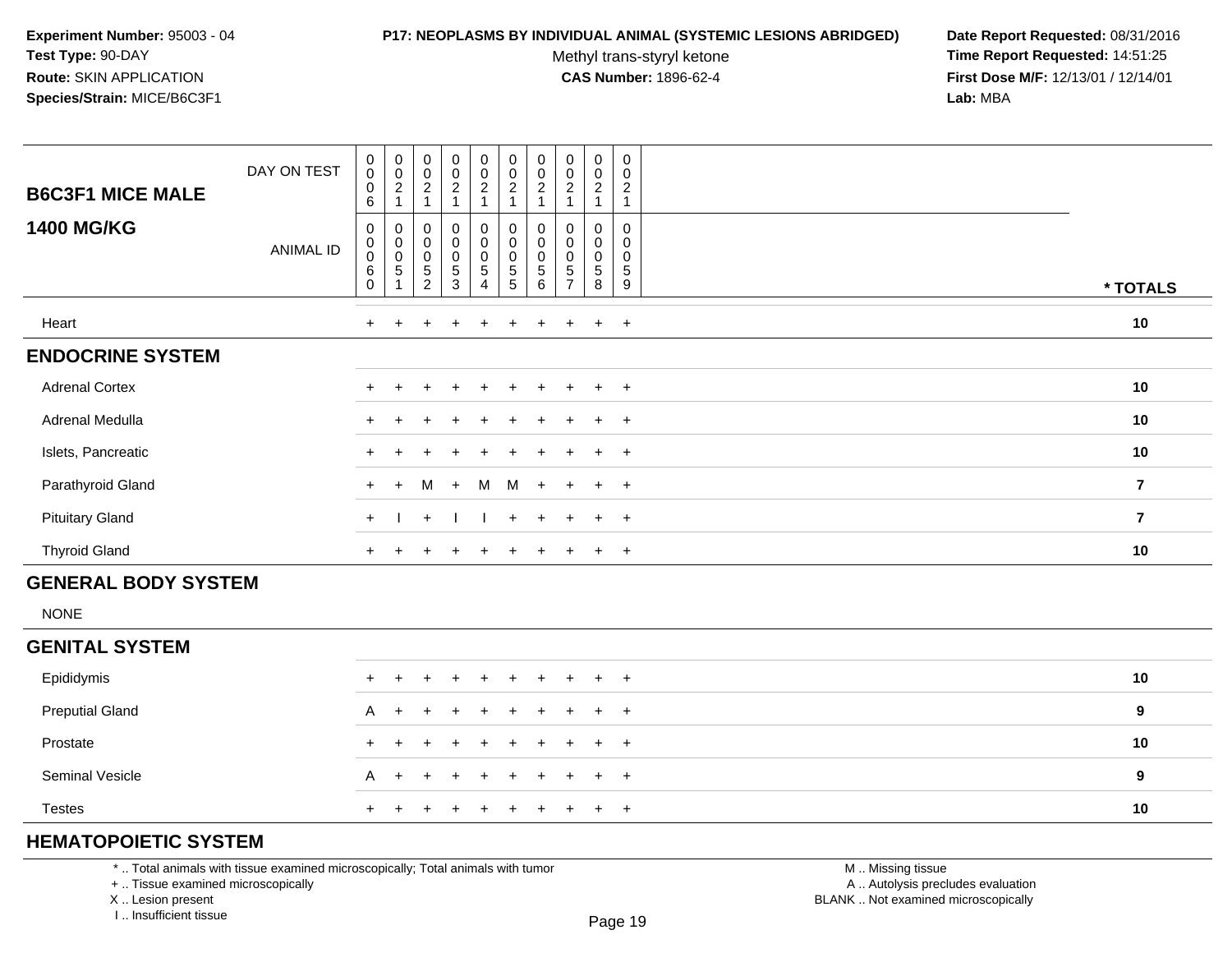#### **P17: NEOPLASMS BY INDIVIDUAL ANIMAL (SYSTEMIC LESIONS ABRIDGED) Date Report Requested:** 08/31/2016

Methyl trans-styryl ketone<br>CAS Number: 1896-62-4

 **Time Report Requested:** 14:51:25 **First Dose M/F:** 12/13/01 / 12/14/01<br>**Lab:** MBA **Lab:** MBA

| <b>B6C3F1 MICE MALE</b> | DAY ON TEST | $\boldsymbol{0}$<br>$\pmb{0}$<br>0<br>6               | $\begin{smallmatrix} 0\\0\\2 \end{smallmatrix}$   | $\pmb{0}$<br>$\frac{0}{2}$<br>$\overline{A}$                       | $\mathbf 0$<br>$\mathsf 0$<br>$\overline{c}$              | $\pmb{0}$<br>$\pmb{0}$<br>$\overline{c}$                               | $\pmb{0}$<br>$\pmb{0}$<br>$\overline{c}$                     | $\pmb{0}$<br>$\pmb{0}$<br>$\boldsymbol{2}$     | $\pmb{0}$<br>$\pmb{0}$<br>$\overline{c}$             | $\mathbf 0$<br>$\mathbf 0$<br>$\overline{c}$ | 0<br>0<br>$\boldsymbol{2}$ |                         |
|-------------------------|-------------|-------------------------------------------------------|---------------------------------------------------|--------------------------------------------------------------------|-----------------------------------------------------------|------------------------------------------------------------------------|--------------------------------------------------------------|------------------------------------------------|------------------------------------------------------|----------------------------------------------|----------------------------|-------------------------|
| <b>1400 MG/KG</b>       | ANIMAL ID   | 0<br>$\pmb{0}$<br>$\pmb{0}$<br>$\,6\,$<br>$\mathbf 0$ | $\boldsymbol{0}$<br>$\overline{0}$<br>$\,$ 5 $\,$ | $\mathbf 0$<br>$_{\rm 0}^{\rm 0}$<br>$\mathbf 5$<br>$\overline{2}$ | $\mathbf 0$<br>$\pmb{0}$<br>$\pmb{0}$<br>$\mathbf 5$<br>3 | $\pmb{0}$<br>$\pmb{0}$<br>$\mathbf 0$<br>$\mathbf 5$<br>$\overline{4}$ | 0<br>$\pmb{0}$<br>$\pmb{0}$<br>$\mathbf 5$<br>$\overline{5}$ | 0<br>$\pmb{0}$<br>$\pmb{0}$<br>$\sqrt{5}$<br>6 | 0<br>$\pmb{0}$<br>$\mathbf 0$<br>5<br>$\overline{7}$ | $\pmb{0}$<br>0<br>$\sqrt{5}$<br>8            | 0<br>0<br>0<br>5<br>9      | * TOTALS                |
| Heart                   |             | $+$                                                   | $\pm$                                             | $\pm$                                                              | $\div$                                                    | $+$                                                                    | $\pm$                                                        | $+$                                            | $+$                                                  | $\ddot{}$                                    | $+$                        | 10                      |
| <b>ENDOCRINE SYSTEM</b> |             |                                                       |                                                   |                                                                    |                                                           |                                                                        |                                                              |                                                |                                                      |                                              |                            |                         |
| <b>Adrenal Cortex</b>   |             | $+$                                                   |                                                   | $\pm$                                                              | $\div$                                                    | $+$                                                                    | $+$                                                          | $+$                                            | $+$                                                  | $+$                                          | $+$                        | 10                      |
| Adrenal Medulla         |             | $+$                                                   |                                                   |                                                                    | $\div$                                                    | $+$                                                                    | $+$                                                          | $+$                                            | $+$                                                  | $+$                                          | $+$                        | 10                      |
| Islets, Pancreatic      |             |                                                       |                                                   |                                                                    |                                                           | $+$                                                                    |                                                              |                                                | $+$                                                  | $\pm$                                        | $+$                        | 10                      |
| Parathyroid Gland       |             | $+$                                                   | $+$                                               | M                                                                  | $+$                                                       | M                                                                      | M                                                            | $+$                                            | $+$                                                  | $\ddot{+}$                                   | $+$                        | $\overline{\mathbf{7}}$ |
| <b>Pituitary Gland</b>  |             | $+$                                                   |                                                   | $+$                                                                |                                                           |                                                                        | $+$                                                          | $\ddot{}$                                      | $+$                                                  | $\ddot{}$                                    | $+$                        | $\overline{\mathbf{7}}$ |
| <b>Thyroid Gland</b>    |             | $^+$                                                  |                                                   |                                                                    |                                                           |                                                                        |                                                              |                                                |                                                      | ÷                                            | $+$                        | 10                      |

# **GENERAL BODY SYSTEM**

NONE

### **GENITAL SYSTEM**

| Epididymis             |  | + + + + + + + + + + |  |  |  |  | 10 |
|------------------------|--|---------------------|--|--|--|--|----|
| <b>Preputial Gland</b> |  | A + + + + + + + + + |  |  |  |  | 9  |
| Prostate               |  | + + + + + + + + + + |  |  |  |  | 10 |
| <b>Seminal Vesicle</b> |  | A + + + + + + + + + |  |  |  |  | 9  |
| <b>Testes</b>          |  | + + + + + + + + + + |  |  |  |  | 10 |

# **HEMATOPOIETIC SYSTEM**

\* .. Total animals with tissue examined microscopically; Total animals with tumor

+ .. Tissue examined microscopically

X .. Lesion present

I .. Insufficient tissue

 M .. Missing tissuey the contract of the contract of the contract of the contract of the contract of  $\mathsf A$  . Autolysis precludes evaluation Lesion present BLANK .. Not examined microscopically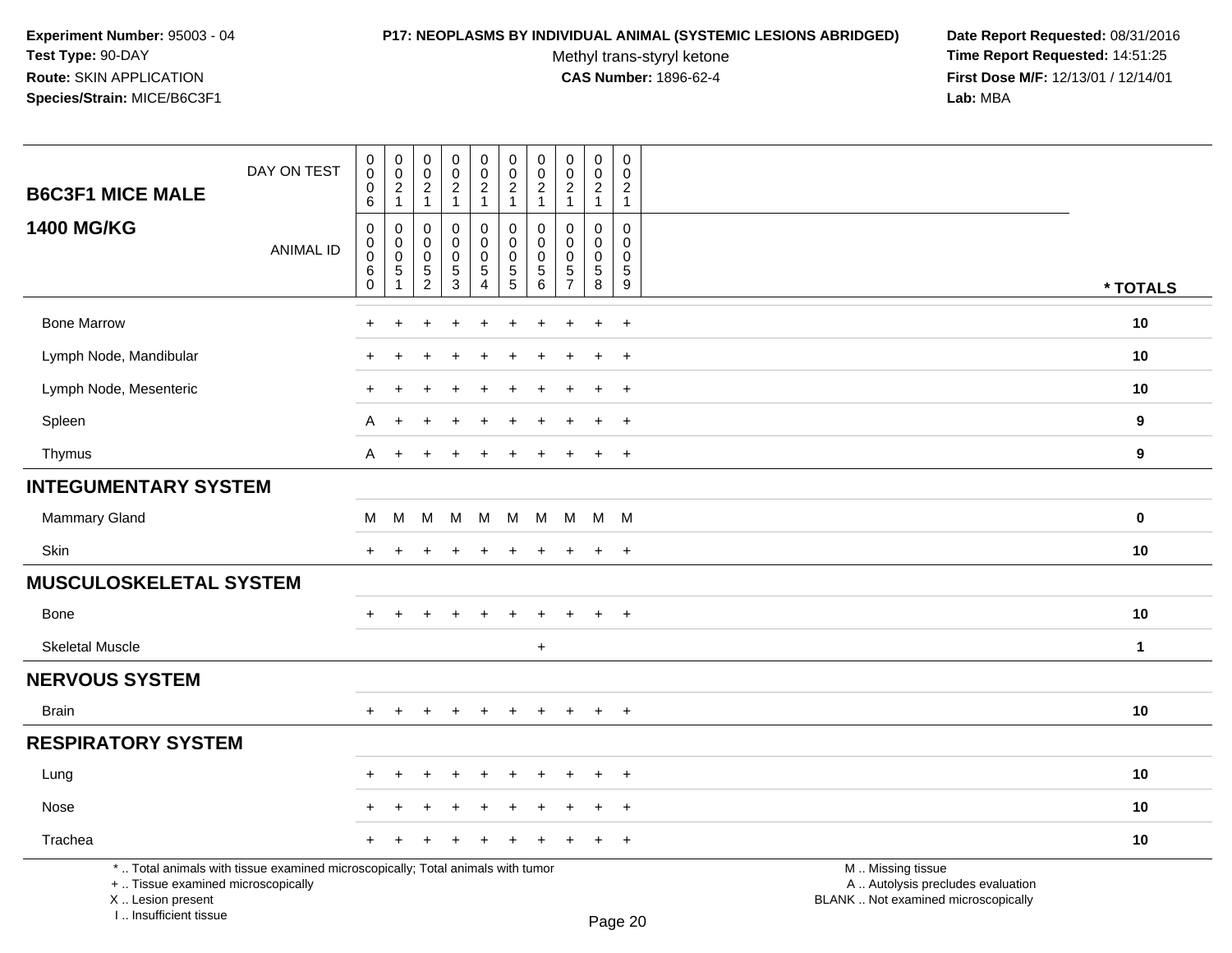I .. Insufficient tissue

# **P17: NEOPLASMS BY INDIVIDUAL ANIMAL (SYSTEMIC LESIONS ABRIDGED) Date Report Requested:** 08/31/2016

Methyl trans-styryl ketone<br>CAS Number: 1896-62-4

 **Time Report Requested:** 14:51:25 **First Dose M/F:** 12/13/01 / 12/14/01<br>Lab: MBA **Lab:** MBA

| <b>B6C3F1 MICE MALE</b>                                 | DAY ON TEST                                                                     | 0<br>$\mathsf 0$<br>0<br>6                     | $\pmb{0}$<br>$\mathbf 0$<br>$\overline{c}$                          | $\pmb{0}$<br>$\mathbf 0$<br>$\overline{c}$                            | 0<br>$\mathsf{O}\xspace$<br>$\overline{a}$<br>$\mathbf{1}$ | $\pmb{0}$<br>$\mathsf{O}\xspace$<br>$\overline{2}$<br>$\mathbf{1}$ | $\pmb{0}$<br>$\mathbf 0$<br>$\boldsymbol{2}$<br>$\mathbf{1}$                   | 0<br>0<br>$\overline{2}$<br>$\mathbf{1}$ | $\mathbf 0$<br>$\mathsf{O}\xspace$<br>$\overline{2}$<br>$\mathbf{1}$ | 0<br>$\mathbf 0$<br>$\mathbf{2}$<br>$\mathbf{1}$ | 0<br>$\mathbf 0$<br>$\overline{2}$<br>$\mathbf{1}$    |                                                                                               |                  |
|---------------------------------------------------------|---------------------------------------------------------------------------------|------------------------------------------------|---------------------------------------------------------------------|-----------------------------------------------------------------------|------------------------------------------------------------|--------------------------------------------------------------------|--------------------------------------------------------------------------------|------------------------------------------|----------------------------------------------------------------------|--------------------------------------------------|-------------------------------------------------------|-----------------------------------------------------------------------------------------------|------------------|
| <b>1400 MG/KG</b>                                       | <b>ANIMAL ID</b>                                                                | $\mathbf 0$<br>$\mathbf 0$<br>$\mathbf 0$<br>6 | $\mathbf{1}$<br>$\mathbf 0$<br>$\mathbf 0$<br>$\boldsymbol{0}$<br>5 | $\mathbf{1}$<br>$\mathbf 0$<br>0<br>$\mathsf{O}\xspace$<br>$\sqrt{5}$ | $\mathbf 0$<br>$\mathbf 0$<br>$\mathbf 0$<br>5             | $\pmb{0}$<br>$\mathbf 0$<br>$\mathbf 0$<br>$\sqrt{5}$              | $\pmb{0}$<br>$\mathbf 0$<br>$\pmb{0}$<br>$\begin{array}{c} 5 \\ 5 \end{array}$ | $\Omega$<br>$\Omega$<br>$\mathbf 0$<br>5 | $\Omega$<br>$\Omega$<br>$\mathbf 0$<br>$\overline{5}$                | $\mathbf{0}$<br>0<br>$\mathbf 0$<br>5            | $\Omega$<br>$\mathbf{0}$<br>$\mathbf 0$<br>$\sqrt{5}$ |                                                                                               |                  |
|                                                         |                                                                                 | $\mathbf 0$                                    | $\mathbf{1}$                                                        | $\overline{c}$                                                        | $\overline{3}$                                             | $\overline{4}$                                                     |                                                                                | 6                                        | $\overline{7}$                                                       | 8                                                | $\overline{9}$                                        |                                                                                               | * TOTALS         |
| <b>Bone Marrow</b>                                      |                                                                                 |                                                |                                                                     |                                                                       |                                                            |                                                                    |                                                                                |                                          |                                                                      | $\ddot{}$                                        | $+$                                                   |                                                                                               | 10               |
| Lymph Node, Mandibular                                  |                                                                                 | ÷                                              | $\div$                                                              |                                                                       | $\div$                                                     | $\ddot{}$                                                          | ÷                                                                              | $\pm$                                    |                                                                      | $\ddot{}$                                        | $+$                                                   |                                                                                               | 10               |
| Lymph Node, Mesenteric                                  |                                                                                 |                                                |                                                                     |                                                                       |                                                            |                                                                    |                                                                                |                                          |                                                                      |                                                  | $\overline{ }$                                        |                                                                                               | 10               |
| Spleen                                                  |                                                                                 | A                                              |                                                                     |                                                                       |                                                            |                                                                    |                                                                                |                                          |                                                                      |                                                  | $\overline{ }$                                        |                                                                                               | $\boldsymbol{9}$ |
| Thymus                                                  |                                                                                 | A                                              | $+$                                                                 |                                                                       |                                                            |                                                                    |                                                                                |                                          |                                                                      | $\ddot{}$                                        | $\overline{ }$                                        |                                                                                               | 9                |
| <b>INTEGUMENTARY SYSTEM</b>                             |                                                                                 |                                                |                                                                     |                                                                       |                                                            |                                                                    |                                                                                |                                          |                                                                      |                                                  |                                                       |                                                                                               |                  |
| Mammary Gland                                           |                                                                                 | м                                              | M                                                                   | M                                                                     | M                                                          |                                                                    | M M M                                                                          |                                          |                                                                      | M M M                                            |                                                       |                                                                                               | 0                |
| Skin                                                    |                                                                                 | $\div$                                         |                                                                     |                                                                       |                                                            |                                                                    |                                                                                | ÷                                        |                                                                      | $\ddot{}$                                        | $+$                                                   |                                                                                               | 10               |
| <b>MUSCULOSKELETAL SYSTEM</b>                           |                                                                                 |                                                |                                                                     |                                                                       |                                                            |                                                                    |                                                                                |                                          |                                                                      |                                                  |                                                       |                                                                                               |                  |
| Bone                                                    |                                                                                 |                                                |                                                                     |                                                                       |                                                            |                                                                    |                                                                                |                                          |                                                                      |                                                  | $\div$                                                |                                                                                               | 10               |
| <b>Skeletal Muscle</b>                                  |                                                                                 |                                                |                                                                     |                                                                       |                                                            |                                                                    |                                                                                | $\ddot{}$                                |                                                                      |                                                  |                                                       |                                                                                               | $\mathbf 1$      |
| <b>NERVOUS SYSTEM</b>                                   |                                                                                 |                                                |                                                                     |                                                                       |                                                            |                                                                    |                                                                                |                                          |                                                                      |                                                  |                                                       |                                                                                               |                  |
| <b>Brain</b>                                            |                                                                                 | $+$                                            | $\ddot{}$                                                           |                                                                       | $\div$                                                     | $\ddot{}$                                                          |                                                                                | $\pm$                                    | $\div$                                                               | $+$                                              | $+$                                                   |                                                                                               | 10               |
| <b>RESPIRATORY SYSTEM</b>                               |                                                                                 |                                                |                                                                     |                                                                       |                                                            |                                                                    |                                                                                |                                          |                                                                      |                                                  |                                                       |                                                                                               |                  |
| Lung                                                    |                                                                                 |                                                |                                                                     |                                                                       |                                                            |                                                                    |                                                                                |                                          |                                                                      |                                                  | $\overline{ }$                                        |                                                                                               | 10               |
| Nose                                                    |                                                                                 |                                                |                                                                     |                                                                       |                                                            |                                                                    |                                                                                |                                          |                                                                      |                                                  | $\div$                                                |                                                                                               | 10               |
| Trachea                                                 |                                                                                 |                                                |                                                                     |                                                                       |                                                            |                                                                    |                                                                                |                                          |                                                                      |                                                  | $\ddot{}$                                             |                                                                                               | 10               |
| +  Tissue examined microscopically<br>X  Lesion present | *  Total animals with tissue examined microscopically; Total animals with tumor |                                                |                                                                     |                                                                       |                                                            |                                                                    |                                                                                |                                          |                                                                      |                                                  |                                                       | M  Missing tissue<br>A  Autolysis precludes evaluation<br>BLANK  Not examined microscopically |                  |

Page 20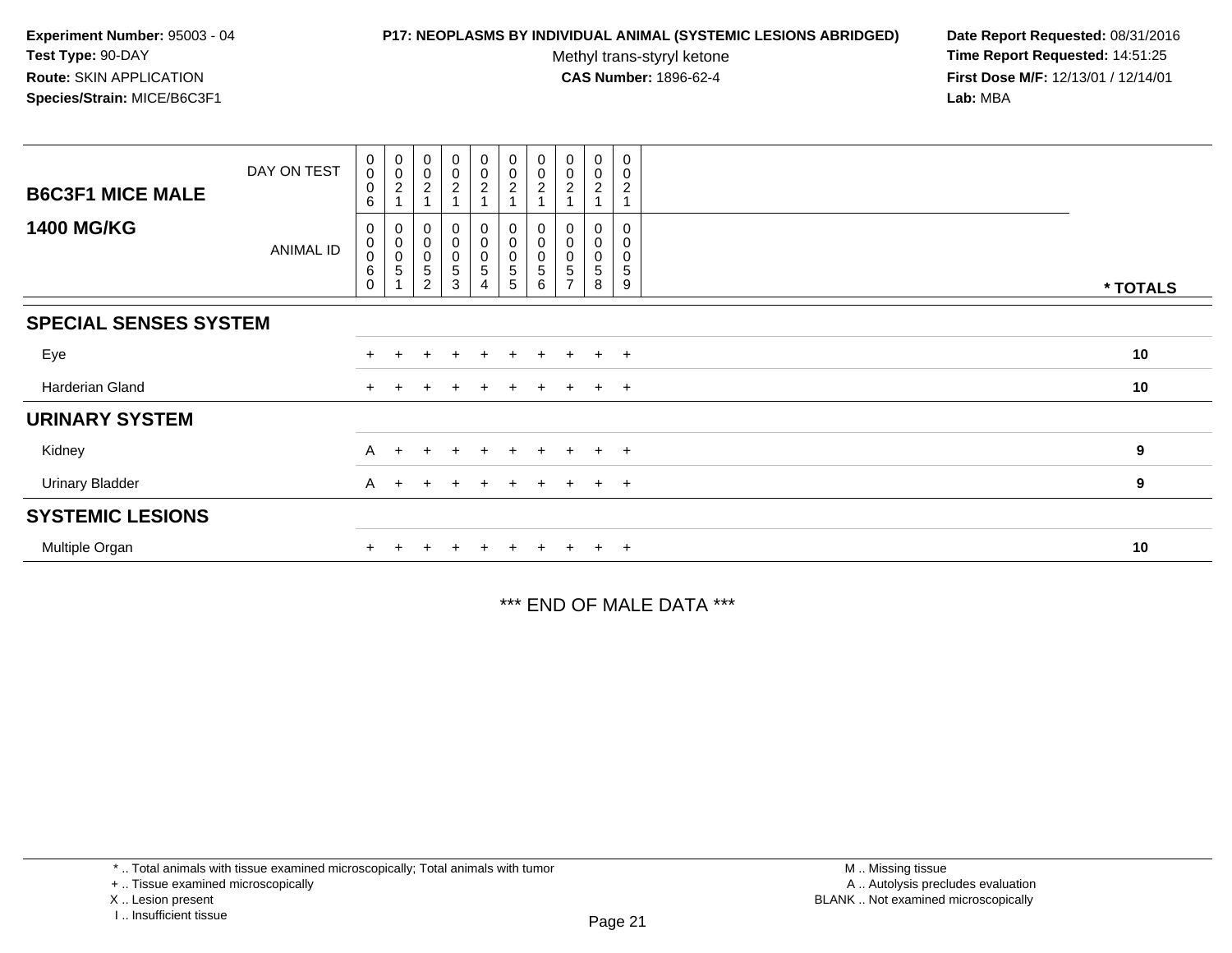#### **P17: NEOPLASMS BY INDIVIDUAL ANIMAL (SYSTEMIC LESIONS ABRIDGED) Date Report Requested:** 08/31/2016

Methyl trans-styryl ketone<br>CAS Number: 1896-62-4

 **Time Report Requested:** 14:51:25 **First Dose M/F:** 12/13/01 / 12/14/01<br>**Lab:** MBA **Lab:** MBA

| <b>B6C3F1 MICE MALE</b>      | DAY ON TEST | $\boldsymbol{0}$<br>$\boldsymbol{0}$<br>$\mathbf 0$<br>6         | $_{\rm 0}^{\rm 0}$<br>$\overline{\mathbf{c}}$ | $_{\rm 0}^{\rm 0}$<br>$\overline{c}$                                   | $\begin{smallmatrix} 0\\0 \end{smallmatrix}$<br>$\overline{c}$ | $\begin{smallmatrix} 0\\0\\2 \end{smallmatrix}$                            | $\begin{smallmatrix}0\\0\\2\end{smallmatrix}$<br>$\overline{1}$ | $\pmb{0}$<br>$\pmb{0}$<br>2 | $_{\rm 0}^{\rm 0}$<br>$\overline{c}$ | $\pmb{0}$<br>$\mathsf 0$<br>$\overline{c}$ | 0<br>0<br>$\overline{c}$            |          |
|------------------------------|-------------|------------------------------------------------------------------|-----------------------------------------------|------------------------------------------------------------------------|----------------------------------------------------------------|----------------------------------------------------------------------------|-----------------------------------------------------------------|-----------------------------|--------------------------------------|--------------------------------------------|-------------------------------------|----------|
| <b>1400 MG/KG</b>            | ANIMAL ID   | $\boldsymbol{0}$<br>$_{\rm 0}^{\rm 0}$<br>$\,6\,$<br>$\mathbf 0$ | $\pmb{0}$<br>$\pmb{0}$<br>5                   | 0<br>$\begin{smallmatrix}0\\0\end{smallmatrix}$<br>5<br>$\overline{c}$ | 0<br>0<br>$\begin{array}{c} 0 \\ 5 \end{array}$<br>3           | $\mathbf 0$<br>$\begin{matrix} 0 \\ 0 \\ 5 \end{matrix}$<br>$\overline{4}$ | $\pmb{0}$<br>$\begin{matrix} 0 \\ 0 \\ 5 \end{matrix}$<br>5     | 0<br>0<br>5<br>6            | 5                                    | 0<br>0<br>0<br>5<br>8                      | 0<br>0<br>0<br>$5\phantom{.0}$<br>9 | * TOTALS |
| <b>SPECIAL SENSES SYSTEM</b> |             |                                                                  |                                               |                                                                        |                                                                |                                                                            |                                                                 |                             |                                      |                                            |                                     |          |
| Eye                          |             | $+$                                                              |                                               |                                                                        | $\pm$                                                          | $\pm$                                                                      | $+$                                                             | $\pm$                       |                                      | $+$                                        | $+$                                 | 10       |
| Harderian Gland              |             | $+$                                                              |                                               | $\pm$                                                                  | $\pm$                                                          | $\pm$                                                                      | $+$                                                             | $+$                         | $+$                                  | $+$ $+$                                    |                                     | 10       |
| <b>URINARY SYSTEM</b>        |             |                                                                  |                                               |                                                                        |                                                                |                                                                            |                                                                 |                             |                                      |                                            |                                     |          |
| Kidney                       |             | A                                                                | $\ddot{}$                                     | $+$                                                                    | $\pm$                                                          | $\pm$                                                                      | $+$                                                             |                             |                                      | $+$                                        | $+$                                 | 9        |
| <b>Urinary Bladder</b>       |             | A                                                                | $\pm$                                         | $+$                                                                    | $+$                                                            | $+$                                                                        | $+$                                                             | $+$                         | $+$                                  | $+$ $+$                                    |                                     | 9        |
| <b>SYSTEMIC LESIONS</b>      |             |                                                                  |                                               |                                                                        |                                                                |                                                                            |                                                                 |                             |                                      |                                            |                                     |          |
| Multiple Organ               |             |                                                                  |                                               |                                                                        | $\pm$                                                          | $\pm$                                                                      | $+$                                                             |                             |                                      | $+$                                        | $+$                                 | 10       |

\*\*\* END OF MALE DATA \*\*\*

<sup>\* ..</sup> Total animals with tissue examined microscopically; Total animals with tumor

<sup>+ ..</sup> Tissue examined microscopically

X .. Lesion present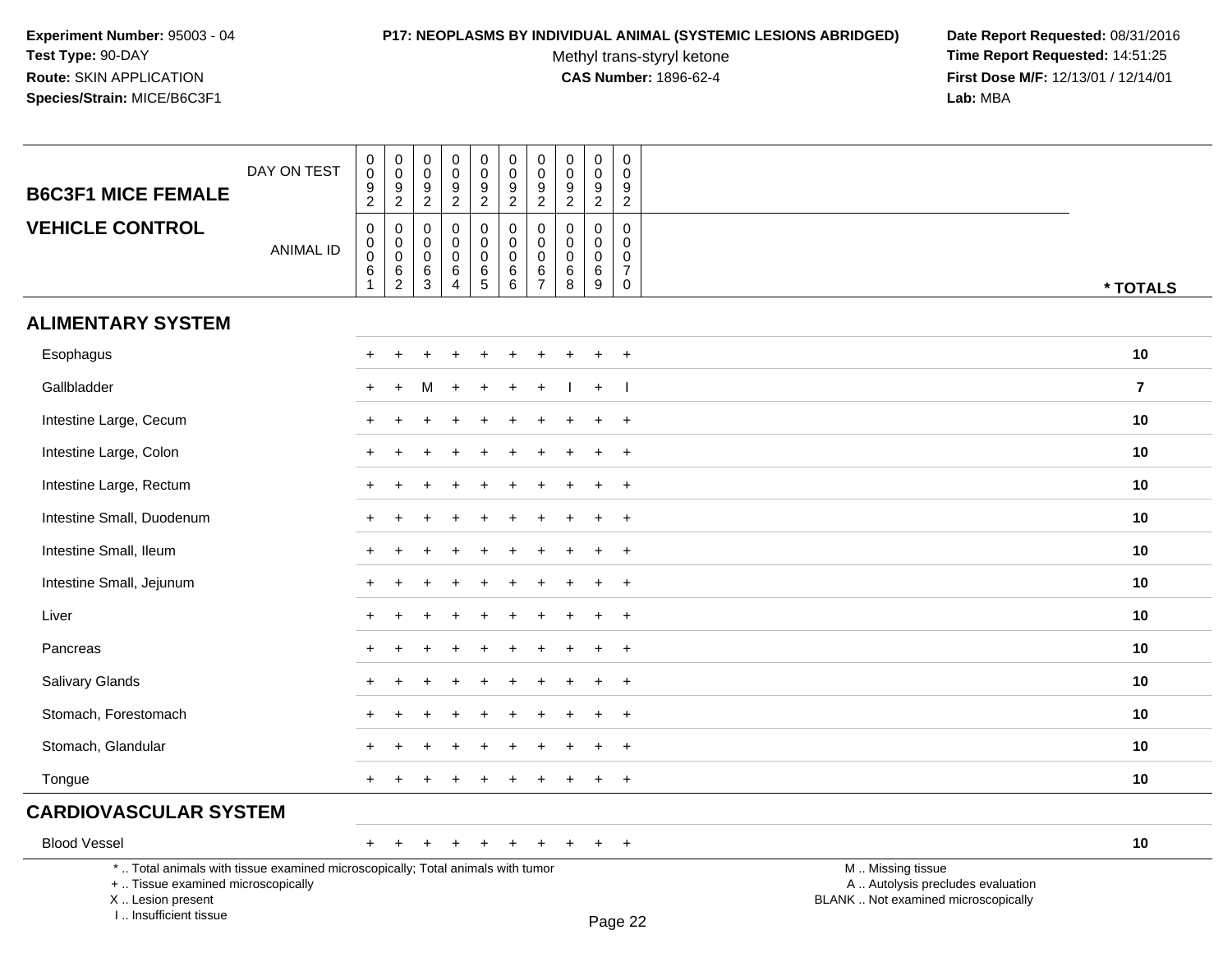I .. Insufficient tissue

#### **P17: NEOPLASMS BY INDIVIDUAL ANIMAL (SYSTEMIC LESIONS ABRIDGED) Date Report Requested:** 08/31/2016

Methyl trans-styryl ketone<br>CAS Number: 1896-62-4

 **Time Report Requested:** 14:51:25 **First Dose M/F:** 12/13/01 / 12/14/01<br>Lab: MBA **Lab:** MBA

| <b>B6C3F1 MICE FEMALE</b>                                                                                                                 | DAY ON TEST      | 0<br>$\pmb{0}$<br>9<br>$\overline{2}$                    | $\mathbf 0$<br>$\mathbf 0$<br>$\frac{9}{2}$                            | $\pmb{0}$<br>$\mathbf 0$<br>$\frac{9}{2}$ | 0<br>0<br>$\frac{9}{2}$                                          | $\pmb{0}$<br>$\mathsf 0$<br>$\frac{9}{2}$      | $\pmb{0}$<br>$\mathbf 0$<br>$\frac{9}{2}$ | $\pmb{0}$<br>$\mathbf 0$<br>$\frac{9}{2}$                            | 0<br>$\mathbf 0$<br>9<br>$\overline{2}$         | 0<br>$\mathbf 0$<br>9<br>$\overline{2}$                   | $\pmb{0}$<br>$\mathbf 0$<br>9<br>$\overline{2}$        |                                                                                               |                |
|-------------------------------------------------------------------------------------------------------------------------------------------|------------------|----------------------------------------------------------|------------------------------------------------------------------------|-------------------------------------------|------------------------------------------------------------------|------------------------------------------------|-------------------------------------------|----------------------------------------------------------------------|-------------------------------------------------|-----------------------------------------------------------|--------------------------------------------------------|-----------------------------------------------------------------------------------------------|----------------|
| <b>VEHICLE CONTROL</b>                                                                                                                    | <b>ANIMAL ID</b> | 0<br>$\pmb{0}$<br>$\pmb{0}$<br>6<br>$\blacktriangleleft$ | $\mathbf 0$<br>$\mathbf 0$<br>$\mathbf 0$<br>$\,6\,$<br>$\overline{2}$ | $\mathbf 0$<br>$\mathbf 0$<br>0<br>6<br>3 | $\mathbf 0$<br>$\mathbf 0$<br>$\mathbf 0$<br>6<br>$\overline{4}$ | 0<br>$\mathsf 0$<br>$\pmb{0}$<br>$\frac{6}{5}$ | 0<br>$\mathbf 0$<br>0<br>$\,6\,$<br>6     | $\mathbf 0$<br>$\pmb{0}$<br>$\mathbf 0$<br>$\,6\,$<br>$\overline{7}$ | 0<br>$\mathbf 0$<br>$\mathbf 0$<br>$\,6\,$<br>8 | $\mathbf 0$<br>$\mathbf 0$<br>$\mathbf 0$<br>$\,6\,$<br>9 | $\mathbf 0$<br>$\mathbf 0$<br>0<br>$\overline{7}$<br>0 |                                                                                               | * TOTALS       |
| <b>ALIMENTARY SYSTEM</b>                                                                                                                  |                  |                                                          |                                                                        |                                           |                                                                  |                                                |                                           |                                                                      |                                                 |                                                           |                                                        |                                                                                               |                |
| Esophagus                                                                                                                                 |                  |                                                          |                                                                        |                                           |                                                                  |                                                |                                           |                                                                      |                                                 |                                                           | $\ddot{}$                                              |                                                                                               | 10             |
| Gallbladder                                                                                                                               |                  | $\ddot{}$                                                | $\div$                                                                 | м                                         |                                                                  |                                                |                                           |                                                                      |                                                 | $\pm$                                                     |                                                        |                                                                                               | $\overline{7}$ |
| Intestine Large, Cecum                                                                                                                    |                  | $\ddot{}$                                                |                                                                        |                                           |                                                                  |                                                |                                           |                                                                      |                                                 | ÷                                                         | $+$                                                    |                                                                                               | 10             |
| Intestine Large, Colon                                                                                                                    |                  |                                                          |                                                                        |                                           |                                                                  |                                                |                                           |                                                                      |                                                 |                                                           | $\overline{ }$                                         |                                                                                               | 10             |
| Intestine Large, Rectum                                                                                                                   |                  |                                                          |                                                                        |                                           |                                                                  |                                                |                                           |                                                                      |                                                 |                                                           | $\ddot{}$                                              |                                                                                               | 10             |
| Intestine Small, Duodenum                                                                                                                 |                  | +                                                        |                                                                        |                                           |                                                                  |                                                |                                           |                                                                      |                                                 |                                                           | $\ddot{}$                                              |                                                                                               | 10             |
| Intestine Small, Ileum                                                                                                                    |                  | $\ddot{}$                                                |                                                                        |                                           |                                                                  |                                                |                                           |                                                                      |                                                 |                                                           | $\ddot{}$                                              |                                                                                               | 10             |
| Intestine Small, Jejunum                                                                                                                  |                  |                                                          |                                                                        |                                           |                                                                  |                                                |                                           |                                                                      |                                                 |                                                           | $\ddot{}$                                              |                                                                                               | 10             |
| Liver                                                                                                                                     |                  |                                                          |                                                                        |                                           |                                                                  |                                                |                                           |                                                                      |                                                 |                                                           | $\ddot{}$                                              |                                                                                               | 10             |
| Pancreas                                                                                                                                  |                  | +                                                        |                                                                        |                                           |                                                                  |                                                |                                           |                                                                      |                                                 |                                                           | $\ddot{}$                                              |                                                                                               | 10             |
| <b>Salivary Glands</b>                                                                                                                    |                  | $+$                                                      |                                                                        |                                           |                                                                  |                                                |                                           |                                                                      |                                                 |                                                           | $+$                                                    |                                                                                               | 10             |
| Stomach, Forestomach                                                                                                                      |                  |                                                          |                                                                        |                                           |                                                                  |                                                |                                           |                                                                      |                                                 |                                                           | $\ddot{}$                                              |                                                                                               | 10             |
| Stomach, Glandular                                                                                                                        |                  |                                                          |                                                                        |                                           |                                                                  |                                                |                                           |                                                                      |                                                 |                                                           |                                                        |                                                                                               | 10             |
| Tongue                                                                                                                                    |                  | $\ddot{}$                                                |                                                                        |                                           |                                                                  |                                                |                                           |                                                                      |                                                 |                                                           | $\ddot{}$                                              |                                                                                               | 10             |
| <b>CARDIOVASCULAR SYSTEM</b>                                                                                                              |                  |                                                          |                                                                        |                                           |                                                                  |                                                |                                           |                                                                      |                                                 |                                                           |                                                        |                                                                                               |                |
| <b>Blood Vessel</b>                                                                                                                       |                  | $+$                                                      | $\ddot{}$                                                              | +                                         | $\ddot{}$                                                        | $\overline{+}$                                 | $\ddot{}$                                 | $\ddot{}$                                                            | $\ddot{}$                                       | $+$                                                       | $+$                                                    |                                                                                               | 10             |
| *  Total animals with tissue examined microscopically; Total animals with tumor<br>+  Tissue examined microscopically<br>X Lesion present |                  |                                                          |                                                                        |                                           |                                                                  |                                                |                                           |                                                                      |                                                 |                                                           |                                                        | M  Missing tissue<br>A  Autolysis precludes evaluation<br>BLANK  Not examined microscopically |                |

Page 22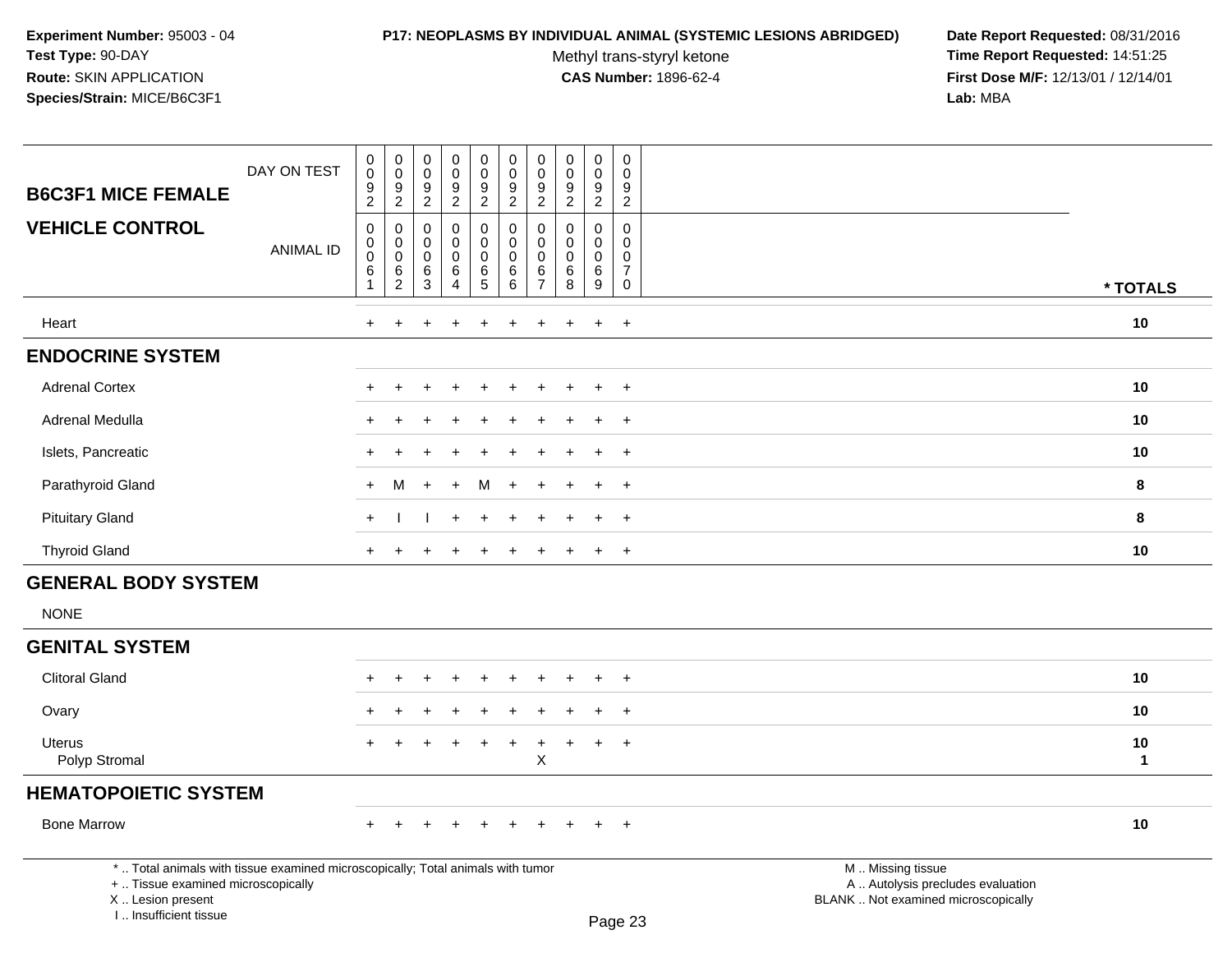# **P17: NEOPLASMS BY INDIVIDUAL ANIMAL (SYSTEMIC LESIONS ABRIDGED) Date Report Requested:** 08/31/2016

Methyl trans-styryl ketone<br>CAS Number: 1896-62-4

| <b>B6C3F1 MICE FEMALE</b>                                                                                                                                           | DAY ON TEST      | $\mathbf 0$<br>$\overline{0}$<br>$\frac{9}{2}$                        | $\begin{array}{c} 0 \\ 0 \\ 9 \\ 2 \end{array}$                 | $\pmb{0}$<br>$\mathbf 0$<br>9<br>$\overline{2}$          | $\pmb{0}$<br>$\overline{0}$<br>9<br>$\overline{c}$      | $\begin{array}{c} 0 \\ 0 \\ 9 \\ 2 \end{array}$                            | $_{\rm 0}^{\rm 0}$<br>$\frac{9}{2}$                                  | $\begin{smallmatrix}0\\0\end{smallmatrix}$<br>9<br>$\overline{2}$ | $_{\rm 0}^{\rm 0}$<br>$\frac{9}{2}$                                | $\mathsf{O}\xspace$<br>$\mathbf 0$<br>$\frac{9}{2}$ | $\pmb{0}$<br>$\mathbf 0$<br>$9\,$<br>$\overline{2}$            |                                                                                               |                    |
|---------------------------------------------------------------------------------------------------------------------------------------------------------------------|------------------|-----------------------------------------------------------------------|-----------------------------------------------------------------|----------------------------------------------------------|---------------------------------------------------------|----------------------------------------------------------------------------|----------------------------------------------------------------------|-------------------------------------------------------------------|--------------------------------------------------------------------|-----------------------------------------------------|----------------------------------------------------------------|-----------------------------------------------------------------------------------------------|--------------------|
| <b>VEHICLE CONTROL</b>                                                                                                                                              | <b>ANIMAL ID</b> | $\mathbf 0$<br>$\mathbf 0$<br>$\boldsymbol{0}$<br>$6\phantom{1}$<br>1 | $\boldsymbol{0}$<br>$\overline{0}$<br>$\,6\,$<br>$\overline{2}$ | $\mathbf 0$<br>$\mathbf 0$<br>$\boldsymbol{0}$<br>6<br>3 | $\mathbf 0$<br>$\mathbf 0$<br>$\pmb{0}$<br>$\,6\,$<br>4 | $\mathsf{O}\xspace$<br>$\mathbf 0$<br>$\mathsf{O}\xspace$<br>$\frac{6}{5}$ | $\pmb{0}$<br>$\mathbf 0$<br>$\mathbf 0$<br>$\,6\,$<br>$\overline{6}$ | $\pmb{0}$<br>$\pmb{0}$<br>$\pmb{0}$<br>$\,6\,$<br>$\overline{7}$  | $\pmb{0}$<br>$\mathbf 0$<br>$\pmb{0}$<br>$\,6\,$<br>$\overline{8}$ | $\mathbf 0$<br>$\mathbf 0$<br>$\mathbf 0$<br>6<br>9 | 0<br>$\mathbf 0$<br>$\mathbf 0$<br>$\overline{7}$<br>$\pmb{0}$ |                                                                                               | * TOTALS           |
| Heart                                                                                                                                                               |                  | $\ddot{}$                                                             |                                                                 |                                                          |                                                         |                                                                            |                                                                      |                                                                   |                                                                    | $\ddot{}$                                           | $\overline{+}$                                                 |                                                                                               | 10                 |
| <b>ENDOCRINE SYSTEM</b>                                                                                                                                             |                  |                                                                       |                                                                 |                                                          |                                                         |                                                                            |                                                                      |                                                                   |                                                                    |                                                     |                                                                |                                                                                               |                    |
| <b>Adrenal Cortex</b>                                                                                                                                               |                  |                                                                       |                                                                 |                                                          |                                                         |                                                                            |                                                                      |                                                                   |                                                                    |                                                     | $\ddot{}$                                                      |                                                                                               | 10                 |
| Adrenal Medulla                                                                                                                                                     |                  |                                                                       |                                                                 |                                                          |                                                         |                                                                            |                                                                      |                                                                   |                                                                    |                                                     | $\ddot{}$                                                      |                                                                                               | 10                 |
| Islets, Pancreatic                                                                                                                                                  |                  |                                                                       |                                                                 |                                                          |                                                         |                                                                            |                                                                      |                                                                   |                                                                    |                                                     | $\overline{+}$                                                 |                                                                                               | 10                 |
| Parathyroid Gland                                                                                                                                                   |                  | $+$                                                                   | м                                                               | $+$                                                      |                                                         | м                                                                          | $\div$                                                               |                                                                   |                                                                    | ÷.                                                  | $+$                                                            |                                                                                               | 8                  |
| <b>Pituitary Gland</b>                                                                                                                                              |                  | $+$                                                                   |                                                                 |                                                          |                                                         |                                                                            |                                                                      |                                                                   |                                                                    |                                                     | $\overline{+}$                                                 |                                                                                               | 8                  |
| <b>Thyroid Gland</b>                                                                                                                                                |                  | $+$                                                                   |                                                                 |                                                          |                                                         | $\div$                                                                     | $\ddot{}$                                                            | $\ddot{}$                                                         | $\pm$                                                              | $\ddot{}$                                           | $+$                                                            |                                                                                               | 10                 |
| <b>GENERAL BODY SYSTEM</b>                                                                                                                                          |                  |                                                                       |                                                                 |                                                          |                                                         |                                                                            |                                                                      |                                                                   |                                                                    |                                                     |                                                                |                                                                                               |                    |
| <b>NONE</b>                                                                                                                                                         |                  |                                                                       |                                                                 |                                                          |                                                         |                                                                            |                                                                      |                                                                   |                                                                    |                                                     |                                                                |                                                                                               |                    |
| <b>GENITAL SYSTEM</b>                                                                                                                                               |                  |                                                                       |                                                                 |                                                          |                                                         |                                                                            |                                                                      |                                                                   |                                                                    |                                                     |                                                                |                                                                                               |                    |
| <b>Clitoral Gland</b>                                                                                                                                               |                  |                                                                       |                                                                 |                                                          |                                                         |                                                                            |                                                                      |                                                                   |                                                                    | ÷                                                   | $+$                                                            |                                                                                               | 10                 |
| Ovary                                                                                                                                                               |                  |                                                                       |                                                                 |                                                          |                                                         |                                                                            |                                                                      |                                                                   |                                                                    |                                                     | $\ddot{}$                                                      |                                                                                               | 10                 |
| <b>Uterus</b><br>Polyp Stromal                                                                                                                                      |                  |                                                                       |                                                                 |                                                          |                                                         |                                                                            | ÷                                                                    | $\ddot{}$<br>$\boldsymbol{\mathsf{X}}$                            | $\pm$                                                              | $\ddot{}$                                           | $+$                                                            |                                                                                               | 10<br>$\mathbf{1}$ |
| <b>HEMATOPOIETIC SYSTEM</b>                                                                                                                                         |                  |                                                                       |                                                                 |                                                          |                                                         |                                                                            |                                                                      |                                                                   |                                                                    |                                                     |                                                                |                                                                                               |                    |
| <b>Bone Marrow</b>                                                                                                                                                  |                  |                                                                       |                                                                 |                                                          |                                                         |                                                                            |                                                                      |                                                                   |                                                                    |                                                     | $\ddot{}$                                                      |                                                                                               | 10                 |
| *  Total animals with tissue examined microscopically; Total animals with tumor<br>+  Tissue examined microscopically<br>X  Lesion present<br>I Insufficient tissue |                  |                                                                       |                                                                 |                                                          |                                                         |                                                                            |                                                                      |                                                                   |                                                                    |                                                     | Page 23                                                        | M  Missing tissue<br>A  Autolysis precludes evaluation<br>BLANK  Not examined microscopically |                    |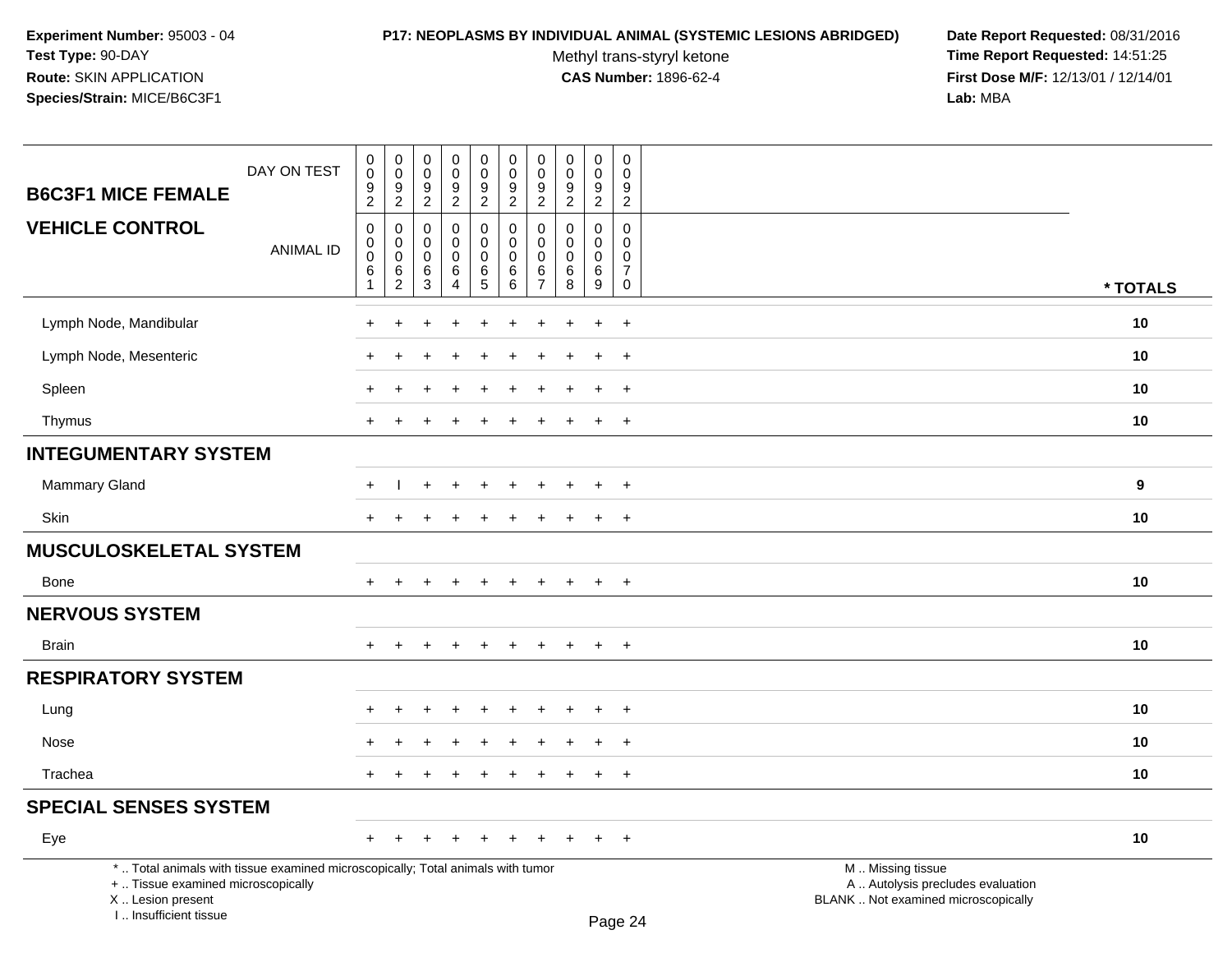#### **P17: NEOPLASMS BY INDIVIDUAL ANIMAL (SYSTEMIC LESIONS ABRIDGED) Date Report Requested:** 08/31/2016

Methyl trans-styryl ketone<br>CAS Number: 1896-62-4

| DAY ON TEST                                                                                                                                                         | $\pmb{0}$<br>0                                                     | $\pmb{0}$<br>$\mathbf 0$                                               | $\pmb{0}$<br>$\mathbf 0$                                             | $\mathsf 0$<br>$\mathbf 0$                       | $\pmb{0}$<br>$\mathsf{O}\xspace$            | $\pmb{0}$<br>$\mathbf 0$<br>$9\,$               | 0<br>$\mathbf 0$<br>$\boldsymbol{9}$                            | $\mathsf 0$<br>$\Omega$<br>9                        | $\pmb{0}$<br>0                      | $\mathsf 0$<br>$\Omega$<br>9                                               |                                                                                               |          |
|---------------------------------------------------------------------------------------------------------------------------------------------------------------------|--------------------------------------------------------------------|------------------------------------------------------------------------|----------------------------------------------------------------------|--------------------------------------------------|---------------------------------------------|-------------------------------------------------|-----------------------------------------------------------------|-----------------------------------------------------|-------------------------------------|----------------------------------------------------------------------------|-----------------------------------------------------------------------------------------------|----------|
| <b>B6C3F1 MICE FEMALE</b>                                                                                                                                           | $\frac{9}{2}$                                                      | $\frac{9}{2}$                                                          | $\frac{9}{2}$                                                        | $\frac{9}{2}$                                    | $\frac{9}{2}$                               | $\overline{2}$                                  | $\overline{2}$                                                  | $\overline{2}$                                      | $\frac{9}{2}$                       | $\overline{2}$                                                             |                                                                                               |          |
| <b>VEHICLE CONTROL</b><br><b>ANIMAL ID</b>                                                                                                                          | $\mathbf 0$<br>$\mathsf{O}\xspace$<br>$\mathbf 0$<br>$\,6\,$<br>-1 | $\mathbf 0$<br>$\mathbf 0$<br>$\mathbf 0$<br>$\,6\,$<br>$\overline{2}$ | $\mathbf 0$<br>$\mathbf 0$<br>$\mathbf 0$<br>$\,6$<br>$\overline{3}$ | 0<br>0<br>0<br>$\,6\,$<br>$\boldsymbol{\Lambda}$ | 0<br>$\mathbf 0$<br>$\pmb{0}$<br>$6\over 5$ | 0<br>$\mathbf 0$<br>$\mathbf 0$<br>$\,6\,$<br>6 | $\mathbf{0}$<br>$\mathbf{0}$<br>$\Omega$<br>6<br>$\overline{7}$ | $\Omega$<br>$\Omega$<br>$\mathbf 0$<br>$\,6\,$<br>8 | $\Omega$<br>0<br>0<br>$\frac{6}{9}$ | $\mathbf 0$<br>$\mathbf 0$<br>$\mathbf 0$<br>$\overline{7}$<br>$\mathbf 0$ |                                                                                               | * TOTALS |
|                                                                                                                                                                     |                                                                    |                                                                        |                                                                      |                                                  |                                             |                                                 |                                                                 |                                                     |                                     |                                                                            |                                                                                               |          |
| Lymph Node, Mandibular                                                                                                                                              | $\pm$                                                              | ÷                                                                      |                                                                      | $\div$                                           | $\ddot{}$                                   | $\overline{ }$                                  | ÷                                                               | ÷                                                   | $\ddot{}$                           | $+$                                                                        |                                                                                               | 10       |
| Lymph Node, Mesenteric                                                                                                                                              |                                                                    |                                                                        |                                                                      |                                                  |                                             |                                                 |                                                                 |                                                     |                                     | $\overline{+}$                                                             |                                                                                               | 10       |
| Spleen                                                                                                                                                              |                                                                    |                                                                        |                                                                      |                                                  |                                             |                                                 |                                                                 |                                                     | $\ddot{}$                           | $\ddot{}$                                                                  |                                                                                               | 10       |
| Thymus                                                                                                                                                              | $+$                                                                | $\ddot{}$                                                              |                                                                      | $\div$                                           | $\pm$                                       | $\pm$                                           | $\pm$                                                           | ÷                                                   | $+$                                 | $+$                                                                        |                                                                                               | 10       |
| <b>INTEGUMENTARY SYSTEM</b>                                                                                                                                         |                                                                    |                                                                        |                                                                      |                                                  |                                             |                                                 |                                                                 |                                                     |                                     |                                                                            |                                                                                               |          |
| <b>Mammary Gland</b>                                                                                                                                                | $+$                                                                |                                                                        | $\ddot{}$                                                            | $+$                                              | $\ddot{}$                                   | $\ddot{}$                                       | $\pm$                                                           | $\pm$                                               | $\ddot{}$                           | $+$                                                                        |                                                                                               | 9        |
| Skin                                                                                                                                                                | $+$                                                                | $\ddot{}$                                                              |                                                                      | $\div$                                           | +                                           | $\pm$                                           | $\pm$                                                           |                                                     | $\ddot{}$                           | $+$                                                                        |                                                                                               | 10       |
| <b>MUSCULOSKELETAL SYSTEM</b>                                                                                                                                       |                                                                    |                                                                        |                                                                      |                                                  |                                             |                                                 |                                                                 |                                                     |                                     |                                                                            |                                                                                               |          |
| Bone                                                                                                                                                                | $+$                                                                |                                                                        |                                                                      |                                                  | $\ddot{}$                                   | $\ddot{}$                                       | $\pm$                                                           | $\ddot{}$                                           | $\ddot{}$                           | $+$                                                                        |                                                                                               | 10       |
| <b>NERVOUS SYSTEM</b>                                                                                                                                               |                                                                    |                                                                        |                                                                      |                                                  |                                             |                                                 |                                                                 |                                                     |                                     |                                                                            |                                                                                               |          |
| Brain                                                                                                                                                               |                                                                    |                                                                        |                                                                      |                                                  |                                             |                                                 |                                                                 |                                                     | $\ddot{}$                           | $+$                                                                        |                                                                                               | 10       |
| <b>RESPIRATORY SYSTEM</b>                                                                                                                                           |                                                                    |                                                                        |                                                                      |                                                  |                                             |                                                 |                                                                 |                                                     |                                     |                                                                            |                                                                                               |          |
| Lung                                                                                                                                                                |                                                                    |                                                                        |                                                                      |                                                  |                                             |                                                 |                                                                 |                                                     |                                     | $\ddot{}$                                                                  |                                                                                               | 10       |
| Nose                                                                                                                                                                |                                                                    |                                                                        |                                                                      |                                                  |                                             |                                                 |                                                                 |                                                     | $\div$                              | $+$                                                                        |                                                                                               | 10       |
| Trachea                                                                                                                                                             | $\pm$                                                              | ÷                                                                      |                                                                      | $\ddot{}$                                        | $\ddot{}$                                   | $\pm$                                           | $\pm$                                                           | $\pm$                                               | $\ddot{}$                           | $+$                                                                        |                                                                                               | 10       |
| <b>SPECIAL SENSES SYSTEM</b>                                                                                                                                        |                                                                    |                                                                        |                                                                      |                                                  |                                             |                                                 |                                                                 |                                                     |                                     |                                                                            |                                                                                               |          |
| Eye                                                                                                                                                                 | $+$                                                                | $\pm$                                                                  |                                                                      | $\ddot{}$                                        | $\ddot{}$                                   | $\pm$                                           | $\pm$                                                           |                                                     | $\pm$                               | $+$                                                                        |                                                                                               | 10       |
| *  Total animals with tissue examined microscopically; Total animals with tumor<br>+  Tissue examined microscopically<br>X  Lesion present<br>I Insufficient tissue |                                                                    |                                                                        |                                                                      |                                                  |                                             |                                                 |                                                                 |                                                     |                                     | $D_{200}$ $24$                                                             | M  Missing tissue<br>A  Autolysis precludes evaluation<br>BLANK  Not examined microscopically |          |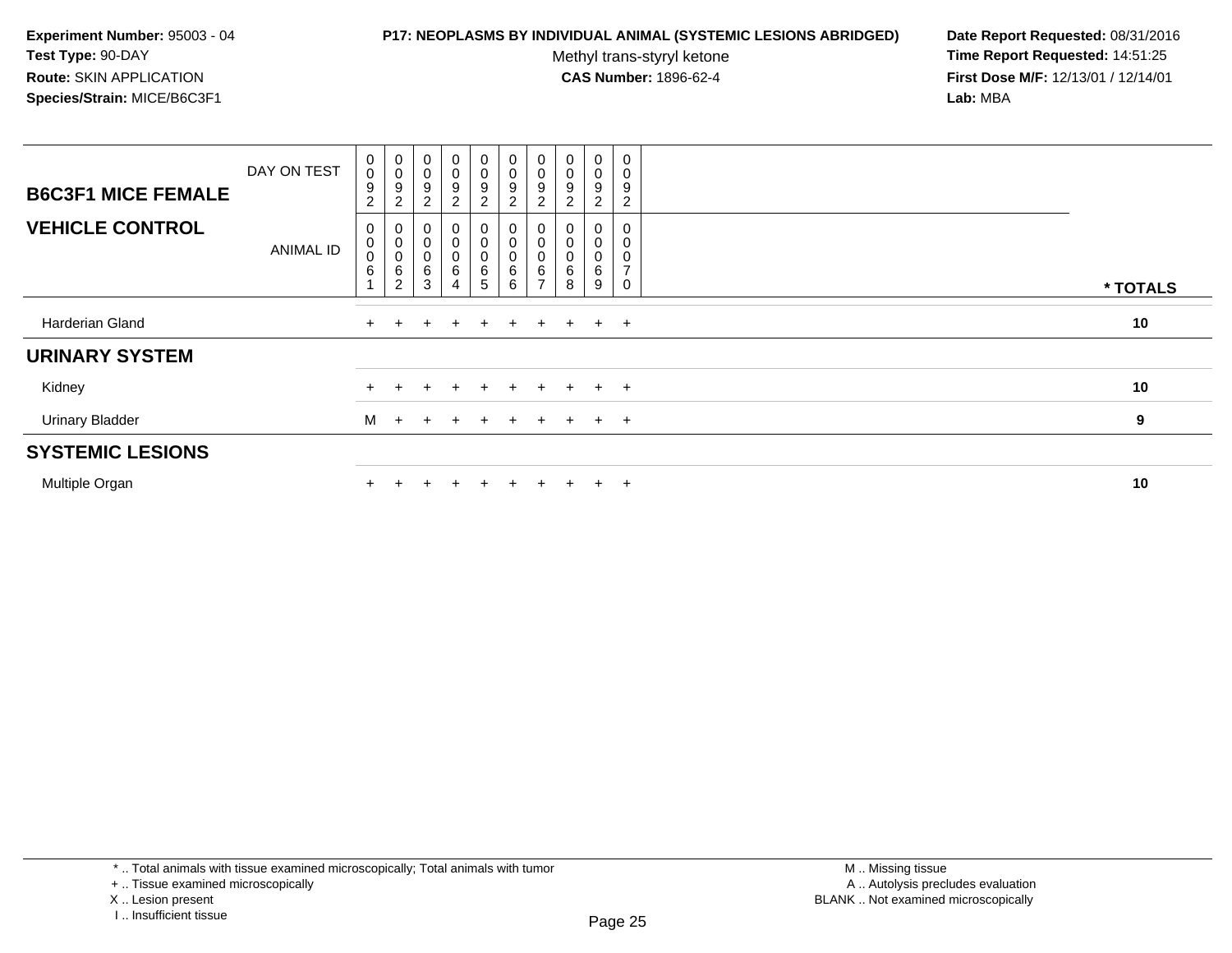#### **P17: NEOPLASMS BY INDIVIDUAL ANIMAL (SYSTEMIC LESIONS ABRIDGED) Date Report Requested:** 08/31/2016

Methyl trans-styryl ketone<br>CAS Number: 1896-62-4

| <b>B6C3F1 MICE FEMALE</b> | DAY ON TEST      | $\pmb{0}$<br>$\mathbf 0$<br>$\boldsymbol{9}$<br>$\overline{c}$ | $_{\rm 0}^{\rm 0}$<br>$\boldsymbol{9}$<br>$\boldsymbol{2}$ | $\pmb{0}$<br>$\mathbf 0$<br>9<br>$\boldsymbol{2}$ | $\mathbf 0$<br>0<br>9<br>$\overline{a}$ | $\pmb{0}$<br>0<br>$\frac{9}{2}$                        | $\begin{smallmatrix} 0\\0 \end{smallmatrix}$<br>$\boldsymbol{9}$<br>$\overline{c}$ | $\pmb{0}$<br>$\pmb{0}$<br>9<br>$\sqrt{2}$    | $\pmb{0}$<br>$\pmb{0}$<br>9<br>$\overline{c}$ | 0<br>0<br>9<br>$\overline{c}$ | 0<br>9<br>$\overline{\mathbf{c}}$ |          |
|---------------------------|------------------|----------------------------------------------------------------|------------------------------------------------------------|---------------------------------------------------|-----------------------------------------|--------------------------------------------------------|------------------------------------------------------------------------------------|----------------------------------------------|-----------------------------------------------|-------------------------------|-----------------------------------|----------|
| <b>VEHICLE CONTROL</b>    | <b>ANIMAL ID</b> | 0<br>$\pmb{0}$<br>$\pmb{0}$<br>6                               | 0<br>$\pmb{0}$<br>$\mathbf 0$<br>$\,6$<br>$\overline{c}$   | $\mathbf 0$<br>6<br>3                             | 0<br>$\pmb{0}$<br>0<br>6<br>4           | $\overline{0}$<br>$\mathbf 0$<br>$\mathbf 0$<br>6<br>5 | 0<br>$\mathbf 0$<br>$\mathbf 0$<br>$\,6$<br>6                                      | 0<br>$\pmb{0}$<br>$\pmb{0}$<br>$\frac{6}{7}$ | 0<br>$\overline{0}$<br>0<br>$\,6$<br>8        | 0<br>0<br>0<br>6<br>9         | ⇁                                 | * TOTALS |
| Harderian Gland           |                  |                                                                |                                                            | $\div$                                            | $\div$                                  | $+$                                                    | $+$                                                                                |                                              | $+$ $+$ $+$ $+$                               |                               |                                   | 10       |
| <b>URINARY SYSTEM</b>     |                  |                                                                |                                                            |                                                   |                                         |                                                        |                                                                                    |                                              |                                               |                               |                                   |          |
| Kidney                    |                  |                                                                |                                                            |                                                   |                                         | $+$                                                    | $+$                                                                                | $+$                                          | $+$                                           | $+$                           | $+$                               | 10       |
| <b>Urinary Bladder</b>    |                  | M                                                              | $+$                                                        | $+$                                               |                                         | $+$                                                    | $+$                                                                                | $+$                                          | $\pm$                                         | $\pm$                         | $+$                               | 9        |
| <b>SYSTEMIC LESIONS</b>   |                  |                                                                |                                                            |                                                   |                                         |                                                        |                                                                                    |                                              |                                               |                               |                                   |          |
| Multiple Organ            |                  |                                                                |                                                            |                                                   |                                         |                                                        |                                                                                    |                                              |                                               | $\pm$                         | $\div$                            | 10       |

I .. Insufficient tissue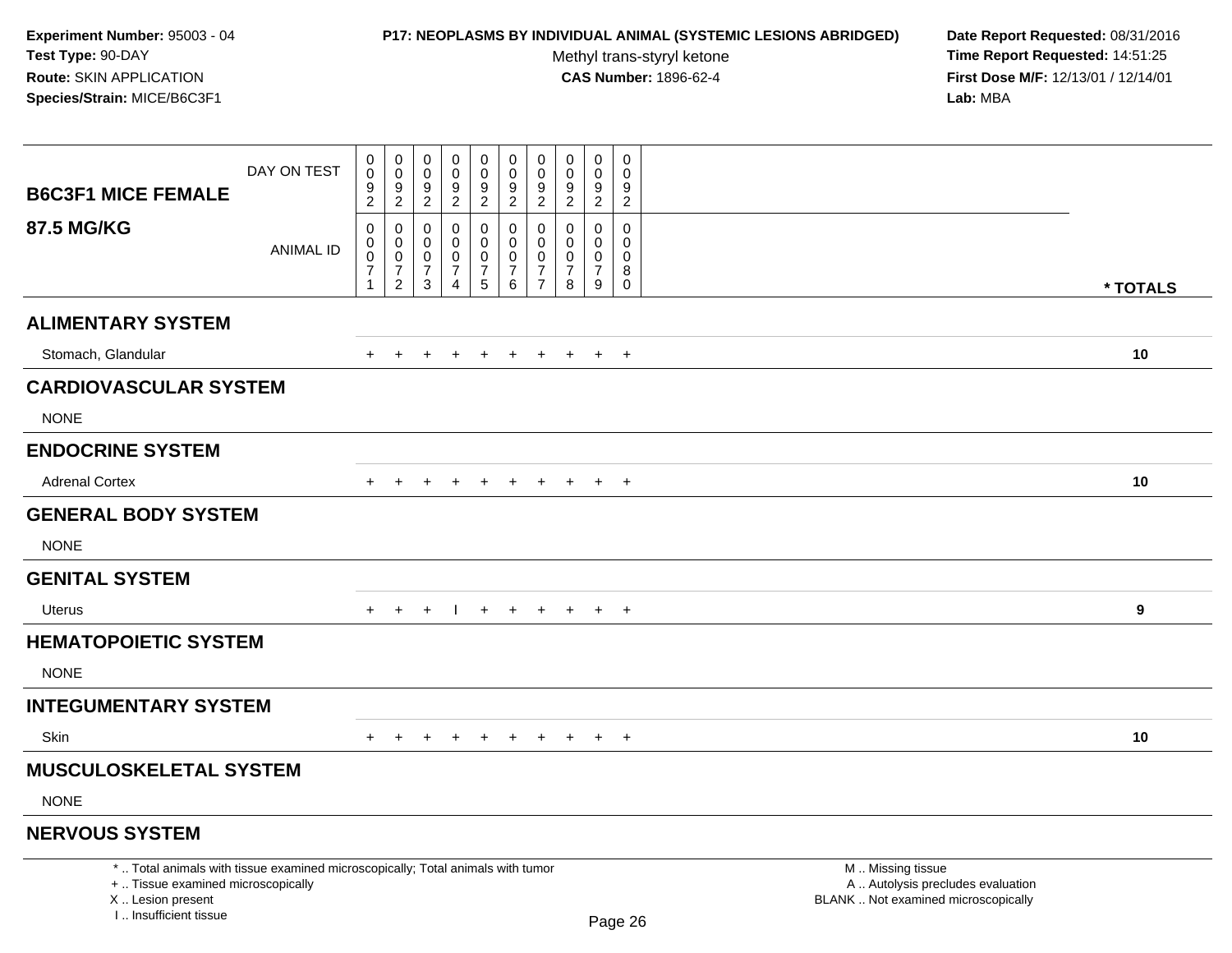### **P17: NEOPLASMS BY INDIVIDUAL ANIMAL (SYSTEMIC LESIONS ABRIDGED) Date Report Requested:** 08/31/2016

Methyl trans-styryl ketone<br>CAS Number: 1896-62-4

|                                                                                                                                                                     | DAY ON TEST      | $\pmb{0}$<br>$\mathsf{O}\xspace$                        | $_{\rm 0}^{\rm 0}$                                         | 0<br>$\mathbf 0$<br>9                                  | $\pmb{0}$<br>$\mathbf 0$<br>9                                                   | $\pmb{0}$<br>$\pmb{0}$<br>$\boldsymbol{9}$                          | 0<br>$\mathbf 0$                                         | $\pmb{0}$<br>$\mathbf 0$<br>$\boldsymbol{9}$                                | $\pmb{0}$<br>$\mathbf 0$<br>9                                    | $\pmb{0}$<br>$\mathbf 0$<br>9                               | $\pmb{0}$<br>$\Omega$<br>$9\,$                                           |                                                                                               |  |
|---------------------------------------------------------------------------------------------------------------------------------------------------------------------|------------------|---------------------------------------------------------|------------------------------------------------------------|--------------------------------------------------------|---------------------------------------------------------------------------------|---------------------------------------------------------------------|----------------------------------------------------------|-----------------------------------------------------------------------------|------------------------------------------------------------------|-------------------------------------------------------------|--------------------------------------------------------------------------|-----------------------------------------------------------------------------------------------|--|
| <b>B6C3F1 MICE FEMALE</b>                                                                                                                                           |                  | $\frac{9}{2}$                                           | $\frac{9}{2}$                                              | $\overline{2}$                                         | $\overline{2}$                                                                  | $\overline{2}$                                                      | $\frac{9}{2}$                                            | $\overline{2}$                                                              | $\overline{2}$                                                   | $\overline{2}$                                              | $\overline{2}$                                                           |                                                                                               |  |
| <b>87.5 MG/KG</b>                                                                                                                                                   | <b>ANIMAL ID</b> | $\pmb{0}$<br>$\pmb{0}$<br>$\frac{0}{7}$<br>$\mathbf{1}$ | $\mathbf 0$<br>$\mathbf 0$<br>$\mathbf 0$<br>$\frac{7}{2}$ | $\mathbf 0$<br>0<br>$\mathsf 0$<br>$\overline{7}$<br>3 | $\mathbf 0$<br>$\mathbf 0$<br>$\mathbf 0$<br>$\boldsymbol{7}$<br>$\overline{4}$ | $\mathbf 0$<br>0<br>$\mathsf 0$<br>$\overline{7}$<br>$\overline{5}$ | 0<br>$\mathbf 0$<br>$\mathsf{O}\xspace$<br>$\frac{7}{6}$ | $\mathbf 0$<br>$\mathbf 0$<br>$\pmb{0}$<br>$\overline{7}$<br>$\overline{7}$ | $\mathbf 0$<br>$\mathbf 0$<br>$\mathbf 0$<br>$\overline{7}$<br>8 | $\mathbf 0$<br>$\Omega$<br>$\pmb{0}$<br>$\overline{7}$<br>9 | $\mathbf 0$<br>$\mathbf 0$<br>$\boldsymbol{0}$<br>$\,8\,$<br>$\mathbf 0$ | * TOTALS                                                                                      |  |
| <b>ALIMENTARY SYSTEM</b>                                                                                                                                            |                  |                                                         |                                                            |                                                        |                                                                                 |                                                                     |                                                          |                                                                             |                                                                  |                                                             |                                                                          |                                                                                               |  |
| Stomach, Glandular                                                                                                                                                  |                  | $+$                                                     | $+$                                                        | $\ddot{}$                                              | $\ddot{}$                                                                       | $+$                                                                 | $+$                                                      | $+$                                                                         | $+$                                                              |                                                             | $+$ $+$                                                                  | 10                                                                                            |  |
| <b>CARDIOVASCULAR SYSTEM</b>                                                                                                                                        |                  |                                                         |                                                            |                                                        |                                                                                 |                                                                     |                                                          |                                                                             |                                                                  |                                                             |                                                                          |                                                                                               |  |
| <b>NONE</b>                                                                                                                                                         |                  |                                                         |                                                            |                                                        |                                                                                 |                                                                     |                                                          |                                                                             |                                                                  |                                                             |                                                                          |                                                                                               |  |
| <b>ENDOCRINE SYSTEM</b>                                                                                                                                             |                  |                                                         |                                                            |                                                        |                                                                                 |                                                                     |                                                          |                                                                             |                                                                  |                                                             |                                                                          |                                                                                               |  |
| <b>Adrenal Cortex</b>                                                                                                                                               |                  | $+$                                                     | $\overline{+}$                                             | ٠                                                      | $\div$                                                                          | $\ddot{}$                                                           | $\ddot{}$                                                | $\ddot{}$                                                                   | $+$                                                              | $+$                                                         | $+$                                                                      | 10                                                                                            |  |
| <b>GENERAL BODY SYSTEM</b>                                                                                                                                          |                  |                                                         |                                                            |                                                        |                                                                                 |                                                                     |                                                          |                                                                             |                                                                  |                                                             |                                                                          |                                                                                               |  |
| <b>NONE</b>                                                                                                                                                         |                  |                                                         |                                                            |                                                        |                                                                                 |                                                                     |                                                          |                                                                             |                                                                  |                                                             |                                                                          |                                                                                               |  |
| <b>GENITAL SYSTEM</b>                                                                                                                                               |                  |                                                         |                                                            |                                                        |                                                                                 |                                                                     |                                                          |                                                                             |                                                                  |                                                             |                                                                          |                                                                                               |  |
| Uterus                                                                                                                                                              |                  | $+$                                                     | $\ddot{}$                                                  | $\ddot{}$                                              |                                                                                 | $+$                                                                 | $+$                                                      | $+$                                                                         | $+$                                                              | $+$                                                         | $+$                                                                      | 9                                                                                             |  |
| <b>HEMATOPOIETIC SYSTEM</b>                                                                                                                                         |                  |                                                         |                                                            |                                                        |                                                                                 |                                                                     |                                                          |                                                                             |                                                                  |                                                             |                                                                          |                                                                                               |  |
| <b>NONE</b>                                                                                                                                                         |                  |                                                         |                                                            |                                                        |                                                                                 |                                                                     |                                                          |                                                                             |                                                                  |                                                             |                                                                          |                                                                                               |  |
| <b>INTEGUMENTARY SYSTEM</b>                                                                                                                                         |                  |                                                         |                                                            |                                                        |                                                                                 |                                                                     |                                                          |                                                                             |                                                                  |                                                             |                                                                          |                                                                                               |  |
| <b>Skin</b>                                                                                                                                                         |                  |                                                         |                                                            |                                                        |                                                                                 | $\div$                                                              | $\pm$                                                    | $\pm$                                                                       | $\pm$                                                            | $+$                                                         | $+$                                                                      | 10                                                                                            |  |
| <b>MUSCULOSKELETAL SYSTEM</b>                                                                                                                                       |                  |                                                         |                                                            |                                                        |                                                                                 |                                                                     |                                                          |                                                                             |                                                                  |                                                             |                                                                          |                                                                                               |  |
| <b>NONE</b>                                                                                                                                                         |                  |                                                         |                                                            |                                                        |                                                                                 |                                                                     |                                                          |                                                                             |                                                                  |                                                             |                                                                          |                                                                                               |  |
| <b>NERVOUS SYSTEM</b>                                                                                                                                               |                  |                                                         |                                                            |                                                        |                                                                                 |                                                                     |                                                          |                                                                             |                                                                  |                                                             |                                                                          |                                                                                               |  |
| *  Total animals with tissue examined microscopically; Total animals with tumor<br>+  Tissue examined microscopically<br>X  Lesion present<br>I Insufficient tissue |                  |                                                         |                                                            |                                                        |                                                                                 |                                                                     |                                                          |                                                                             |                                                                  |                                                             | Page 26                                                                  | M  Missing tissue<br>A  Autolysis precludes evaluation<br>BLANK  Not examined microscopically |  |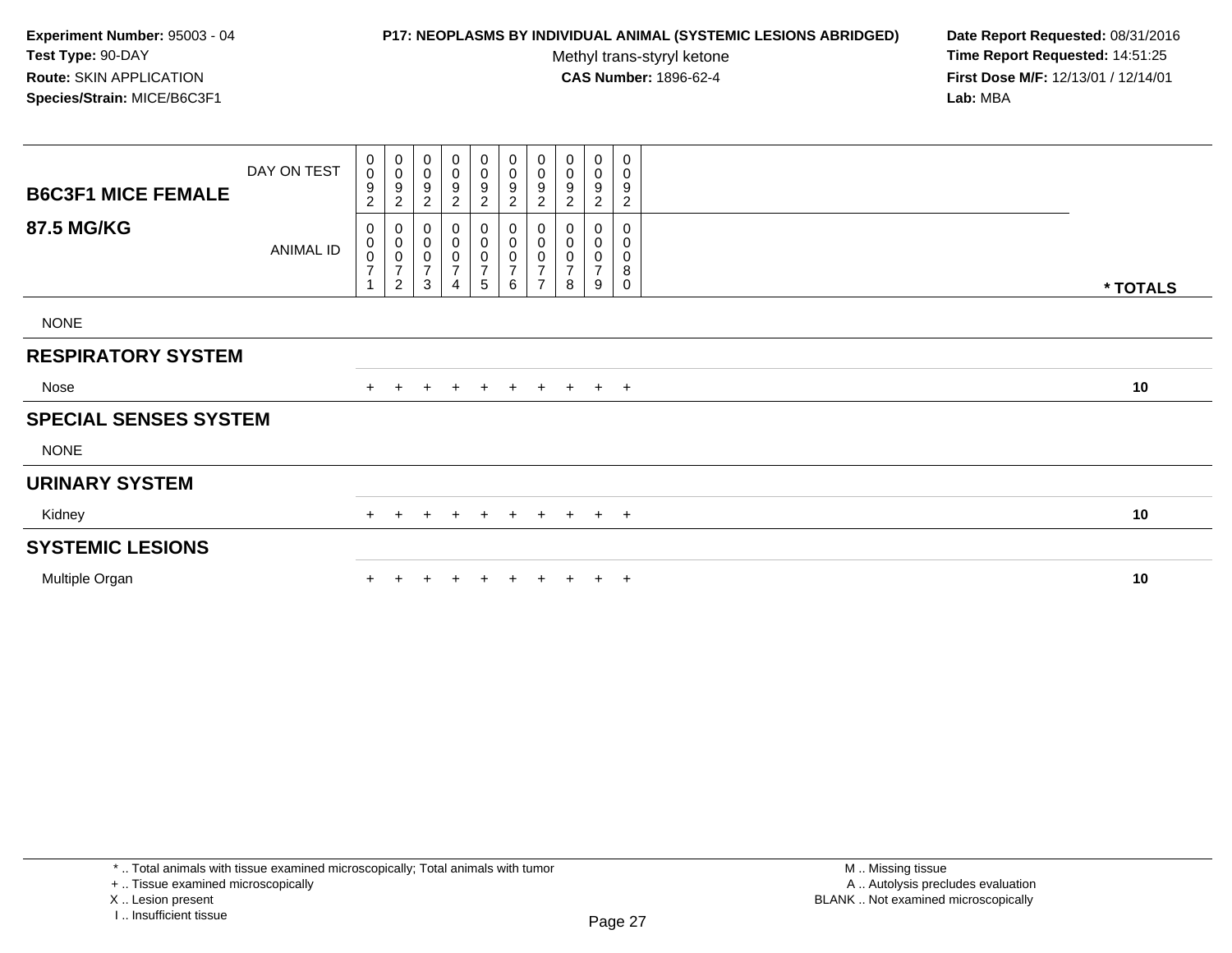### **P17: NEOPLASMS BY INDIVIDUAL ANIMAL (SYSTEMIC LESIONS ABRIDGED) Date Report Requested:** 08/31/2016

Methyl trans-styryl ketone<br>CAS Number: 1896-62-4

 **Time Report Requested:** 14:51:25 **First Dose M/F:** 12/13/01 / 12/14/01<br>**Lab:** MBA **Lab:** MBA

| <b>B6C3F1 MICE FEMALE</b>    | DAY ON TEST      | $_{\rm 0}^{\rm 0}$<br>9<br>$\sqrt{2}$                   | $_{\rm 0}^{\rm 0}$<br>$\boldsymbol{9}$<br>$\boldsymbol{2}$                    | $\mathbf 0$<br>$\mathbf 0$<br>9<br>$\overline{c}$  | $\pmb{0}$<br>$\pmb{0}$<br>9<br>$\overline{\mathbf{c}}$ | $\begin{smallmatrix}0\0\0\end{smallmatrix}$<br>9<br>$\overline{c}$ | $_0^0$<br>9<br>$\overline{c}$                     | $\begin{smallmatrix}0\\0\\9\end{smallmatrix}$<br>$\overline{c}$                   | 0<br>0<br>9<br>$\overline{c}$ | 0<br>$\mathbf 0$<br>9<br>$\overline{c}$ | 0<br>0<br>9<br>$\boldsymbol{2}$           |          |  |
|------------------------------|------------------|---------------------------------------------------------|-------------------------------------------------------------------------------|----------------------------------------------------|--------------------------------------------------------|--------------------------------------------------------------------|---------------------------------------------------|-----------------------------------------------------------------------------------|-------------------------------|-----------------------------------------|-------------------------------------------|----------|--|
| 87.5 MG/KG                   | <b>ANIMAL ID</b> | 0<br>$\overline{0}$<br>$\overline{7}$<br>$\overline{A}$ | 0<br>$\begin{matrix} 0 \\ 0 \end{matrix}$<br>$\overline{7}$<br>$\overline{c}$ | 0<br>$\mathbf 0$<br>$\,0\,$<br>$\overline{7}$<br>3 | 0<br>$\pmb{0}$<br>$\pmb{0}$<br>$\overline{7}$<br>4     | $\begin{matrix} 0 \\ 0 \\ 0 \end{matrix}$<br>$\overline{7}$<br>5   | 0<br>0<br>0<br>$\boldsymbol{7}$<br>$6\phantom{a}$ | $\begin{smallmatrix}0\\0\\0\end{smallmatrix}$<br>$\overline{7}$<br>$\overline{ }$ | 0<br>0<br>7<br>8              | 0<br>0<br>0<br>$\overline{7}$<br>9      | $\mathbf 0$<br>0<br>0<br>8<br>$\mathbf 0$ | * TOTALS |  |
| <b>NONE</b>                  |                  |                                                         |                                                                               |                                                    |                                                        |                                                                    |                                                   |                                                                                   |                               |                                         |                                           |          |  |
| <b>RESPIRATORY SYSTEM</b>    |                  |                                                         |                                                                               |                                                    |                                                        |                                                                    |                                                   |                                                                                   |                               |                                         |                                           |          |  |
| Nose                         |                  |                                                         | $+$                                                                           | $+$                                                | $+$                                                    | $+$                                                                | + + + + +                                         |                                                                                   |                               |                                         |                                           | 10       |  |
| <b>SPECIAL SENSES SYSTEM</b> |                  |                                                         |                                                                               |                                                    |                                                        |                                                                    |                                                   |                                                                                   |                               |                                         |                                           |          |  |
| <b>NONE</b>                  |                  |                                                         |                                                                               |                                                    |                                                        |                                                                    |                                                   |                                                                                   |                               |                                         |                                           |          |  |
| <b>URINARY SYSTEM</b>        |                  |                                                         |                                                                               |                                                    |                                                        |                                                                    |                                                   |                                                                                   |                               |                                         |                                           |          |  |
| Kidney                       |                  | $+$                                                     | $+$                                                                           | $\pm$                                              | $+$                                                    | $+$                                                                | $+$                                               |                                                                                   |                               |                                         | $+ + + +$                                 | 10       |  |
| <b>SYSTEMIC LESIONS</b>      |                  |                                                         |                                                                               |                                                    |                                                        |                                                                    |                                                   |                                                                                   |                               |                                         |                                           |          |  |
| Multiple Organ               |                  |                                                         |                                                                               |                                                    |                                                        | $\pm$                                                              | $+$                                               | $+$                                                                               | $+$                           |                                         | $+$ $+$                                   | 10       |  |

\* .. Total animals with tissue examined microscopically; Total animals with tumor

+ .. Tissue examined microscopically

X .. Lesion present

I .. Insufficient tissue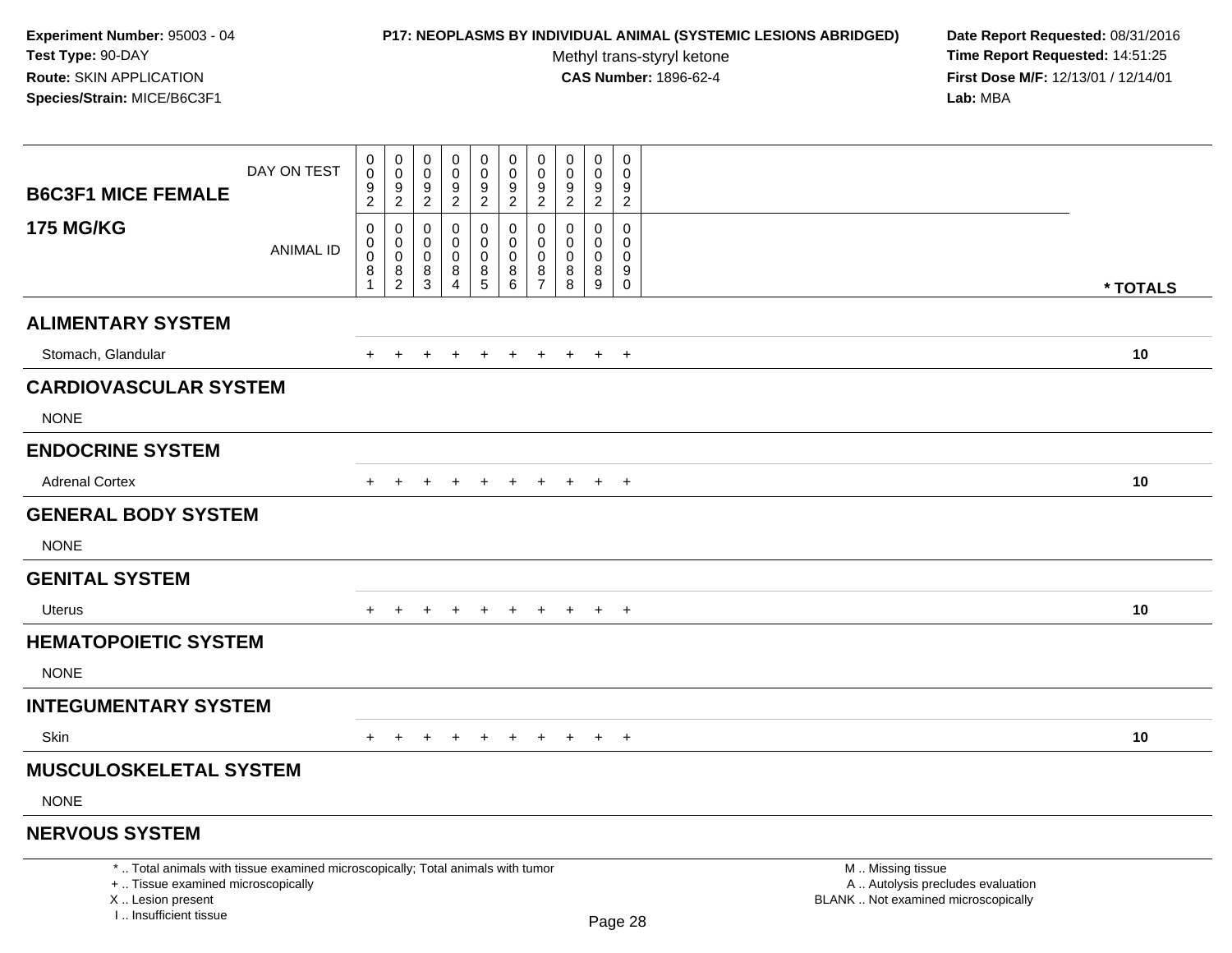### **P17: NEOPLASMS BY INDIVIDUAL ANIMAL (SYSTEMIC LESIONS ABRIDGED) Date Report Requested:** 08/31/2016

Methyl trans-styryl ketone<br>CAS Number: 1896-62-4

|                                                                                                                                                                     | DAY ON TEST | $\pmb{0}$<br>$\mathsf{O}\xspace$                      | $\pmb{0}$<br>$\mathbf 0$                               | 0<br>$\mathbf 0$<br>9                  | $\pmb{0}$<br>$\mathbf 0$<br>9                       | $\pmb{0}$<br>$\pmb{0}$ | $\mathbf 0$<br>0<br>$\boldsymbol{9}$             | $\pmb{0}$<br>0<br>$\boldsymbol{9}$             | $\pmb{0}$<br>$\mathbf 0$                              | $\mathsf 0$<br>$\mathbf 0$<br>9                      | $\pmb{0}$<br>$\Omega$<br>9                                 |                                                                                               |          |
|---------------------------------------------------------------------------------------------------------------------------------------------------------------------|-------------|-------------------------------------------------------|--------------------------------------------------------|----------------------------------------|-----------------------------------------------------|------------------------|--------------------------------------------------|------------------------------------------------|-------------------------------------------------------|------------------------------------------------------|------------------------------------------------------------|-----------------------------------------------------------------------------------------------|----------|
| <b>B6C3F1 MICE FEMALE</b>                                                                                                                                           |             | $\frac{9}{2}$                                         | $\frac{9}{2}$                                          | $\overline{2}$                         | $\overline{2}$                                      | $\frac{9}{2}$          | $\overline{2}$                                   | $\overline{2}$                                 | $\frac{9}{2}$                                         | $\overline{2}$                                       | $\overline{2}$                                             |                                                                                               |          |
| <b>175 MG/KG</b>                                                                                                                                                    | ANIMAL ID   | $\pmb{0}$<br>$\pmb{0}$<br>$\pmb{0}$<br>$\bar{8}$<br>1 | $\pmb{0}$<br>$\pmb{0}$<br>$\mathbf 0$<br>$\frac{8}{2}$ | 0<br>$\mathbf 0$<br>0<br>$\frac{8}{3}$ | 0<br>$\Omega$<br>$\mathbf 0$<br>8<br>$\overline{4}$ | 0<br>0<br>0<br>$^8$ 5  | $\mathsf 0$<br>$\mathbf 0$<br>0<br>$\frac{8}{6}$ | $\pmb{0}$<br>$\mathbf 0$<br>0<br>$\frac{8}{7}$ | $\mathbf 0$<br>$\mathbf 0$<br>$\mathbf 0$<br>$_{8}^8$ | $\pmb{0}$<br>$\Omega$<br>$\mathbf 0$<br>$\bf 8$<br>9 | $\pmb{0}$<br>$\Omega$<br>$\mathbf 0$<br>$_{\rm 0}^{\rm 9}$ |                                                                                               | * TOTALS |
| <b>ALIMENTARY SYSTEM</b>                                                                                                                                            |             |                                                       |                                                        |                                        |                                                     |                        |                                                  |                                                |                                                       |                                                      |                                                            |                                                                                               |          |
| Stomach, Glandular                                                                                                                                                  |             | $+$                                                   | $+$                                                    | $+$                                    | $\ddot{}$                                           | $+$                    | $+$                                              | $+$                                            | $+$                                                   | $+$ $+$                                              |                                                            |                                                                                               | 10       |
| <b>CARDIOVASCULAR SYSTEM</b>                                                                                                                                        |             |                                                       |                                                        |                                        |                                                     |                        |                                                  |                                                |                                                       |                                                      |                                                            |                                                                                               |          |
| <b>NONE</b>                                                                                                                                                         |             |                                                       |                                                        |                                        |                                                     |                        |                                                  |                                                |                                                       |                                                      |                                                            |                                                                                               |          |
| <b>ENDOCRINE SYSTEM</b>                                                                                                                                             |             |                                                       |                                                        |                                        |                                                     |                        |                                                  |                                                |                                                       |                                                      |                                                            |                                                                                               |          |
| <b>Adrenal Cortex</b>                                                                                                                                               |             | $+$                                                   | $\pm$                                                  | $\div$                                 | $\pm$                                               | $\overline{+}$         | $+$                                              | $+$                                            | $+$                                                   | $+$                                                  | $+$                                                        |                                                                                               | 10       |
| <b>GENERAL BODY SYSTEM</b>                                                                                                                                          |             |                                                       |                                                        |                                        |                                                     |                        |                                                  |                                                |                                                       |                                                      |                                                            |                                                                                               |          |
| <b>NONE</b>                                                                                                                                                         |             |                                                       |                                                        |                                        |                                                     |                        |                                                  |                                                |                                                       |                                                      |                                                            |                                                                                               |          |
| <b>GENITAL SYSTEM</b>                                                                                                                                               |             |                                                       |                                                        |                                        |                                                     |                        |                                                  |                                                |                                                       |                                                      |                                                            |                                                                                               |          |
| <b>Uterus</b>                                                                                                                                                       |             | $+$                                                   |                                                        |                                        | $\div$                                              | $+$                    | $+$                                              | $+$                                            | $+$                                                   | $+$                                                  | $+$                                                        |                                                                                               | 10       |
| <b>HEMATOPOIETIC SYSTEM</b>                                                                                                                                         |             |                                                       |                                                        |                                        |                                                     |                        |                                                  |                                                |                                                       |                                                      |                                                            |                                                                                               |          |
| <b>NONE</b>                                                                                                                                                         |             |                                                       |                                                        |                                        |                                                     |                        |                                                  |                                                |                                                       |                                                      |                                                            |                                                                                               |          |
| <b>INTEGUMENTARY SYSTEM</b>                                                                                                                                         |             |                                                       |                                                        |                                        |                                                     |                        |                                                  |                                                |                                                       |                                                      |                                                            |                                                                                               |          |
| <b>Skin</b>                                                                                                                                                         |             |                                                       |                                                        |                                        |                                                     | $\overline{ }$         | $+$                                              | $+$                                            | $+$                                                   | $+$                                                  | $+$                                                        |                                                                                               | 10       |
| <b>MUSCULOSKELETAL SYSTEM</b>                                                                                                                                       |             |                                                       |                                                        |                                        |                                                     |                        |                                                  |                                                |                                                       |                                                      |                                                            |                                                                                               |          |
| <b>NONE</b>                                                                                                                                                         |             |                                                       |                                                        |                                        |                                                     |                        |                                                  |                                                |                                                       |                                                      |                                                            |                                                                                               |          |
| <b>NERVOUS SYSTEM</b>                                                                                                                                               |             |                                                       |                                                        |                                        |                                                     |                        |                                                  |                                                |                                                       |                                                      |                                                            |                                                                                               |          |
| *  Total animals with tissue examined microscopically; Total animals with tumor<br>+  Tissue examined microscopically<br>X  Lesion present<br>I Insufficient tissue |             |                                                       |                                                        |                                        |                                                     |                        |                                                  |                                                |                                                       |                                                      | Page 28                                                    | M  Missing tissue<br>A  Autolysis precludes evaluation<br>BLANK  Not examined microscopically |          |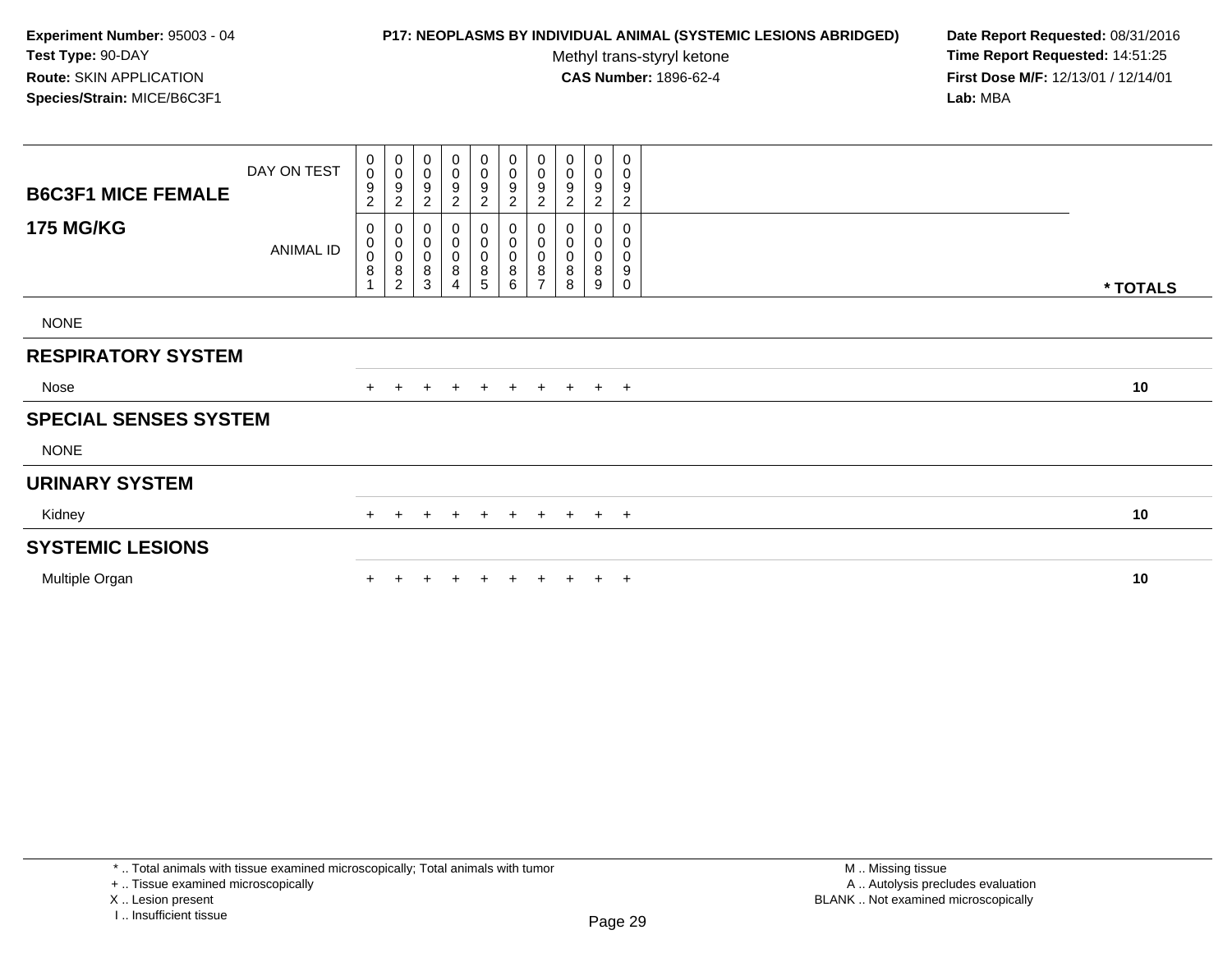### **P17: NEOPLASMS BY INDIVIDUAL ANIMAL (SYSTEMIC LESIONS ABRIDGED) Date Report Requested:** 08/31/2016

Methyl trans-styryl ketone<br>CAS Number: 1896-62-4

 **Time Report Requested:** 14:51:25 **First Dose M/F:** 12/13/01 / 12/14/01<br>**Lab:** MBA **Lab:** MBA

| <b>B6C3F1 MICE FEMALE</b>    | DAY ON TEST      | 0<br>$\ddot{\mathbf{0}}$<br>9<br>$\sqrt{2}$ | $_{\rm 0}^{\rm 0}$<br>$\boldsymbol{9}$<br>$\overline{c}$ | 0<br>$\mathbf 0$<br>9<br>$\overline{c}$ | $\pmb{0}$<br>$\pmb{0}$<br>9<br>$\overline{\mathbf{c}}$ | $\begin{smallmatrix}0\0\0\end{smallmatrix}$<br>9<br>$\overline{c}$ | $_0^0$<br>9<br>$\overline{c}$ | $\begin{smallmatrix}0\\0\\9\end{smallmatrix}$<br>$\overline{c}$ | 0<br>0<br>9<br>$\overline{c}$ | 0<br>$\mathbf 0$<br>9<br>$\overline{c}$ | 0<br>0<br>9<br>$\overline{c}$   |          |  |
|------------------------------|------------------|---------------------------------------------|----------------------------------------------------------|-----------------------------------------|--------------------------------------------------------|--------------------------------------------------------------------|-------------------------------|-----------------------------------------------------------------|-------------------------------|-----------------------------------------|---------------------------------|----------|--|
| <b>175 MG/KG</b>             | <b>ANIMAL ID</b> | 0<br>$_{\rm 0}^{\rm 0}$<br>8                | 0<br>$\pmb{0}$<br>$\pmb{0}$<br>$\,8\,$<br>$\overline{2}$ | 0<br>$\pmb{0}$<br>$\,0\,$<br>8<br>3     | 0<br>$\pmb{0}$<br>$\pmb{0}$<br>8<br>4                  | 0<br>$\overline{0}$<br>0<br>8<br>5                                 | 0<br>0<br>0<br>$\frac{8}{6}$  | $\boldsymbol{0}$<br>$\overline{0}$<br>0<br>$\frac{8}{7}$        | 0<br>0<br>8<br>8              | 0<br>0<br>0<br>8<br>9                   | 0<br>0<br>0<br>9<br>$\mathbf 0$ | * TOTALS |  |
| <b>NONE</b>                  |                  |                                             |                                                          |                                         |                                                        |                                                                    |                               |                                                                 |                               |                                         |                                 |          |  |
| <b>RESPIRATORY SYSTEM</b>    |                  |                                             |                                                          |                                         |                                                        |                                                                    |                               |                                                                 |                               |                                         |                                 |          |  |
| Nose                         |                  |                                             | $+$                                                      | $+$                                     | $+$                                                    | $+$                                                                | + + + + +                     |                                                                 |                               |                                         |                                 | 10       |  |
| <b>SPECIAL SENSES SYSTEM</b> |                  |                                             |                                                          |                                         |                                                        |                                                                    |                               |                                                                 |                               |                                         |                                 |          |  |
| <b>NONE</b>                  |                  |                                             |                                                          |                                         |                                                        |                                                                    |                               |                                                                 |                               |                                         |                                 |          |  |
| <b>URINARY SYSTEM</b>        |                  |                                             |                                                          |                                         |                                                        |                                                                    |                               |                                                                 |                               |                                         |                                 |          |  |
| Kidney                       |                  | $+$                                         | $+$                                                      | $\pm$                                   | $+$                                                    | $+$                                                                | $+$                           |                                                                 |                               |                                         | $+$ $+$ $+$ $+$                 | 10       |  |
| <b>SYSTEMIC LESIONS</b>      |                  |                                             |                                                          |                                         |                                                        |                                                                    |                               |                                                                 |                               |                                         |                                 |          |  |
| Multiple Organ               |                  |                                             |                                                          |                                         |                                                        | $\pm$                                                              | $+$                           | $+$                                                             | $+$                           |                                         | $+$ $+$                         | 10       |  |

\* .. Total animals with tissue examined microscopically; Total animals with tumor

+ .. Tissue examined microscopically

X .. Lesion present

I .. Insufficient tissue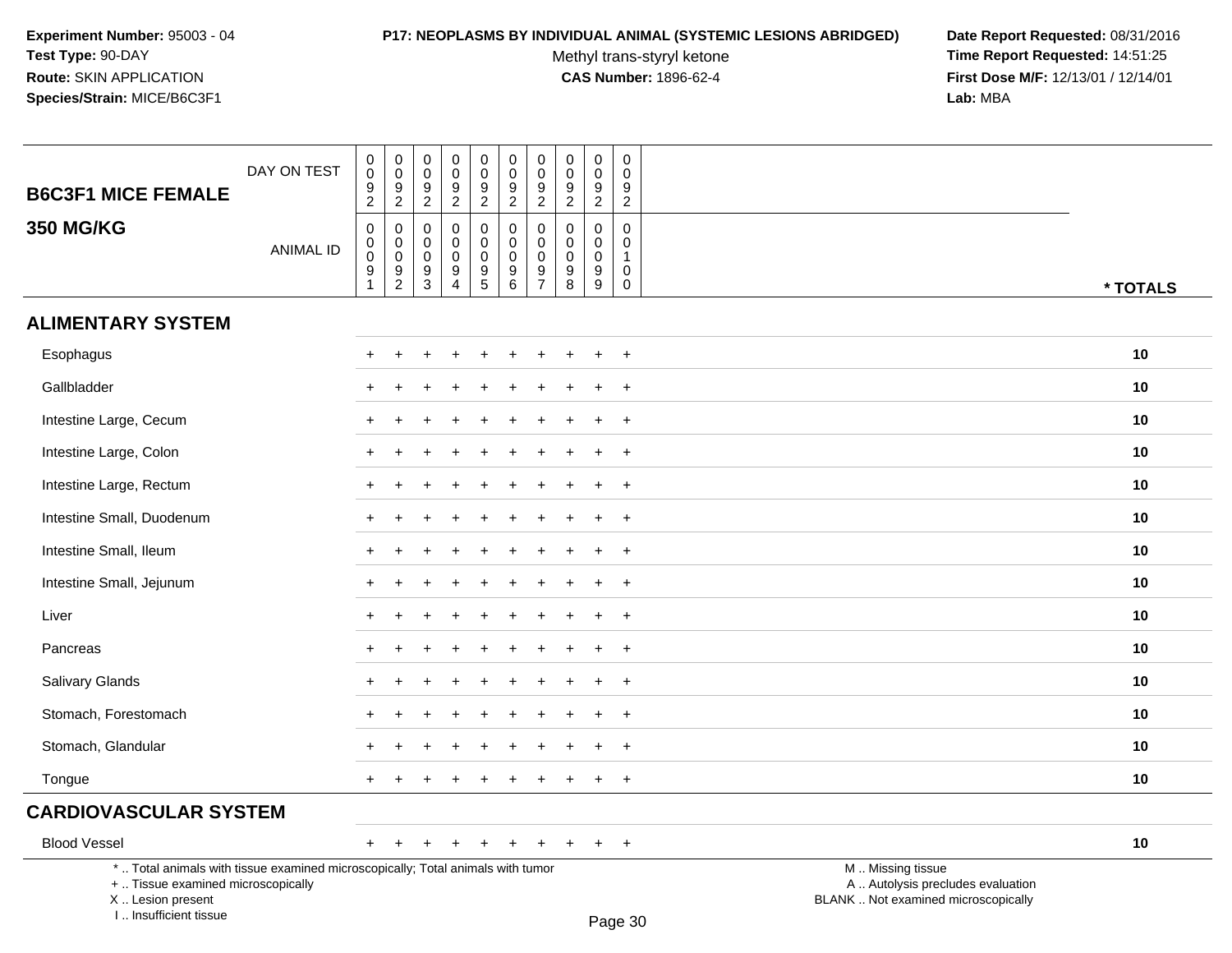I .. Insufficient tissue

# **P17: NEOPLASMS BY INDIVIDUAL ANIMAL (SYSTEMIC LESIONS ABRIDGED) Date Report Requested:** 08/31/2016

Methyl trans-styryl ketone<br>CAS Number: 1896-62-4

 **Time Report Requested:** 14:51:25 **First Dose M/F:** 12/13/01 / 12/14/01<br>Lab: MBA **Lab:** MBA

| <b>B6C3F1 MICE FEMALE</b>                                                                                                                  | DAY ON TEST      | $\pmb{0}$<br>$\mathbf 0$<br>$\frac{9}{2}$                                                              | 0<br>$\mathsf 0$<br>$\frac{9}{2}$                | $\,0\,$<br>$\mathbf 0$<br>9<br>$\overline{2}$            | $\pmb{0}$<br>$\mathbf 0$<br>$\frac{9}{2}$                  | $\pmb{0}$<br>$\mathbf 0$<br>$\frac{9}{2}$      | $\pmb{0}$<br>$\mathbf 0$<br>$\frac{9}{2}$                | $\pmb{0}$<br>$\mathbf 0$<br>$\frac{9}{2}$                  | 0<br>$\mathbf 0$<br>9<br>$\overline{2}$          | $\pmb{0}$<br>$\mathbf 0$<br>$\boldsymbol{9}$<br>$\overline{2}$     | $\mathbf 0$<br>$\mathbf 0$<br>9<br>$\overline{c}$              |                                                                                               |  |
|--------------------------------------------------------------------------------------------------------------------------------------------|------------------|--------------------------------------------------------------------------------------------------------|--------------------------------------------------|----------------------------------------------------------|------------------------------------------------------------|------------------------------------------------|----------------------------------------------------------|------------------------------------------------------------|--------------------------------------------------|--------------------------------------------------------------------|----------------------------------------------------------------|-----------------------------------------------------------------------------------------------|--|
| <b>350 MG/KG</b>                                                                                                                           | <b>ANIMAL ID</b> | $\boldsymbol{0}$<br>$\begin{smallmatrix} 0\\0 \end{smallmatrix}$<br>$\boldsymbol{9}$<br>$\overline{1}$ | 0<br>$\mathbf 0$<br>$\mathbf 0$<br>$\frac{9}{2}$ | $\mathbf 0$<br>0<br>$\mathbf 0$<br>$\boldsymbol{9}$<br>3 | $\mathbf 0$<br>$\mathbf 0$<br>$\mathbf 0$<br>$\frac{9}{4}$ | 0<br>$\mathbf 0$<br>$\pmb{0}$<br>$\frac{9}{5}$ | 0<br>$\mathbf 0$<br>$\mathsf{O}\xspace$<br>$\frac{9}{6}$ | $\mathbf 0$<br>$\mathbf 0$<br>$\mathbf 0$<br>$\frac{9}{7}$ | $\mathbf 0$<br>$\Omega$<br>$\mathbf 0$<br>9<br>8 | $\mathbf 0$<br>$\mathbf 0$<br>$\mathbf 0$<br>$\boldsymbol{9}$<br>9 | $\mathbf 0$<br>$\mathbf{0}$<br>1<br>$\mathsf 0$<br>$\mathbf 0$ | * TOTALS                                                                                      |  |
| <b>ALIMENTARY SYSTEM</b>                                                                                                                   |                  |                                                                                                        |                                                  |                                                          |                                                            |                                                |                                                          |                                                            |                                                  |                                                                    |                                                                |                                                                                               |  |
| Esophagus                                                                                                                                  |                  |                                                                                                        |                                                  |                                                          |                                                            |                                                |                                                          |                                                            |                                                  |                                                                    | $\overline{ }$                                                 | 10                                                                                            |  |
| Gallbladder                                                                                                                                |                  |                                                                                                        |                                                  |                                                          |                                                            |                                                |                                                          |                                                            |                                                  |                                                                    | $\overline{1}$                                                 | 10                                                                                            |  |
| Intestine Large, Cecum                                                                                                                     |                  | $\pm$                                                                                                  |                                                  |                                                          |                                                            |                                                |                                                          |                                                            |                                                  |                                                                    | $+$                                                            | 10                                                                                            |  |
| Intestine Large, Colon                                                                                                                     |                  |                                                                                                        |                                                  |                                                          |                                                            |                                                |                                                          |                                                            |                                                  |                                                                    | $\overline{+}$                                                 | 10                                                                                            |  |
| Intestine Large, Rectum                                                                                                                    |                  |                                                                                                        |                                                  |                                                          |                                                            |                                                |                                                          |                                                            |                                                  |                                                                    | $\overline{+}$                                                 | 10                                                                                            |  |
| Intestine Small, Duodenum                                                                                                                  |                  |                                                                                                        |                                                  |                                                          |                                                            |                                                |                                                          |                                                            |                                                  |                                                                    | $\overline{1}$                                                 | 10                                                                                            |  |
| Intestine Small, Ileum                                                                                                                     |                  | $+$                                                                                                    |                                                  |                                                          |                                                            |                                                |                                                          |                                                            |                                                  |                                                                    | $\div$                                                         | 10                                                                                            |  |
| Intestine Small, Jejunum                                                                                                                   |                  |                                                                                                        |                                                  |                                                          |                                                            |                                                |                                                          |                                                            |                                                  |                                                                    | $\ddot{}$                                                      | 10                                                                                            |  |
| Liver                                                                                                                                      |                  |                                                                                                        |                                                  |                                                          |                                                            |                                                |                                                          |                                                            |                                                  |                                                                    | $\overline{+}$                                                 | 10                                                                                            |  |
| Pancreas                                                                                                                                   |                  |                                                                                                        |                                                  |                                                          |                                                            |                                                |                                                          |                                                            |                                                  |                                                                    | $\ddot{}$                                                      | 10                                                                                            |  |
| Salivary Glands                                                                                                                            |                  |                                                                                                        |                                                  |                                                          |                                                            |                                                |                                                          |                                                            |                                                  |                                                                    | $+$                                                            | 10                                                                                            |  |
| Stomach, Forestomach                                                                                                                       |                  |                                                                                                        |                                                  |                                                          |                                                            |                                                |                                                          |                                                            |                                                  |                                                                    | $\div$                                                         | 10                                                                                            |  |
| Stomach, Glandular                                                                                                                         |                  |                                                                                                        |                                                  |                                                          |                                                            |                                                |                                                          |                                                            |                                                  |                                                                    | $\overline{+}$                                                 | 10                                                                                            |  |
| Tongue                                                                                                                                     |                  |                                                                                                        |                                                  |                                                          |                                                            |                                                |                                                          |                                                            |                                                  |                                                                    | $\ddot{}$                                                      | 10                                                                                            |  |
| <b>CARDIOVASCULAR SYSTEM</b>                                                                                                               |                  |                                                                                                        |                                                  |                                                          |                                                            |                                                |                                                          |                                                            |                                                  |                                                                    |                                                                |                                                                                               |  |
| <b>Blood Vessel</b>                                                                                                                        |                  | $+$                                                                                                    | $\pm$                                            |                                                          |                                                            |                                                |                                                          |                                                            |                                                  | ÷                                                                  | $+$                                                            | 10                                                                                            |  |
| *  Total animals with tissue examined microscopically; Total animals with tumor<br>+  Tissue examined microscopically<br>X  Lesion present |                  |                                                                                                        |                                                  |                                                          |                                                            |                                                |                                                          |                                                            |                                                  |                                                                    |                                                                | M  Missing tissue<br>A  Autolysis precludes evaluation<br>BLANK  Not examined microscopically |  |

Page 30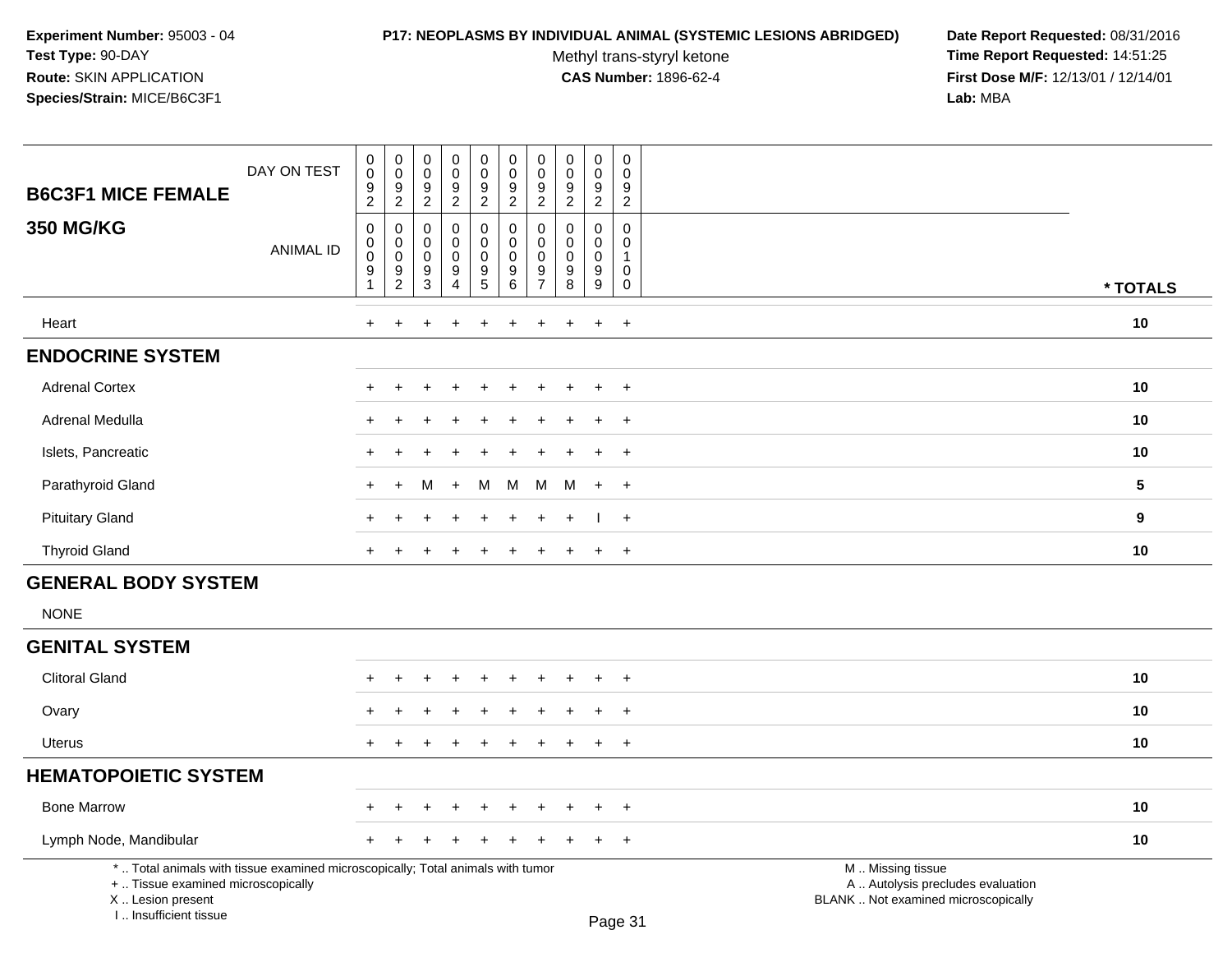## **P17: NEOPLASMS BY INDIVIDUAL ANIMAL (SYSTEMIC LESIONS ABRIDGED) Date Report Requested:** 08/31/2016

Methyl trans-styryl ketone<br>CAS Number: 1896-62-4

| <b>B6C3F1 MICE FEMALE</b>                                                                                                                                           | DAY ON TEST      | $\mathbf 0$<br>$\pmb{0}$<br>$\frac{9}{2}$                                     | $\pmb{0}$<br>$\mathbf 0$<br>$\frac{9}{2}$                                            | 0<br>$\pmb{0}$<br>$\boldsymbol{9}$<br>$\overline{2}$                       | $\mathbf 0$<br>$\mathsf{O}\xspace$<br>$9\,$<br>$\overline{2}$                                 | $\pmb{0}$<br>$\mathbf 0$<br>$\frac{9}{2}$        | $\pmb{0}$<br>$\pmb{0}$<br>$\boldsymbol{9}$<br>$\overline{2}$           | 0<br>$\mathbf 0$<br>9<br>$\overline{2}$                       | $\mathbf 0$<br>$\mathbf 0$<br>$\boldsymbol{9}$<br>$\overline{2}$ | 0<br>$\mathbf 0$<br>9<br>$\overline{c}$                | 0<br>$\mathbf 0$<br>$\boldsymbol{9}$<br>$\overline{2}$           |                                                                                               |                 |
|---------------------------------------------------------------------------------------------------------------------------------------------------------------------|------------------|-------------------------------------------------------------------------------|--------------------------------------------------------------------------------------|----------------------------------------------------------------------------|-----------------------------------------------------------------------------------------------|--------------------------------------------------|------------------------------------------------------------------------|---------------------------------------------------------------|------------------------------------------------------------------|--------------------------------------------------------|------------------------------------------------------------------|-----------------------------------------------------------------------------------------------|-----------------|
| <b>350 MG/KG</b>                                                                                                                                                    | <b>ANIMAL ID</b> | $\mathbf 0$<br>$\mathbf 0$<br>$\pmb{0}$<br>$\boldsymbol{9}$<br>$\overline{1}$ | $\boldsymbol{0}$<br>$\mathbf 0$<br>$\mathbf 0$<br>$\boldsymbol{9}$<br>$\overline{c}$ | $\mathbf 0$<br>$\mathbf 0$<br>$\pmb{0}$<br>$\boldsymbol{9}$<br>$\mathsf 3$ | $\mathbf 0$<br>$\mathbf 0$<br>$\mathsf{O}\xspace$<br>$\overline{9}$<br>$\boldsymbol{\Lambda}$ | 0<br>$\mathbf 0$<br>$\mathbf 0$<br>$\frac{9}{5}$ | $\mathbf 0$<br>$\mathbf 0$<br>$\pmb{0}$<br>$\boldsymbol{9}$<br>$\,6\,$ | $\mathbf 0$<br>$\Omega$<br>$\mathbf 0$<br>9<br>$\overline{7}$ | $\Omega$<br>$\Omega$<br>$\mathbf 0$<br>$\boldsymbol{9}$<br>8     | 0<br>$\mathbf 0$<br>$\pmb{0}$<br>$\boldsymbol{9}$<br>9 | $\mathbf 0$<br>$\mathbf 0$<br>$\overline{1}$<br>$\mathbf 0$<br>0 |                                                                                               | * TOTALS        |
| Heart                                                                                                                                                               |                  | $+$                                                                           | $\ddot{}$                                                                            | ÷                                                                          | $\div$                                                                                        | $\ddot{}$                                        | $\ddot{}$                                                              | $\ddot{}$                                                     | $\ddot{}$                                                        | $\ddot{}$                                              | $+$                                                              |                                                                                               | 10              |
| <b>ENDOCRINE SYSTEM</b>                                                                                                                                             |                  |                                                                               |                                                                                      |                                                                            |                                                                                               |                                                  |                                                                        |                                                               |                                                                  |                                                        |                                                                  |                                                                                               |                 |
| <b>Adrenal Cortex</b>                                                                                                                                               |                  |                                                                               |                                                                                      |                                                                            |                                                                                               |                                                  |                                                                        |                                                               |                                                                  |                                                        | $\overline{1}$                                                   |                                                                                               | 10              |
| <b>Adrenal Medulla</b>                                                                                                                                              |                  |                                                                               |                                                                                      |                                                                            |                                                                                               |                                                  |                                                                        |                                                               |                                                                  |                                                        |                                                                  |                                                                                               | 10              |
| Islets, Pancreatic                                                                                                                                                  |                  |                                                                               |                                                                                      |                                                                            |                                                                                               |                                                  |                                                                        |                                                               |                                                                  |                                                        | $\overline{1}$                                                   |                                                                                               | 10              |
| Parathyroid Gland                                                                                                                                                   |                  |                                                                               | $\ddot{}$                                                                            | м                                                                          | $+$                                                                                           | M                                                | M                                                                      | м                                                             | M                                                                | $\ddot{}$                                              | $+$                                                              |                                                                                               | $5\phantom{.0}$ |
| <b>Pituitary Gland</b>                                                                                                                                              |                  |                                                                               |                                                                                      |                                                                            |                                                                                               |                                                  |                                                                        |                                                               |                                                                  |                                                        | $+$                                                              |                                                                                               | 9               |
| <b>Thyroid Gland</b>                                                                                                                                                |                  | $\pm$                                                                         |                                                                                      |                                                                            | $\div$                                                                                        | $\ddot{}$                                        | $\pm$                                                                  | $\pm$                                                         | $\pm$                                                            | $+$                                                    | $+$                                                              |                                                                                               | 10              |
| <b>GENERAL BODY SYSTEM</b>                                                                                                                                          |                  |                                                                               |                                                                                      |                                                                            |                                                                                               |                                                  |                                                                        |                                                               |                                                                  |                                                        |                                                                  |                                                                                               |                 |
| <b>NONE</b>                                                                                                                                                         |                  |                                                                               |                                                                                      |                                                                            |                                                                                               |                                                  |                                                                        |                                                               |                                                                  |                                                        |                                                                  |                                                                                               |                 |
| <b>GENITAL SYSTEM</b>                                                                                                                                               |                  |                                                                               |                                                                                      |                                                                            |                                                                                               |                                                  |                                                                        |                                                               |                                                                  |                                                        |                                                                  |                                                                                               |                 |
| <b>Clitoral Gland</b>                                                                                                                                               |                  |                                                                               |                                                                                      |                                                                            |                                                                                               |                                                  |                                                                        |                                                               |                                                                  | $\div$                                                 | $\div$                                                           |                                                                                               | 10              |
| Ovary                                                                                                                                                               |                  |                                                                               |                                                                                      |                                                                            |                                                                                               |                                                  |                                                                        |                                                               |                                                                  |                                                        |                                                                  |                                                                                               | 10              |
| <b>Uterus</b>                                                                                                                                                       |                  |                                                                               |                                                                                      |                                                                            |                                                                                               |                                                  |                                                                        |                                                               |                                                                  | $\div$                                                 | $\overline{+}$                                                   |                                                                                               | 10              |
| <b>HEMATOPOIETIC SYSTEM</b>                                                                                                                                         |                  |                                                                               |                                                                                      |                                                                            |                                                                                               |                                                  |                                                                        |                                                               |                                                                  |                                                        |                                                                  |                                                                                               |                 |
| <b>Bone Marrow</b>                                                                                                                                                  |                  |                                                                               |                                                                                      |                                                                            |                                                                                               |                                                  |                                                                        |                                                               |                                                                  |                                                        |                                                                  |                                                                                               | 10              |
| Lymph Node, Mandibular                                                                                                                                              |                  |                                                                               |                                                                                      |                                                                            |                                                                                               |                                                  |                                                                        |                                                               |                                                                  |                                                        | $\div$                                                           |                                                                                               | 10              |
| *  Total animals with tissue examined microscopically; Total animals with tumor<br>+  Tissue examined microscopically<br>X  Lesion present<br>I Insufficient tissue |                  |                                                                               |                                                                                      |                                                                            |                                                                                               |                                                  |                                                                        |                                                               |                                                                  |                                                        | Page 31                                                          | M  Missing tissue<br>A  Autolysis precludes evaluation<br>BLANK  Not examined microscopically |                 |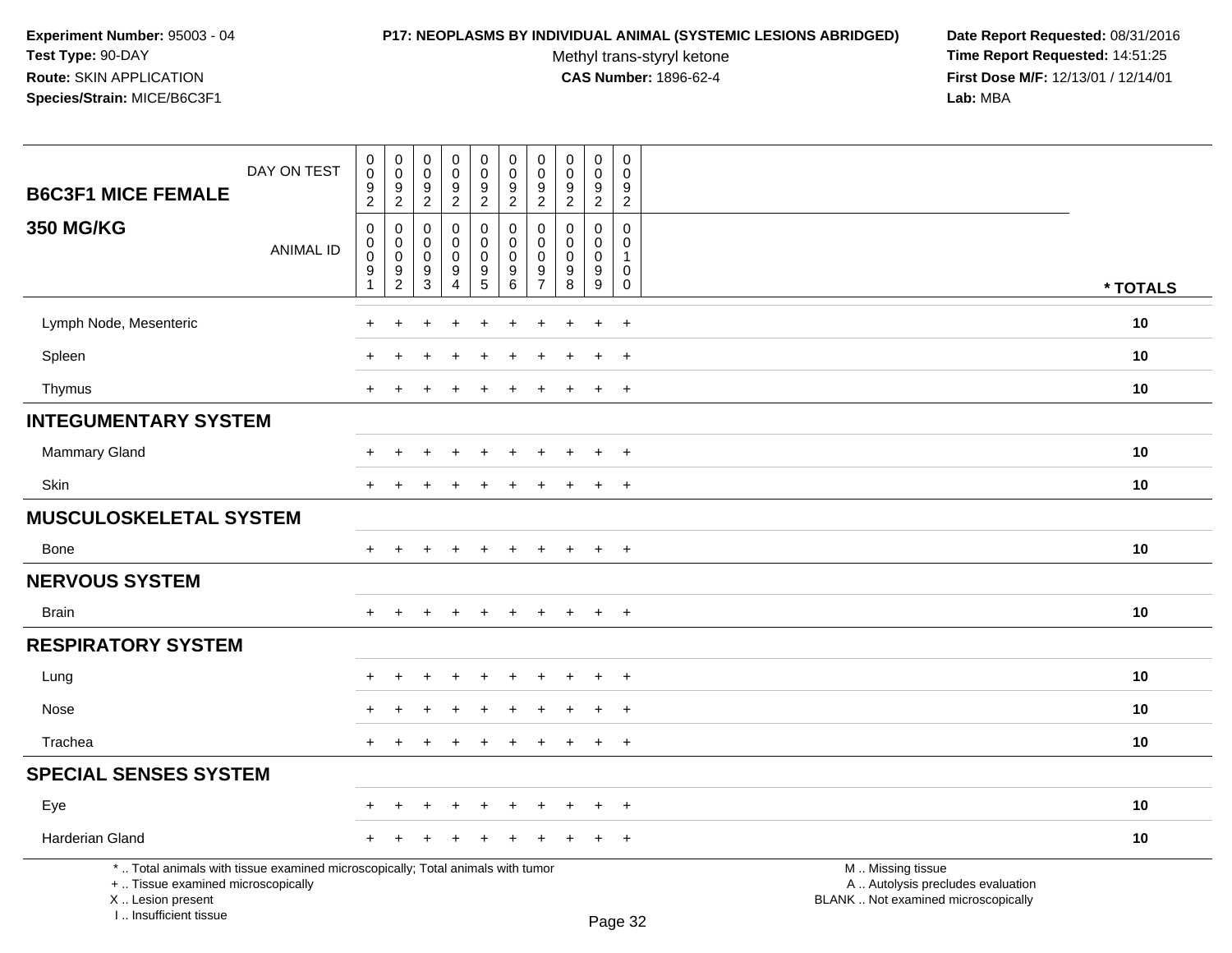# **P17: NEOPLASMS BY INDIVIDUAL ANIMAL (SYSTEMIC LESIONS ABRIDGED) Date Report Requested:** 08/31/2016

Methyl trans-styryl ketone<br>CAS Number: 1896-62-4

| DAY ON TEST<br><b>B6C3F1 MICE FEMALE</b>                                                                                                                            | $\,0\,$<br>$\mathbf 0$<br>9<br>$\overline{2}$        | $\boldsymbol{0}$<br>$\mathsf 0$<br>$\frac{9}{2}$            | 0<br>$\mathsf 0$<br>9<br>$\sqrt{2}$ | $\pmb{0}$<br>$\pmb{0}$<br>$\boldsymbol{9}$<br>$\overline{2}$          | $\pmb{0}$<br>$\pmb{0}$<br>9<br>$\overline{2}$          | $\mathbf 0$<br>$\mathsf{O}\xspace$<br>9<br>$\overline{2}$ | $\mathbf 0$<br>0<br>9<br>$\overline{2}$                    | $\pmb{0}$<br>$\mathbf 0$<br>9<br>$\overline{2}$  | $\pmb{0}$<br>$\mathbf 0$<br>$\boldsymbol{9}$<br>$\overline{2}$     | $\pmb{0}$<br>$\mathbf 0$<br>9<br>$\overline{c}$                 |                                                                                               |          |
|---------------------------------------------------------------------------------------------------------------------------------------------------------------------|------------------------------------------------------|-------------------------------------------------------------|-------------------------------------|-----------------------------------------------------------------------|--------------------------------------------------------|-----------------------------------------------------------|------------------------------------------------------------|--------------------------------------------------|--------------------------------------------------------------------|-----------------------------------------------------------------|-----------------------------------------------------------------------------------------------|----------|
| <b>350 MG/KG</b><br><b>ANIMAL ID</b>                                                                                                                                | $\pmb{0}$<br>$\pmb{0}$<br>$\boldsymbol{0}$<br>9<br>1 | $\boldsymbol{0}$<br>$\mathbf 0$<br>$\,0\,$<br>$\frac{9}{2}$ | 0<br>$\Omega$<br>0<br>9<br>3        | 0<br>$\mathbf 0$<br>$\mathbf 0$<br>$\boldsymbol{9}$<br>$\overline{4}$ | $\pmb{0}$<br>$\pmb{0}$<br>$\mathbf 0$<br>$\frac{9}{5}$ | $\mathbf 0$<br>$\mathbf 0$<br>$\pmb{0}$<br>9<br>6         | $\mathbf 0$<br>$\Omega$<br>$\Omega$<br>9<br>$\overline{7}$ | $\mathbf 0$<br>$\Omega$<br>$\mathbf 0$<br>9<br>8 | $\mathbf 0$<br>$\mathbf 0$<br>$\mathbf 0$<br>$\boldsymbol{9}$<br>9 | 0<br>$\mathbf{0}$<br>$\mathbf{1}$<br>$\mathbf 0$<br>$\mathbf 0$ |                                                                                               | * TOTALS |
| Lymph Node, Mesenteric                                                                                                                                              | $\ddot{}$                                            |                                                             |                                     |                                                                       |                                                        |                                                           |                                                            |                                                  | $+$                                                                | $\ddot{}$                                                       |                                                                                               | 10       |
| Spleen                                                                                                                                                              |                                                      |                                                             |                                     |                                                                       |                                                        |                                                           |                                                            |                                                  |                                                                    | $\overline{ }$                                                  |                                                                                               | 10       |
| Thymus                                                                                                                                                              | $\pm$                                                | $\pm$                                                       |                                     |                                                                       |                                                        |                                                           |                                                            |                                                  | $\ddot{}$                                                          | $\overline{+}$                                                  |                                                                                               | 10       |
| <b>INTEGUMENTARY SYSTEM</b>                                                                                                                                         |                                                      |                                                             |                                     |                                                                       |                                                        |                                                           |                                                            |                                                  |                                                                    |                                                                 |                                                                                               |          |
| <b>Mammary Gland</b>                                                                                                                                                | $\ddot{}$                                            |                                                             |                                     | $\ddot{}$                                                             |                                                        | $\div$                                                    | ÷                                                          |                                                  | $\ddot{}$                                                          | $+$                                                             |                                                                                               | 10       |
| Skin                                                                                                                                                                | $\pm$                                                | $\pm$                                                       | ÷                                   | $\ddot{}$                                                             | $\div$                                                 | $\div$                                                    |                                                            |                                                  | $\ddot{}$                                                          | $+$                                                             |                                                                                               | 10       |
| <b>MUSCULOSKELETAL SYSTEM</b>                                                                                                                                       |                                                      |                                                             |                                     |                                                                       |                                                        |                                                           |                                                            |                                                  |                                                                    |                                                                 |                                                                                               |          |
| <b>Bone</b>                                                                                                                                                         | $+$                                                  | $+$                                                         | $\ddot{}$                           | $\ddot{}$                                                             | $\ddot{}$                                              | $\ddot{}$                                                 | $\ddot{}$                                                  | $+$                                              | $+$                                                                | $+$                                                             |                                                                                               | 10       |
| <b>NERVOUS SYSTEM</b>                                                                                                                                               |                                                      |                                                             |                                     |                                                                       |                                                        |                                                           |                                                            |                                                  |                                                                    |                                                                 |                                                                                               |          |
| <b>Brain</b>                                                                                                                                                        | $\ddot{}$                                            |                                                             |                                     |                                                                       |                                                        |                                                           |                                                            |                                                  | $\ddot{}$                                                          | $+$                                                             |                                                                                               | 10       |
| <b>RESPIRATORY SYSTEM</b>                                                                                                                                           |                                                      |                                                             |                                     |                                                                       |                                                        |                                                           |                                                            |                                                  |                                                                    |                                                                 |                                                                                               |          |
| Lung                                                                                                                                                                |                                                      |                                                             |                                     |                                                                       |                                                        |                                                           |                                                            |                                                  |                                                                    | $\overline{1}$                                                  |                                                                                               | 10       |
| Nose                                                                                                                                                                |                                                      |                                                             |                                     |                                                                       |                                                        |                                                           |                                                            |                                                  |                                                                    | $\div$                                                          |                                                                                               | 10       |
| Trachea                                                                                                                                                             | $+$                                                  | $\ddot{}$                                                   | $\ddot{}$                           | $\div$                                                                | $\ddot{}$                                              | $\ddot{}$                                                 | $\pm$                                                      | $\ddot{}$                                        | $+$                                                                | $+$                                                             |                                                                                               | 10       |
| <b>SPECIAL SENSES SYSTEM</b>                                                                                                                                        |                                                      |                                                             |                                     |                                                                       |                                                        |                                                           |                                                            |                                                  |                                                                    |                                                                 |                                                                                               |          |
| Eye                                                                                                                                                                 |                                                      |                                                             |                                     |                                                                       |                                                        |                                                           |                                                            |                                                  | $\ddot{}$                                                          | $+$                                                             |                                                                                               | 10       |
| Harderian Gland                                                                                                                                                     | $+$                                                  |                                                             |                                     |                                                                       |                                                        |                                                           |                                                            |                                                  | $\ddot{}$                                                          | $+$                                                             |                                                                                               | 10       |
| *  Total animals with tissue examined microscopically; Total animals with tumor<br>+  Tissue examined microscopically<br>X  Lesion present<br>I Insufficient tissue |                                                      |                                                             |                                     |                                                                       |                                                        |                                                           |                                                            |                                                  |                                                                    | $D_{200}$ 22                                                    | M  Missing tissue<br>A  Autolysis precludes evaluation<br>BLANK  Not examined microscopically |          |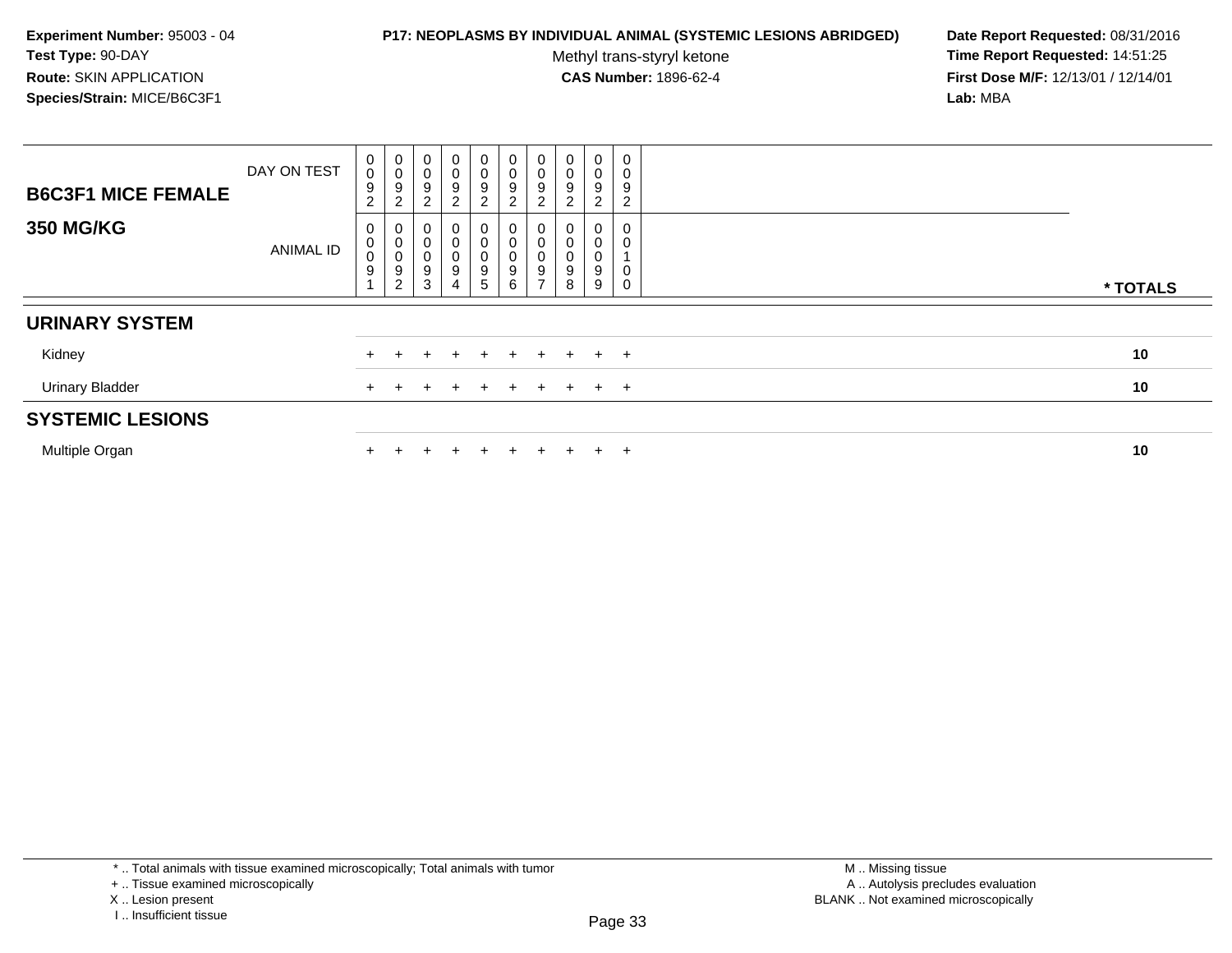#### **P17: NEOPLASMS BY INDIVIDUAL ANIMAL (SYSTEMIC LESIONS ABRIDGED) Date Report Requested:** 08/31/2016

Methyl trans-styryl ketone<br>CAS Number: 1896-62-4

| <b>B6C3F1 MICE FEMALE</b> | DAY ON TEST      | $\pmb{0}$<br>$\pmb{0}$<br>9<br>$\overline{2}$ | $_0^0$<br>9<br>$\overline{c}$ | 0<br>$\mathbf 0$<br>9<br>$\overline{c}$ | $\mathbf 0$<br>$\pmb{0}$<br>$\boldsymbol{9}$<br>$\overline{2}$    | $\begin{array}{c} 0 \\ 0 \\ 9 \\ 2 \end{array}$  | $\begin{matrix} 0 \\ 0 \\ 9 \\ 2 \end{matrix}$                 | 0<br>$\mathsf 0$<br>9<br>2         | $\pmb{0}$<br>$\mathbf 0$<br>9<br>ົ<br>∠ | $\mathbf 0$<br>$\pmb{0}$<br>9<br>$\overline{2}$ | $\pmb{0}$<br>0<br>9<br>$\overline{2}$ |          |
|---------------------------|------------------|-----------------------------------------------|-------------------------------|-----------------------------------------|-------------------------------------------------------------------|--------------------------------------------------|----------------------------------------------------------------|------------------------------------|-----------------------------------------|-------------------------------------------------|---------------------------------------|----------|
| <b>350 MG/KG</b>          | <b>ANIMAL ID</b> | 0<br>0<br>0<br>$\boldsymbol{9}$               | 0<br>0<br>0<br>9<br>2         | 0<br>0<br>9<br>3                        | 0<br>$\pmb{0}$<br>$\pmb{0}$<br>$\boldsymbol{9}$<br>$\overline{4}$ | $_{\rm 0}^{\rm 0}$<br>$\pmb{0}$<br>$\frac{9}{5}$ | $\begin{smallmatrix}0\\0\\0\end{smallmatrix}$<br>$\frac{9}{6}$ | 0<br>0<br>0<br>9<br>$\overline{ }$ | 9<br>8                                  | 0<br>0<br>$\mathbf 0$<br>9<br>9                 | 0<br>0<br>0                           | * TOTALS |
| <b>URINARY SYSTEM</b>     |                  |                                               |                               |                                         |                                                                   |                                                  |                                                                |                                    |                                         |                                                 |                                       |          |
| Kidney                    |                  |                                               |                               |                                         |                                                                   | ÷                                                | $+$                                                            | $\pm$                              | $+$                                     | $+$                                             | $+$                                   | 10       |
| <b>Urinary Bladder</b>    |                  |                                               |                               |                                         |                                                                   |                                                  | $+$                                                            | $\pm$                              |                                         | $+$ $+$                                         |                                       | 10       |
| <b>SYSTEMIC LESIONS</b>   |                  |                                               |                               |                                         |                                                                   |                                                  |                                                                |                                    |                                         |                                                 |                                       |          |
| Multiple Organ            |                  |                                               |                               |                                         |                                                                   | $+$                                              | $\pm$                                                          | +                                  |                                         | $\pm$                                           | $+$                                   | 10       |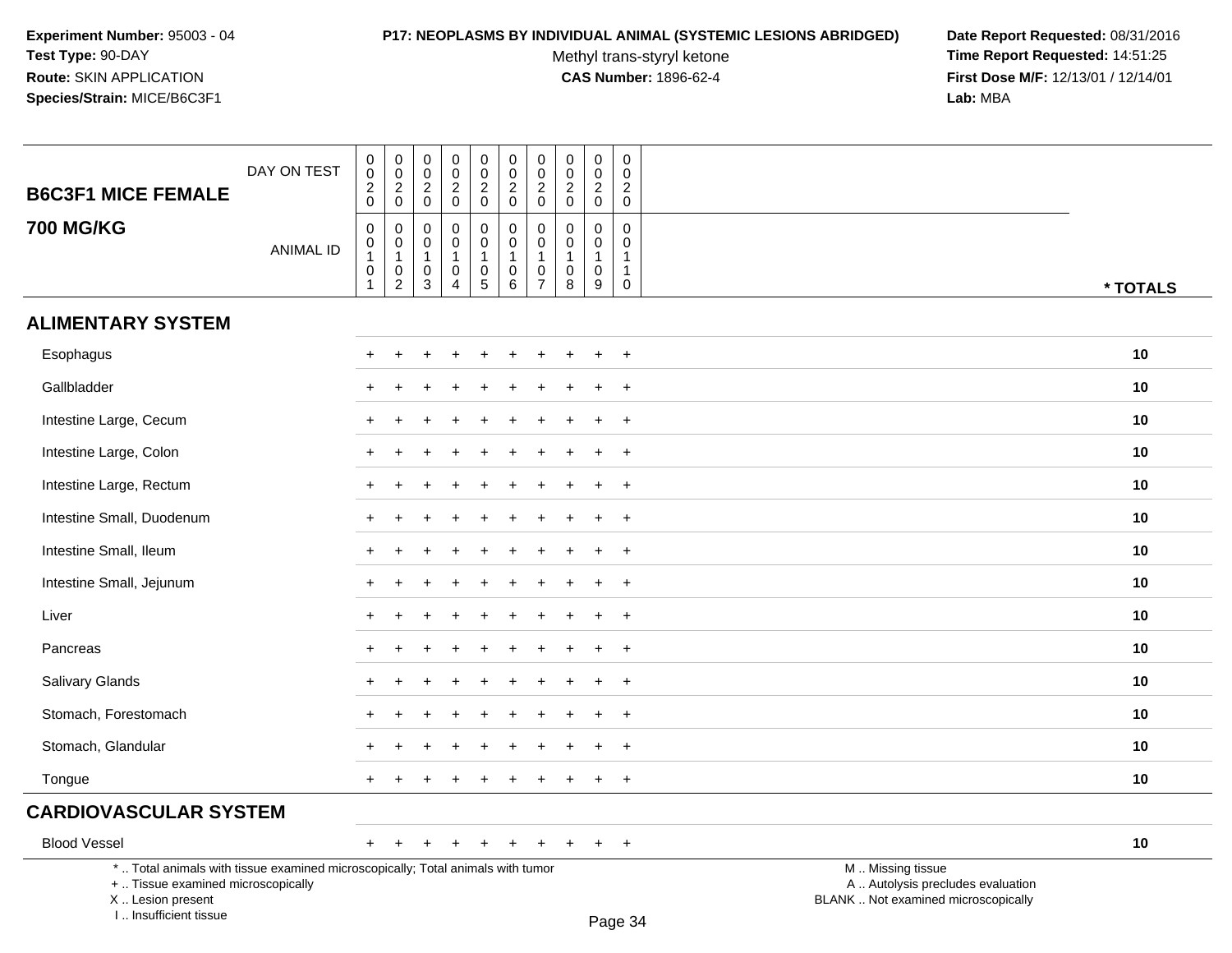#### **P17: NEOPLASMS BY INDIVIDUAL ANIMAL (SYSTEMIC LESIONS ABRIDGED) Date Report Requested:** 08/31/2016

Methyl trans-styryl ketone<br>CAS Number: 1896-62-4

 **Time Report Requested:** 14:51:25 **First Dose M/F:** 12/13/01 / 12/14/01<br>Lab: MBA **Lab:** MBA

| <b>B6C3F1 MICE FEMALE</b>                                                                                             | DAY ON TEST      | $\begin{smallmatrix}0\0\0\end{smallmatrix}$<br>$\frac{2}{0}$                                            | $_{\rm 0}^{\rm 0}$<br>$\frac{2}{0}$                                           | $\mathbf 0$<br>$\overline{0}$<br>$\frac{2}{0}$        | $\pmb{0}$<br>$\overline{0}$<br>$\frac{2}{0}$                            | $\begin{smallmatrix}0\0\0\end{smallmatrix}$<br>$\frac{2}{0}$      | $\begin{smallmatrix} 0\\0 \end{smallmatrix}$<br>$\frac{2}{0}$                 | $\begin{smallmatrix}0\\0\end{smallmatrix}$<br>$\overline{\mathbf{c}}$<br>$\mathbf 0$ | $\mathbf 0$<br>$\mathbf 0$<br>$\sqrt{2}$<br>0               | $\mathbf 0$<br>$\overline{0}$<br>$\sqrt{2}$<br>$\mathbf 0$           | 0<br>$\mathbf 0$<br>$\sqrt{2}$<br>$\mathbf 0$          |                                                        |          |
|-----------------------------------------------------------------------------------------------------------------------|------------------|---------------------------------------------------------------------------------------------------------|-------------------------------------------------------------------------------|-------------------------------------------------------|-------------------------------------------------------------------------|-------------------------------------------------------------------|-------------------------------------------------------------------------------|--------------------------------------------------------------------------------------|-------------------------------------------------------------|----------------------------------------------------------------------|--------------------------------------------------------|--------------------------------------------------------|----------|
| <b>700 MG/KG</b>                                                                                                      | <b>ANIMAL ID</b> | $\mathbf 0$<br>$\begin{smallmatrix}0\\1\end{smallmatrix}$<br>$\begin{smallmatrix}0\\1\end{smallmatrix}$ | $\pmb{0}$<br>$\begin{smallmatrix}0\\1\end{smallmatrix}$<br>$^{\rm 0}_{\rm 2}$ | 0<br>0<br>$\mathbf{1}$<br>$\pmb{0}$<br>$\overline{3}$ | $\pmb{0}$<br>$\mathbf 0$<br>$\mathbf{1}$<br>$\pmb{0}$<br>$\overline{4}$ | $\pmb{0}$<br>$\mathbf 0$<br>$\begin{array}{c} 0 \\ 5 \end{array}$ | $\begin{smallmatrix}0\0\0\end{smallmatrix}$<br>$\mathbf{1}$<br>$_{6}^{\rm 0}$ | $\pmb{0}$<br>$\mathbf 0$<br>$\mathbf{1}$<br>$\frac{0}{7}$                            | $\Omega$<br>$\mathbf 0$<br>$\mathbf{1}$<br>$\mathbf 0$<br>8 | $\mathbf 0$<br>$\mathbf 0$<br>$\overline{1}$<br>$\mathbf 0$<br>$9\,$ | 0<br>$\mathbf{0}$<br>$\mathbf{1}$<br>$\mathbf{1}$<br>0 |                                                        | * TOTALS |
| <b>ALIMENTARY SYSTEM</b>                                                                                              |                  |                                                                                                         |                                                                               |                                                       |                                                                         |                                                                   |                                                                               |                                                                                      |                                                             |                                                                      |                                                        |                                                        |          |
| Esophagus                                                                                                             |                  |                                                                                                         |                                                                               |                                                       |                                                                         |                                                                   |                                                                               |                                                                                      |                                                             |                                                                      | $\ddot{}$                                              |                                                        | 10       |
| Gallbladder                                                                                                           |                  |                                                                                                         |                                                                               |                                                       |                                                                         |                                                                   |                                                                               |                                                                                      |                                                             |                                                                      | $\overline{ }$                                         |                                                        | 10       |
| Intestine Large, Cecum                                                                                                |                  |                                                                                                         |                                                                               |                                                       |                                                                         |                                                                   |                                                                               |                                                                                      |                                                             |                                                                      | $^{+}$                                                 |                                                        | 10       |
| Intestine Large, Colon                                                                                                |                  |                                                                                                         |                                                                               |                                                       |                                                                         |                                                                   |                                                                               |                                                                                      |                                                             |                                                                      | $\ddot{}$                                              |                                                        | 10       |
| Intestine Large, Rectum                                                                                               |                  |                                                                                                         |                                                                               |                                                       |                                                                         |                                                                   |                                                                               |                                                                                      |                                                             |                                                                      | $\ddot{}$                                              |                                                        | 10       |
| Intestine Small, Duodenum                                                                                             |                  |                                                                                                         |                                                                               |                                                       |                                                                         |                                                                   |                                                                               |                                                                                      |                                                             |                                                                      | $\pm$                                                  |                                                        | 10       |
| Intestine Small, Ileum                                                                                                |                  | $\ddot{}$                                                                                               |                                                                               |                                                       |                                                                         |                                                                   |                                                                               |                                                                                      |                                                             |                                                                      | $+$                                                    |                                                        | 10       |
| Intestine Small, Jejunum                                                                                              |                  |                                                                                                         |                                                                               |                                                       |                                                                         |                                                                   |                                                                               |                                                                                      |                                                             |                                                                      | $\ddot{}$                                              |                                                        | 10       |
| Liver                                                                                                                 |                  |                                                                                                         |                                                                               |                                                       |                                                                         |                                                                   |                                                                               |                                                                                      |                                                             |                                                                      | $\ddot{}$                                              |                                                        | 10       |
| Pancreas                                                                                                              |                  |                                                                                                         |                                                                               |                                                       |                                                                         |                                                                   |                                                                               |                                                                                      |                                                             |                                                                      | $\overline{+}$                                         |                                                        | 10       |
| Salivary Glands                                                                                                       |                  |                                                                                                         |                                                                               |                                                       |                                                                         |                                                                   |                                                                               |                                                                                      |                                                             |                                                                      | $+$                                                    |                                                        | 10       |
| Stomach, Forestomach                                                                                                  |                  |                                                                                                         |                                                                               |                                                       |                                                                         |                                                                   |                                                                               |                                                                                      |                                                             |                                                                      | $\ddot{}$                                              |                                                        | 10       |
| Stomach, Glandular                                                                                                    |                  |                                                                                                         |                                                                               |                                                       |                                                                         |                                                                   |                                                                               |                                                                                      |                                                             |                                                                      | $\ddot{}$                                              |                                                        | 10       |
| Tongue                                                                                                                |                  | $+$                                                                                                     |                                                                               |                                                       |                                                                         |                                                                   |                                                                               |                                                                                      |                                                             |                                                                      | $+$                                                    |                                                        | 10       |
| <b>CARDIOVASCULAR SYSTEM</b>                                                                                          |                  |                                                                                                         |                                                                               |                                                       |                                                                         |                                                                   |                                                                               |                                                                                      |                                                             |                                                                      |                                                        |                                                        |          |
| <b>Blood Vessel</b>                                                                                                   |                  | $+$                                                                                                     |                                                                               |                                                       |                                                                         |                                                                   |                                                                               | $\ddot{}$                                                                            | $\pm$                                                       | $\ddot{}$                                                            | $+$                                                    |                                                        | 10       |
| *  Total animals with tissue examined microscopically; Total animals with tumor<br>+  Tissue examined microscopically |                  |                                                                                                         |                                                                               |                                                       |                                                                         |                                                                   |                                                                               |                                                                                      |                                                             |                                                                      |                                                        | M  Missing tissue<br>A  Autolysis precludes evaluation |          |

 Lesion present BLANK .. Not examined microscopicallyX .. Lesion present

I .. Insufficient tissue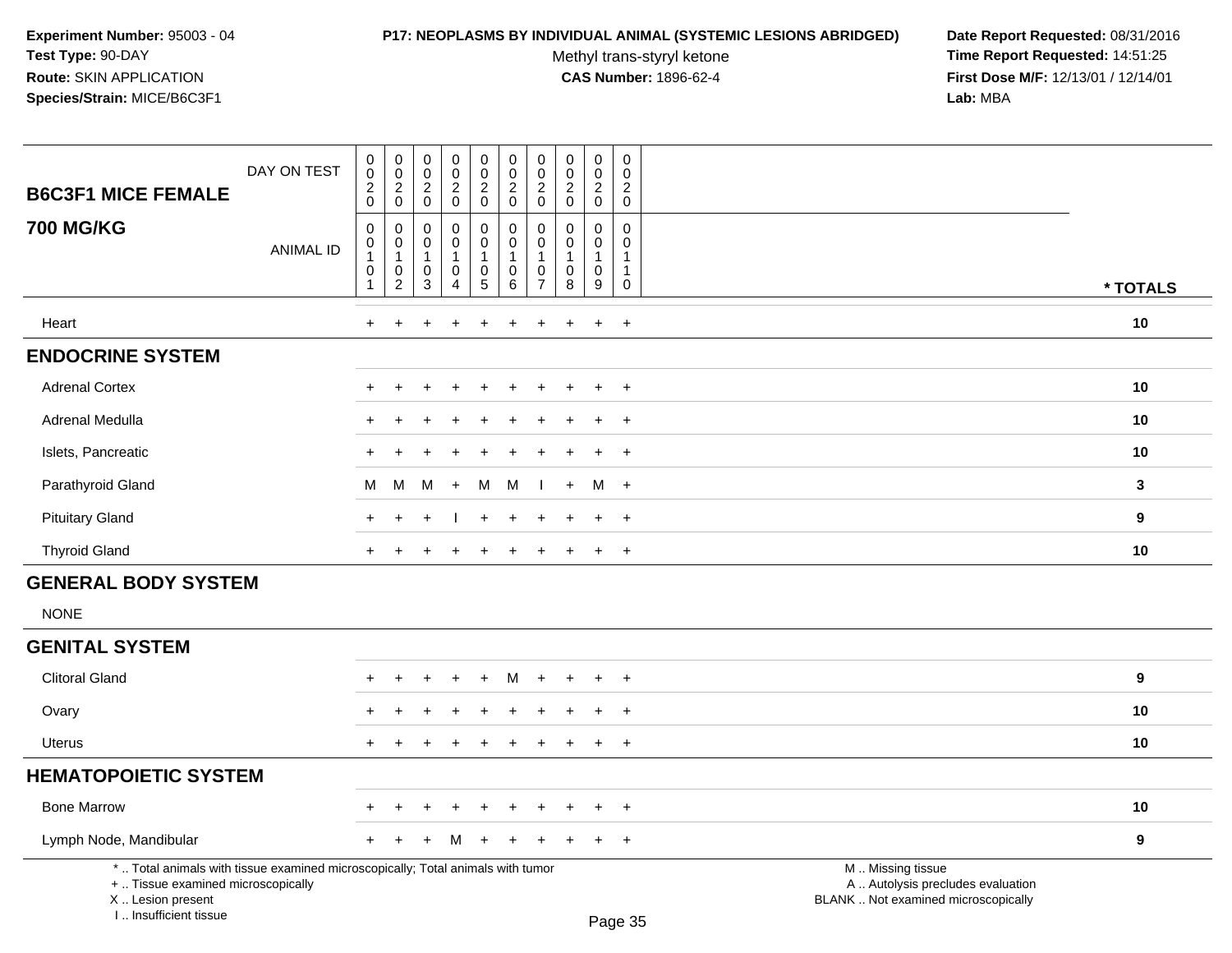# **P17: NEOPLASMS BY INDIVIDUAL ANIMAL (SYSTEMIC LESIONS ABRIDGED) Date Report Requested:** 08/31/2016

Methyl trans-styryl ketone<br>CAS Number: 1896-62-4

| <b>B6C3F1 MICE FEMALE</b>                                                                                                                                           | DAY ON TEST      | $\pmb{0}$<br>$\overline{0}$<br>$\sqrt{2}$<br>$\mathbf 0$                                   | $\pmb{0}$<br>$\ddot{\mathbf{0}}$<br>$\overline{c}$<br>$\mathsf{O}\xspace$ | $\pmb{0}$<br>$\overline{0}$<br>$\sqrt{2}$<br>$\mathbf 0$ | $\begin{smallmatrix} 0\\0\\2 \end{smallmatrix}$<br>$\mathsf{O}\xspace$ | $\begin{matrix} 0 \\ 0 \\ 2 \\ 0 \end{matrix}$                                  | $\pmb{0}$<br>$\ddot{\mathbf{0}}$<br>$\overline{2}$<br>$\mathbf 0$    | $\pmb{0}$<br>$\mathbf 0$<br>$\sqrt{2}$<br>$\mathbf 0$            | $\begin{matrix} 0 \\ 0 \\ 2 \\ 0 \end{matrix}$           | $\begin{smallmatrix} 0\\0 \end{smallmatrix}$<br>$\overline{2}$<br>$\mathbf 0$ | $\pmb{0}$<br>$\mathbf 0$<br>$\overline{c}$<br>$\mathbf 0$       |                                                                                               |              |
|---------------------------------------------------------------------------------------------------------------------------------------------------------------------|------------------|--------------------------------------------------------------------------------------------|---------------------------------------------------------------------------|----------------------------------------------------------|------------------------------------------------------------------------|---------------------------------------------------------------------------------|----------------------------------------------------------------------|------------------------------------------------------------------|----------------------------------------------------------|-------------------------------------------------------------------------------|-----------------------------------------------------------------|-----------------------------------------------------------------------------------------------|--------------|
| <b>700 MG/KG</b>                                                                                                                                                    | <b>ANIMAL ID</b> | $\boldsymbol{0}$<br>$\boldsymbol{0}$<br>$\overline{1}$<br>$\boldsymbol{0}$<br>$\mathbf{1}$ | $\mathbf 0$<br>0<br>$\mathbf{1}$<br>$\mathbf 0$<br>$\overline{c}$         | 0<br>$\mathbf 0$<br>$\mathbf{1}$<br>$\mathbf 0$<br>3     | $\pmb{0}$<br>0<br>$\mathbf{1}$<br>$\pmb{0}$<br>$\overline{\mathbf{4}}$ | $\mathbf 0$<br>$\mathsf{O}\xspace$<br>$\mathbf{1}$<br>$\mathsf 0$<br>$\sqrt{5}$ | $\pmb{0}$<br>$\mathsf{O}\xspace$<br>$\mathbf{1}$<br>$\mathsf 0$<br>6 | 0<br>$\mathbf 0$<br>$\mathbf 1$<br>$\mathbf 0$<br>$\overline{7}$ | $\pmb{0}$<br>$\pmb{0}$<br>$\mathbf{1}$<br>$\pmb{0}$<br>8 | $\mathbf 0$<br>$\mathbf 0$<br>$\mathbf{1}$<br>$\mathbf 0$<br>9                | $\mathbf 0$<br>0<br>$\mathbf{1}$<br>$\mathbf{1}$<br>$\mathbf 0$ |                                                                                               | * TOTALS     |
| Heart                                                                                                                                                               |                  | $+$                                                                                        |                                                                           |                                                          | $\overline{ }$                                                         |                                                                                 | ÷                                                                    | $\ddot{}$                                                        |                                                          | $\ddot{}$                                                                     | $\ddot{}$                                                       |                                                                                               | 10           |
| <b>ENDOCRINE SYSTEM</b>                                                                                                                                             |                  |                                                                                            |                                                                           |                                                          |                                                                        |                                                                                 |                                                                      |                                                                  |                                                          |                                                                               |                                                                 |                                                                                               |              |
| <b>Adrenal Cortex</b>                                                                                                                                               |                  |                                                                                            |                                                                           |                                                          |                                                                        |                                                                                 |                                                                      |                                                                  |                                                          |                                                                               | $\ddot{}$                                                       |                                                                                               | 10           |
| Adrenal Medulla                                                                                                                                                     |                  |                                                                                            |                                                                           |                                                          |                                                                        |                                                                                 |                                                                      |                                                                  |                                                          |                                                                               | $\div$                                                          |                                                                                               | 10           |
| Islets, Pancreatic                                                                                                                                                  |                  |                                                                                            |                                                                           |                                                          |                                                                        |                                                                                 |                                                                      |                                                                  |                                                          |                                                                               | $\ddot{}$                                                       |                                                                                               | 10           |
| Parathyroid Gland                                                                                                                                                   |                  | M                                                                                          | M                                                                         | м                                                        | $\ddot{}$                                                              | M                                                                               | M                                                                    |                                                                  | $\pm$                                                    | M                                                                             | $+$                                                             |                                                                                               | $\mathbf{3}$ |
| <b>Pituitary Gland</b>                                                                                                                                              |                  |                                                                                            |                                                                           |                                                          |                                                                        | +                                                                               | $\div$                                                               |                                                                  |                                                          | $\ddot{}$                                                                     | $+$                                                             |                                                                                               | 9            |
| <b>Thyroid Gland</b>                                                                                                                                                |                  | $+$                                                                                        | $\pm$                                                                     |                                                          | $\div$                                                                 | $\ddot{}$                                                                       | $\pm$                                                                | $\pm$                                                            | ÷                                                        | $+$                                                                           | $+$                                                             |                                                                                               | 10           |
| <b>GENERAL BODY SYSTEM</b>                                                                                                                                          |                  |                                                                                            |                                                                           |                                                          |                                                                        |                                                                                 |                                                                      |                                                                  |                                                          |                                                                               |                                                                 |                                                                                               |              |
| <b>NONE</b>                                                                                                                                                         |                  |                                                                                            |                                                                           |                                                          |                                                                        |                                                                                 |                                                                      |                                                                  |                                                          |                                                                               |                                                                 |                                                                                               |              |
| <b>GENITAL SYSTEM</b>                                                                                                                                               |                  |                                                                                            |                                                                           |                                                          |                                                                        |                                                                                 |                                                                      |                                                                  |                                                          |                                                                               |                                                                 |                                                                                               |              |
| <b>Clitoral Gland</b>                                                                                                                                               |                  |                                                                                            | ÷                                                                         |                                                          | $\pm$                                                                  | $+$                                                                             | M                                                                    | $\pm$                                                            |                                                          | $\overline{+}$                                                                | $+$                                                             |                                                                                               | 9            |
| Ovary                                                                                                                                                               |                  |                                                                                            |                                                                           |                                                          |                                                                        |                                                                                 |                                                                      |                                                                  |                                                          |                                                                               | $\ddot{}$                                                       |                                                                                               | 10           |
| <b>Uterus</b>                                                                                                                                                       |                  | $+$                                                                                        |                                                                           |                                                          | +                                                                      |                                                                                 |                                                                      | ÷                                                                |                                                          | $\overline{+}$                                                                | $+$                                                             |                                                                                               | 10           |
| <b>HEMATOPOIETIC SYSTEM</b>                                                                                                                                         |                  |                                                                                            |                                                                           |                                                          |                                                                        |                                                                                 |                                                                      |                                                                  |                                                          |                                                                               |                                                                 |                                                                                               |              |
| <b>Bone Marrow</b>                                                                                                                                                  |                  |                                                                                            |                                                                           |                                                          |                                                                        |                                                                                 |                                                                      |                                                                  |                                                          | $\overline{ }$                                                                | $\overline{+}$                                                  |                                                                                               | 10           |
| Lymph Node, Mandibular                                                                                                                                              |                  |                                                                                            |                                                                           |                                                          |                                                                        |                                                                                 |                                                                      |                                                                  |                                                          |                                                                               | $\ddot{}$                                                       |                                                                                               | 9            |
| *  Total animals with tissue examined microscopically; Total animals with tumor<br>+  Tissue examined microscopically<br>X  Lesion present<br>I Insufficient tissue |                  |                                                                                            |                                                                           |                                                          |                                                                        |                                                                                 |                                                                      |                                                                  |                                                          | Page 35                                                                       |                                                                 | M  Missing tissue<br>A  Autolysis precludes evaluation<br>BLANK  Not examined microscopically |              |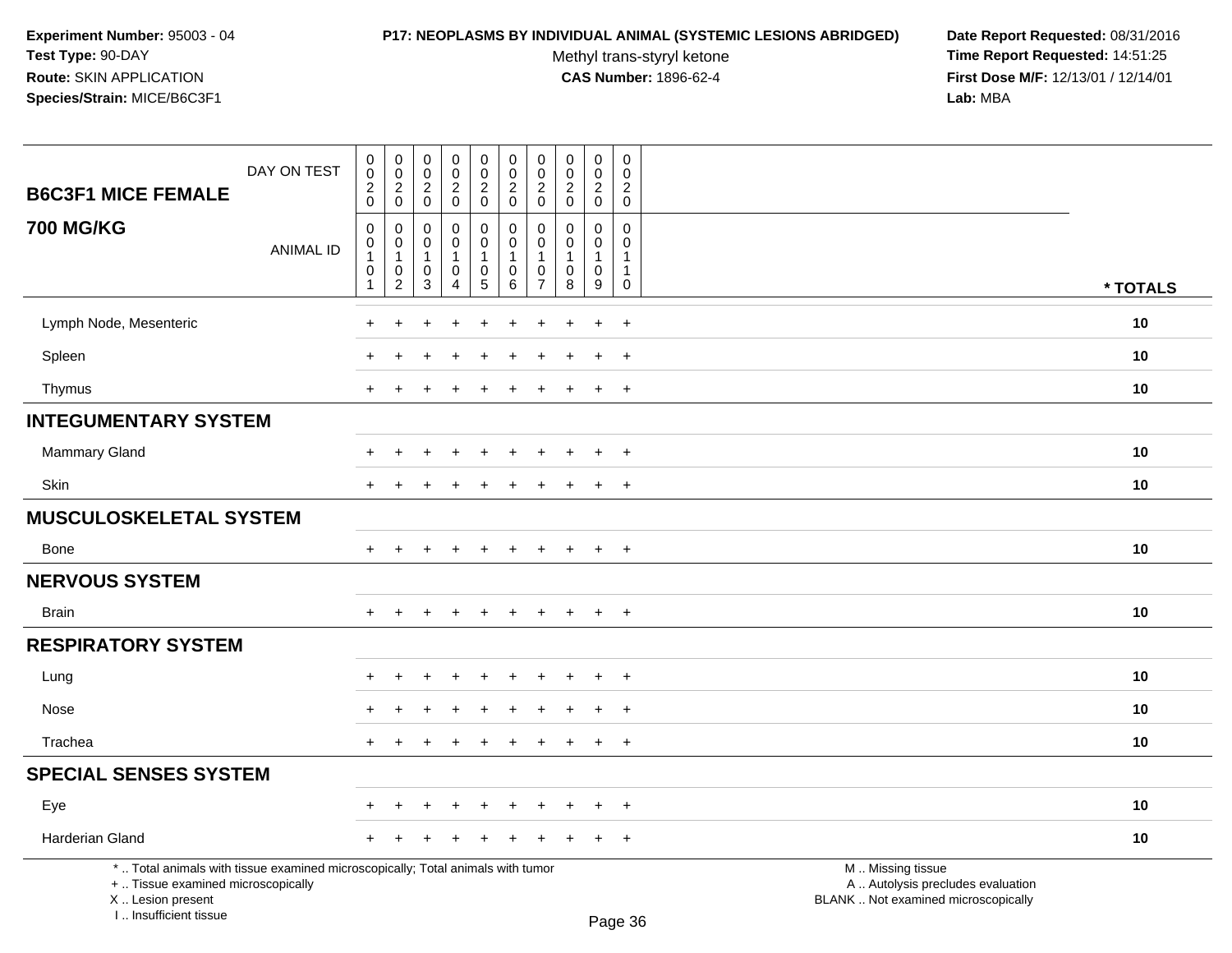#### **P17: NEOPLASMS BY INDIVIDUAL ANIMAL (SYSTEMIC LESIONS ABRIDGED) Date Report Requested:** 08/31/2016

Methyl trans-styryl ketone<br>CAS Number: 1896-62-4

| <b>B6C3F1 MICE FEMALE</b>                                                                                                                                           | DAY ON TEST      | $\pmb{0}$<br>$\ddot{\mathbf{0}}$<br>$\boldsymbol{2}$<br>$\pmb{0}$ | $\mathbf 0$<br>$\ddot{\mathbf{0}}$<br>$^2_{\rm 0}$             | $\pmb{0}$<br>$\mathbf 0$<br>$\sqrt{2}$<br>$\mathbf 0$         | $\pmb{0}$<br>$\mathsf{O}\xspace$<br>$\overline{c}$<br>$\mathsf{O}\xspace$ | $\mathbf 0$<br>$\mathsf{O}\xspace$<br>$^2_{0}$       | $\mathbf 0$<br>$\ddot{\mathbf{0}}$<br>$\overline{\mathbf{c}}$<br>$\mathbf 0$ | $\pmb{0}$<br>0<br>$\overline{c}$<br>$\pmb{0}$               | $\pmb{0}$<br>$\ddot{\mathbf{0}}$<br>$\boldsymbol{2}$<br>$\mathbf 0$ | $\pmb{0}$<br>$\mathbf 0$<br>$\mathbf{2}$<br>$\mathbf 0$ | $\boldsymbol{0}$<br>$\mathbf 0$<br>$\overline{c}$<br>$\mathbf 0$       |                                                                                               |          |
|---------------------------------------------------------------------------------------------------------------------------------------------------------------------|------------------|-------------------------------------------------------------------|----------------------------------------------------------------|---------------------------------------------------------------|---------------------------------------------------------------------------|------------------------------------------------------|------------------------------------------------------------------------------|-------------------------------------------------------------|---------------------------------------------------------------------|---------------------------------------------------------|------------------------------------------------------------------------|-----------------------------------------------------------------------------------------------|----------|
| <b>700 MG/KG</b>                                                                                                                                                    | <b>ANIMAL ID</b> | $\mathbf 0$<br>0<br>$\mathbf{1}$<br>0<br>$\mathbf 1$              | $\mathbf 0$<br>$\mathbf{0}$<br>$\mathbf{1}$<br>0<br>$\sqrt{2}$ | $\mathbf 0$<br>$\Omega$<br>$\overline{1}$<br>$\mathbf 0$<br>3 | 0<br>$\mathbf 0$<br>$\mathbf{1}$<br>$\mathbf 0$<br>$\overline{4}$         | 0<br>$\mathbf 0$<br>$\mathbf{1}$<br>$\mathbf 0$<br>5 | $\mathbf 0$<br>0<br>$\mathbf{1}$<br>0<br>$6\phantom{1}$                      | $\Omega$<br>$\Omega$<br>-1<br>$\mathbf 0$<br>$\overline{7}$ | $\mathbf 0$<br>$\mathbf{0}$<br>$\mathbf{1}$<br>$\mathbf 0$<br>8     | 0<br>$\Omega$<br>$\mathbf{1}$<br>$\mathbf 0$<br>$9\,$   | $\mathbf 0$<br>$\Omega$<br>$\mathbf{1}$<br>$\mathbf{1}$<br>$\mathbf 0$ |                                                                                               | * TOTALS |
| Lymph Node, Mesenteric                                                                                                                                              |                  | $\ddot{}$                                                         |                                                                |                                                               |                                                                           |                                                      |                                                                              |                                                             |                                                                     | $\ddot{}$                                               | $+$                                                                    |                                                                                               | 10       |
| Spleen                                                                                                                                                              |                  | $\div$                                                            |                                                                |                                                               |                                                                           |                                                      |                                                                              |                                                             |                                                                     | ÷                                                       | $\overline{+}$                                                         |                                                                                               | 10       |
| Thymus                                                                                                                                                              |                  | $\ddot{}$                                                         |                                                                |                                                               |                                                                           |                                                      |                                                                              |                                                             | $\div$                                                              | $+$                                                     | $+$                                                                    |                                                                                               | 10       |
| <b>INTEGUMENTARY SYSTEM</b>                                                                                                                                         |                  |                                                                   |                                                                |                                                               |                                                                           |                                                      |                                                                              |                                                             |                                                                     |                                                         |                                                                        |                                                                                               |          |
| <b>Mammary Gland</b>                                                                                                                                                |                  | ÷                                                                 |                                                                |                                                               |                                                                           |                                                      |                                                                              |                                                             |                                                                     | $\ddot{}$                                               | $+$                                                                    |                                                                                               | 10       |
| <b>Skin</b>                                                                                                                                                         |                  | $\ddot{}$                                                         | $\pm$                                                          | $\ddot{}$                                                     | $\ddot{}$                                                                 | $\overline{1}$                                       | $\div$                                                                       |                                                             | $\div$                                                              | $\ddot{}$                                               | $+$                                                                    |                                                                                               | 10       |
| <b>MUSCULOSKELETAL SYSTEM</b>                                                                                                                                       |                  |                                                                   |                                                                |                                                               |                                                                           |                                                      |                                                                              |                                                             |                                                                     |                                                         |                                                                        |                                                                                               |          |
| <b>Bone</b>                                                                                                                                                         |                  | $\ddot{}$                                                         | $\ddot{}$                                                      |                                                               | $\ddot{}$                                                                 | $\ddot{}$                                            | $\ddot{}$                                                                    | $\ddot{}$                                                   | $\overline{+}$                                                      | $+$                                                     | $+$                                                                    |                                                                                               | 10       |
| <b>NERVOUS SYSTEM</b>                                                                                                                                               |                  |                                                                   |                                                                |                                                               |                                                                           |                                                      |                                                                              |                                                             |                                                                     |                                                         |                                                                        |                                                                                               |          |
| <b>Brain</b>                                                                                                                                                        |                  | $\ddot{}$                                                         |                                                                |                                                               |                                                                           |                                                      |                                                                              |                                                             |                                                                     | $\ddot{}$                                               | $+$                                                                    |                                                                                               | 10       |
| <b>RESPIRATORY SYSTEM</b>                                                                                                                                           |                  |                                                                   |                                                                |                                                               |                                                                           |                                                      |                                                                              |                                                             |                                                                     |                                                         |                                                                        |                                                                                               |          |
| Lung                                                                                                                                                                |                  |                                                                   |                                                                |                                                               |                                                                           |                                                      |                                                                              |                                                             |                                                                     | ÷                                                       | $\overline{+}$                                                         |                                                                                               | 10       |
| Nose                                                                                                                                                                |                  |                                                                   |                                                                |                                                               |                                                                           |                                                      |                                                                              |                                                             |                                                                     | ÷                                                       | $\overline{+}$                                                         |                                                                                               | 10       |
| Trachea                                                                                                                                                             |                  | $+$                                                               | $\ddot{}$                                                      |                                                               | $\ddot{}$                                                                 |                                                      | $\ddot{}$                                                                    | $\pm$                                                       | $\overline{+}$                                                      | $+$                                                     | $+$                                                                    |                                                                                               | 10       |
| <b>SPECIAL SENSES SYSTEM</b>                                                                                                                                        |                  |                                                                   |                                                                |                                                               |                                                                           |                                                      |                                                                              |                                                             |                                                                     |                                                         |                                                                        |                                                                                               |          |
| Eye                                                                                                                                                                 |                  | ÷                                                                 |                                                                |                                                               |                                                                           |                                                      |                                                                              |                                                             |                                                                     | $\ddot{}$                                               | $+$                                                                    |                                                                                               | 10       |
| Harderian Gland                                                                                                                                                     |                  | $\ddot{}$                                                         |                                                                |                                                               |                                                                           |                                                      |                                                                              |                                                             |                                                                     | $\ddot{}$                                               | $+$                                                                    |                                                                                               | 10       |
| *  Total animals with tissue examined microscopically; Total animals with tumor<br>+  Tissue examined microscopically<br>X  Lesion present<br>I Insufficient tissue |                  |                                                                   |                                                                |                                                               |                                                                           |                                                      |                                                                              |                                                             |                                                                     |                                                         | $D_{200}$ 26                                                           | M  Missing tissue<br>A  Autolysis precludes evaluation<br>BLANK  Not examined microscopically |          |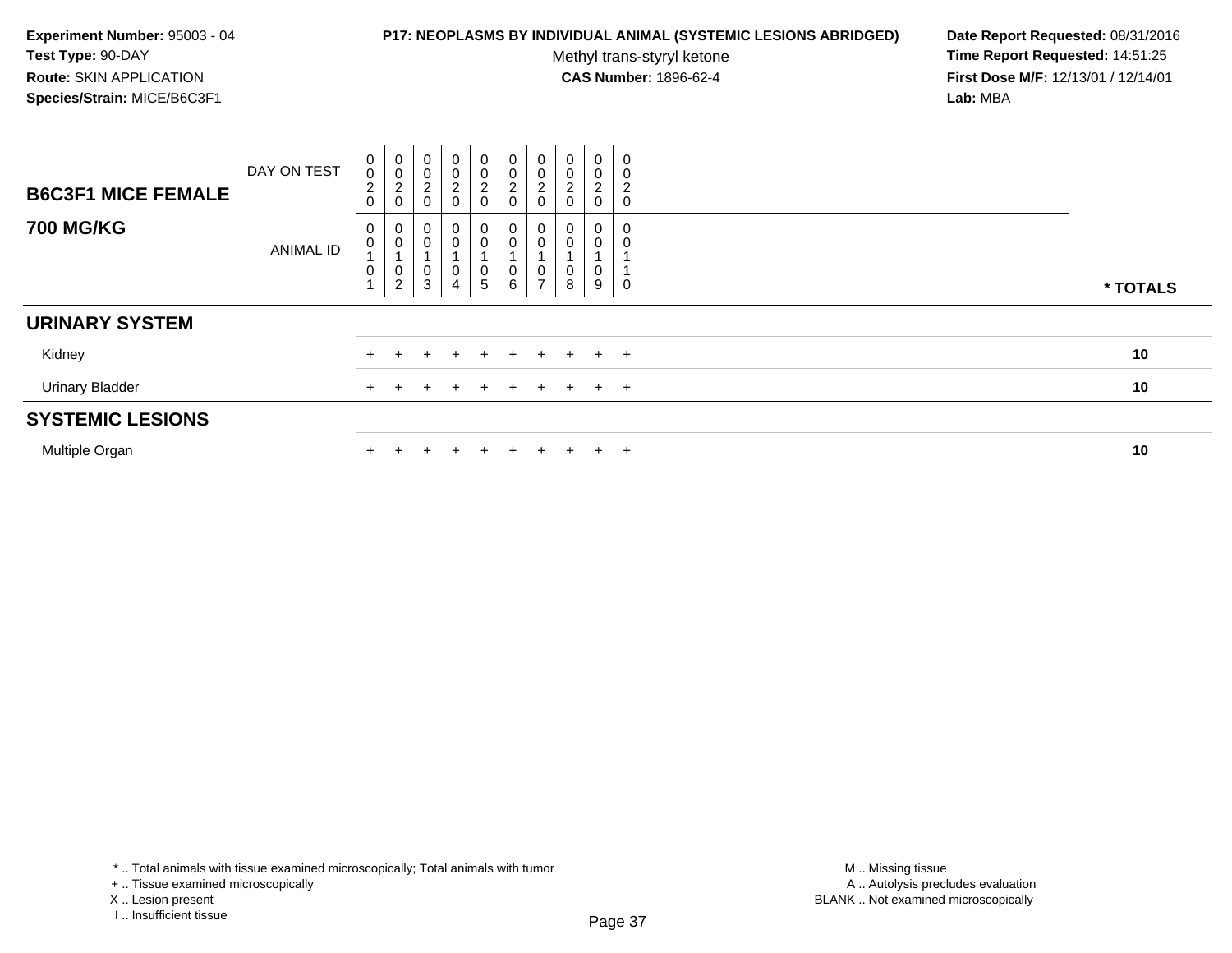#### **P17: NEOPLASMS BY INDIVIDUAL ANIMAL (SYSTEMIC LESIONS ABRIDGED) Date Report Requested:** 08/31/2016

Methyl trans-styryl ketone<br>CAS Number: 1896-62-4

| <b>B6C3F1 MICE FEMALE</b> | DAY ON TEST | $\pmb{0}$<br>$\pmb{0}$<br>$\overline{c}$<br>$\mathsf 0$ | $\begin{smallmatrix} 0\\0 \end{smallmatrix}$<br>$\overline{c}$<br>$\pmb{0}$ | 0<br>$\mathbf 0$<br>$\overline{c}$<br>$\mathbf 0$ | $\pmb{0}$<br>$\pmb{0}$<br>$\overline{c}$<br>$\pmb{0}$ | $\begin{smallmatrix} 0\\0 \end{smallmatrix}$<br>$\frac{2}{0}$                         | $\begin{matrix} 0 \\ 0 \\ 2 \end{matrix}$<br>$\pmb{0}$                        | 0<br>$\mathsf{O}\xspace$<br>c<br>∠<br>0 | $\mathbf 0$<br>$\mathbf 0$<br>ے | $\mathsf{O}\xspace$<br>0<br>$\overline{2}$<br>0 | $\mathbf 0$<br>0<br>$\overline{\mathbf{c}}$<br>$\pmb{0}$ |          |
|---------------------------|-------------|---------------------------------------------------------|-----------------------------------------------------------------------------|---------------------------------------------------|-------------------------------------------------------|---------------------------------------------------------------------------------------|-------------------------------------------------------------------------------|-----------------------------------------|---------------------------------|-------------------------------------------------|----------------------------------------------------------|----------|
| <b>700 MG/KG</b>          | ANIMAL ID   | 0<br>$\mathsf 0$<br>$\pmb{0}$                           | 0<br>$\pmb{0}$<br>0<br>$\overline{2}$                                       | 0<br>0<br>0<br>$\mathsf 3$                        | $\mathbf 0$<br>$\pmb{0}$<br>0<br>$\overline{4}$       | $\begin{smallmatrix} 0\\0 \end{smallmatrix}$<br>$\begin{array}{c} 0 \\ 5 \end{array}$ | $_{\rm 0}^{\rm 0}$<br>$\overline{A}$<br>$\begin{array}{c} 0 \\ 6 \end{array}$ | 0<br>0<br>0<br>$\rightarrow$            | $\mathbf 0$<br>0<br>8           | 0<br>0<br>0<br>9                                | 0<br>0<br>0                                              | * TOTALS |
| <b>URINARY SYSTEM</b>     |             |                                                         |                                                                             |                                                   |                                                       |                                                                                       |                                                                               |                                         |                                 |                                                 |                                                          |          |
| Kidney                    |             |                                                         |                                                                             |                                                   |                                                       | ÷                                                                                     | $+$                                                                           | $\pm$                                   | $+$                             | $+$                                             | $+$                                                      | 10       |
| <b>Urinary Bladder</b>    |             |                                                         |                                                                             |                                                   |                                                       | $\pm$                                                                                 | $+$                                                                           | $+$                                     | $+$                             | $+$ $+$                                         |                                                          | 10       |
| <b>SYSTEMIC LESIONS</b>   |             |                                                         |                                                                             |                                                   |                                                       |                                                                                       |                                                                               |                                         |                                 |                                                 |                                                          |          |
| Multiple Organ            |             |                                                         |                                                                             |                                                   |                                                       | $+$                                                                                   | $\pm$                                                                         | +                                       |                                 | $\pm$                                           | $+$                                                      | 10       |

<sup>\* ..</sup> Total animals with tissue examined microscopically; Total animals with tumor

<sup>+ ..</sup> Tissue examined microscopically

X .. Lesion present

I .. Insufficient tissue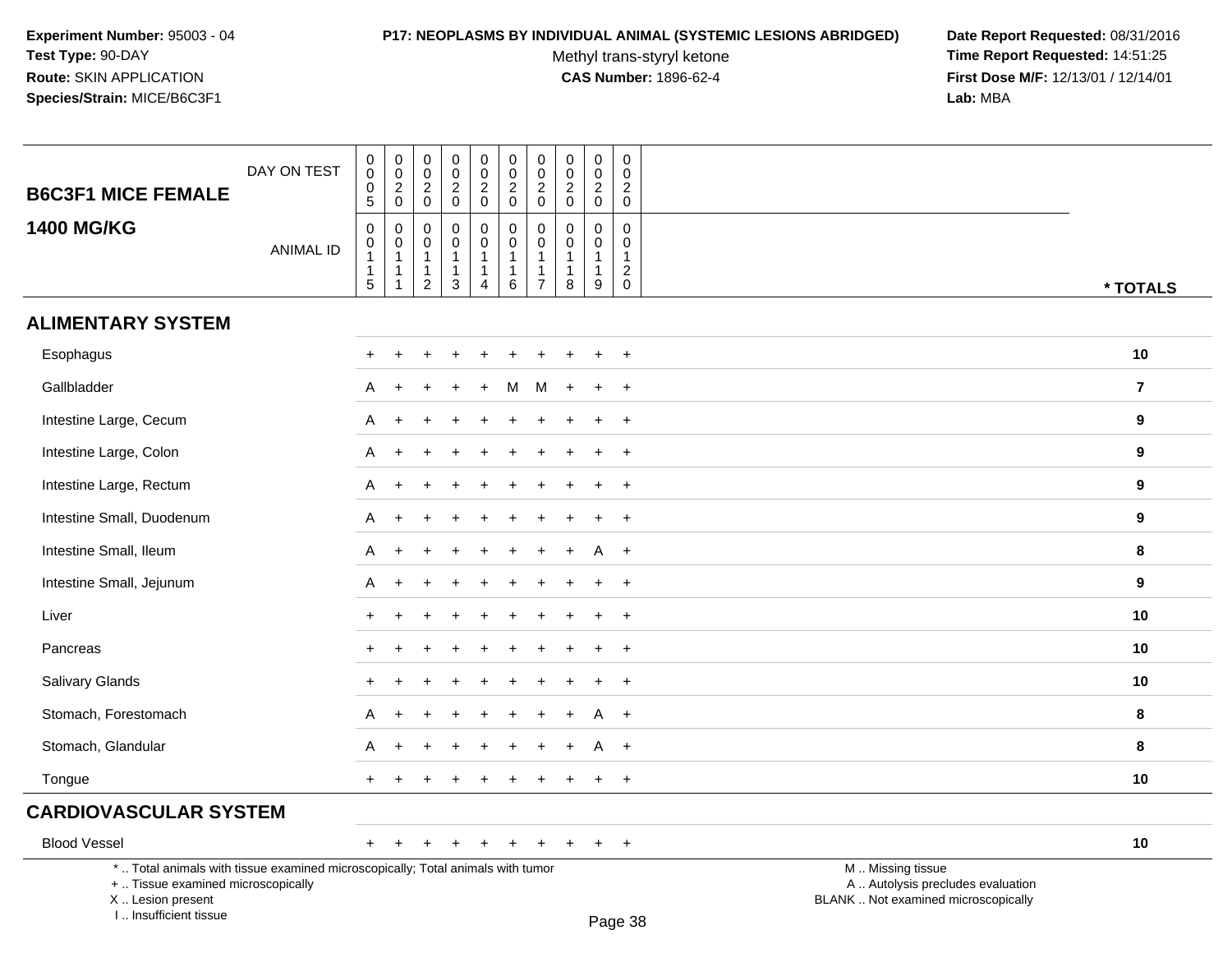#### **P17: NEOPLASMS BY INDIVIDUAL ANIMAL (SYSTEMIC LESIONS ABRIDGED) Date Report Requested:** 08/31/2016

Methyl trans-styryl ketone<br>CAS Number: 1896-62-4

 **Time Report Requested:** 14:51:25 **First Dose M/F:** 12/13/01 / 12/14/01<br>Lab: MBA **Lab:** MBA

| <b>B6C3F1 MICE FEMALE</b>          | DAY ON TEST                                                                     | $\pmb{0}$<br>$\mathbf 0$<br>$\pmb{0}$<br>5 | $\begin{smallmatrix} 0\\0 \end{smallmatrix}$<br>$\frac{2}{0}$          | 0<br>$\mathsf 0$<br>$\overline{2}$<br>$\mathbf 0$                              | $\pmb{0}$<br>$\pmb{0}$<br>$\boldsymbol{2}$<br>$\mathbf 0$               | $\pmb{0}$<br>$\pmb{0}$<br>$\overline{2}$<br>$\mathbf 0$      | $\mathsf 0$<br>$\mathsf{O}\xspace$<br>$\overline{a}$<br>$\mathbf 0$       | $\pmb{0}$<br>$\pmb{0}$<br>$\overline{c}$<br>$\pmb{0}$                   | $\pmb{0}$<br>$\mathbf 0$<br>$\overline{2}$<br>$\mathbf 0$ | $\pmb{0}$<br>$\mathbf 0$<br>$\sqrt{2}$<br>$\mathbf 0$               | 0<br>$\mathbf 0$<br>$\overline{2}$<br>$\mathsf 0$              |                                                        |                  |
|------------------------------------|---------------------------------------------------------------------------------|--------------------------------------------|------------------------------------------------------------------------|--------------------------------------------------------------------------------|-------------------------------------------------------------------------|--------------------------------------------------------------|---------------------------------------------------------------------------|-------------------------------------------------------------------------|-----------------------------------------------------------|---------------------------------------------------------------------|----------------------------------------------------------------|--------------------------------------------------------|------------------|
| <b>1400 MG/KG</b>                  | <b>ANIMAL ID</b>                                                                | $\mathbf 0$<br>0<br>$\overline{1}$<br>5    | $\pmb{0}$<br>$\pmb{0}$<br>$\overline{1}$<br>$\mathbf 1$<br>$\mathbf 1$ | $\mathbf 0$<br>$\mathbf 0$<br>$\mathbf{1}$<br>$\overline{1}$<br>$\overline{2}$ | $\Omega$<br>$\mathbf 0$<br>$\mathbf{1}$<br>$\mathbf{1}$<br>$\mathbf{3}$ | $\pmb{0}$<br>$\mathsf 0$<br>$\mathbf{1}$<br>$\mathbf 1$<br>4 | $\mathsf{O}\xspace$<br>$\mathbf 0$<br>$\mathbf{1}$<br>$\overline{1}$<br>6 | $\pmb{0}$<br>$\pmb{0}$<br>$\mathbf{1}$<br>$\mathbf 1$<br>$\overline{7}$ | $\mathbf{0}$<br>$\Omega$<br>-1<br>$\overline{1}$<br>8     | $\mathbf 0$<br>$\mathbf 0$<br>$\overline{1}$<br>$\overline{1}$<br>9 | $\Omega$<br>0<br>$\mathbf{1}$<br>$\overline{c}$<br>$\mathbf 0$ |                                                        | * TOTALS         |
| <b>ALIMENTARY SYSTEM</b>           |                                                                                 |                                            |                                                                        |                                                                                |                                                                         |                                                              |                                                                           |                                                                         |                                                           |                                                                     |                                                                |                                                        |                  |
| Esophagus                          |                                                                                 | $+$                                        | $\div$                                                                 |                                                                                |                                                                         |                                                              |                                                                           |                                                                         |                                                           |                                                                     | $+$                                                            |                                                        | 10               |
| Gallbladder                        |                                                                                 | A                                          |                                                                        |                                                                                |                                                                         | $\ddot{}$                                                    | м                                                                         | M                                                                       |                                                           |                                                                     | $+$                                                            |                                                        | $\overline{7}$   |
| Intestine Large, Cecum             |                                                                                 | A                                          |                                                                        |                                                                                |                                                                         |                                                              |                                                                           |                                                                         |                                                           |                                                                     | $\ddot{}$                                                      |                                                        | 9                |
| Intestine Large, Colon             |                                                                                 | A                                          | $\ddot{}$                                                              |                                                                                |                                                                         |                                                              |                                                                           |                                                                         |                                                           |                                                                     | $+$                                                            |                                                        | 9                |
| Intestine Large, Rectum            |                                                                                 | A                                          | $+$                                                                    |                                                                                |                                                                         |                                                              |                                                                           |                                                                         |                                                           |                                                                     | $+$                                                            |                                                        | $\boldsymbol{9}$ |
| Intestine Small, Duodenum          |                                                                                 | A                                          |                                                                        |                                                                                |                                                                         |                                                              |                                                                           |                                                                         |                                                           |                                                                     | $\ddot{}$                                                      |                                                        | 9                |
| Intestine Small, Ileum             |                                                                                 | A                                          |                                                                        |                                                                                |                                                                         |                                                              |                                                                           |                                                                         |                                                           |                                                                     | $+$                                                            |                                                        | 8                |
| Intestine Small, Jejunum           |                                                                                 | A                                          |                                                                        |                                                                                |                                                                         |                                                              |                                                                           |                                                                         |                                                           |                                                                     | $+$                                                            |                                                        | 9                |
| Liver                              |                                                                                 |                                            |                                                                        |                                                                                |                                                                         |                                                              |                                                                           |                                                                         |                                                           |                                                                     | $\ddot{}$                                                      |                                                        | 10               |
| Pancreas                           |                                                                                 |                                            |                                                                        |                                                                                |                                                                         |                                                              |                                                                           |                                                                         |                                                           |                                                                     | $\ddot{}$                                                      |                                                        | 10               |
| Salivary Glands                    |                                                                                 | $\pm$                                      |                                                                        |                                                                                |                                                                         |                                                              |                                                                           |                                                                         |                                                           |                                                                     | $+$                                                            |                                                        | 10               |
| Stomach, Forestomach               |                                                                                 | A                                          |                                                                        |                                                                                |                                                                         |                                                              |                                                                           |                                                                         |                                                           | A                                                                   | $+$                                                            |                                                        | 8                |
| Stomach, Glandular                 |                                                                                 | A                                          |                                                                        |                                                                                |                                                                         |                                                              |                                                                           |                                                                         |                                                           |                                                                     | $+$                                                            |                                                        | 8                |
| Tongue                             |                                                                                 | $+$                                        |                                                                        |                                                                                |                                                                         |                                                              |                                                                           |                                                                         |                                                           |                                                                     | $+$                                                            |                                                        | 10               |
| <b>CARDIOVASCULAR SYSTEM</b>       |                                                                                 |                                            |                                                                        |                                                                                |                                                                         |                                                              |                                                                           |                                                                         |                                                           |                                                                     |                                                                |                                                        |                  |
| <b>Blood Vessel</b>                |                                                                                 | $+$                                        |                                                                        |                                                                                |                                                                         |                                                              |                                                                           | $\div$                                                                  | $\pm$                                                     | $\ddot{}$                                                           | $+$                                                            |                                                        | 10               |
| +  Tissue examined microscopically | *  Total animals with tissue examined microscopically; Total animals with tumor |                                            |                                                                        |                                                                                |                                                                         |                                                              |                                                                           |                                                                         |                                                           |                                                                     |                                                                | M  Missing tissue<br>A  Autolysis precludes evaluation |                  |

 Lesion present BLANK .. Not examined microscopicallyX .. Lesion present

I .. Insufficient tissue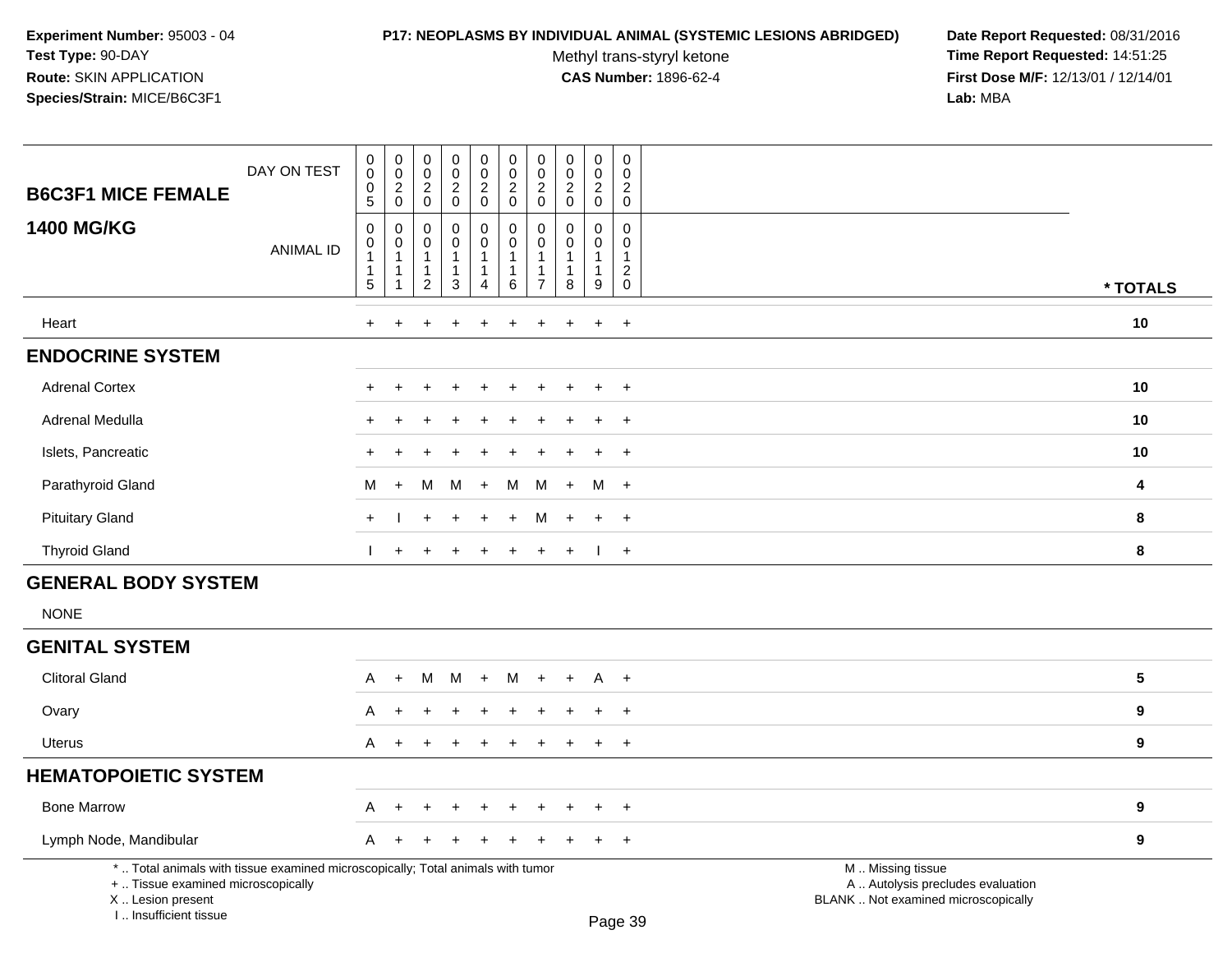# **P17: NEOPLASMS BY INDIVIDUAL ANIMAL (SYSTEMIC LESIONS ABRIDGED) Date Report Requested:** 08/31/2016

Methyl trans-styryl ketone<br>CAS Number: 1896-62-4

| <b>B6C3F1 MICE FEMALE</b>                                                                                                                                           | DAY ON TEST      | $_{\rm 0}^{\rm 0}$<br>$\boldsymbol{0}$<br>$\overline{5}$                     | $\begin{smallmatrix} 0\\0 \end{smallmatrix}$<br>$\overline{c}$<br>$\mathbf 0$ | $_{\rm 0}^{\rm 0}$<br>$\overline{c}$<br>$\mathbf 0$      | $_{\rm 0}^{\rm 0}$<br>$\overline{a}$<br>$\pmb{0}$ | $\begin{smallmatrix} 0\\0 \end{smallmatrix}$<br>$\sqrt{2}$<br>$\mathbf 0$      | $\mathbf 0$<br>$\ddot{\mathbf{0}}$<br>$\overline{c}$<br>$\mathbf 0$ | $\pmb{0}$<br>$\pmb{0}$<br>$\overline{2}$<br>$\mathbf 0$ | $\begin{smallmatrix} 0\\0 \end{smallmatrix}$<br>$^2_{\rm 0}$    | $_{\rm 0}^{\rm 0}$<br>$\overline{a}$<br>$\mathbf 0$   | $\mathbf 0$<br>$\Omega$<br>$\overline{a}$<br>$\mathbf 0$                  |                                                                                               |                         |
|---------------------------------------------------------------------------------------------------------------------------------------------------------------------|------------------|------------------------------------------------------------------------------|-------------------------------------------------------------------------------|----------------------------------------------------------|---------------------------------------------------|--------------------------------------------------------------------------------|---------------------------------------------------------------------|---------------------------------------------------------|-----------------------------------------------------------------|-------------------------------------------------------|---------------------------------------------------------------------------|-----------------------------------------------------------------------------------------------|-------------------------|
| <b>1400 MG/KG</b>                                                                                                                                                   | <b>ANIMAL ID</b> | $\pmb{0}$<br>$\mathbf 0$<br>$\mathbf{1}$<br>$\overline{1}$<br>$\overline{5}$ | $\mathbf 0$<br>0<br>$\mathbf{1}$<br>1<br>1                                    | 0<br>0<br>$\mathbf{1}$<br>$\mathbf{1}$<br>$\overline{2}$ | $\pmb{0}$<br>0<br>1<br>1<br>3                     | $\mathbf 0$<br>$\mathbf 0$<br>$\mathbf{1}$<br>$\overline{1}$<br>$\overline{4}$ | $\pmb{0}$<br>0<br>$\mathbf{1}$<br>$\mathbf{1}$<br>6                 | 0<br>$\mathbf 0$<br>1<br>1<br>$\overline{7}$            | $\mathbf 0$<br>$\mathbf 0$<br>$\mathbf{1}$<br>$\mathbf{1}$<br>8 | $\mathbf 0$<br>0<br>$\mathbf{1}$<br>$\mathbf{1}$<br>9 | $\mathbf 0$<br>0<br>$\mathbf{1}$<br>$\overline{c}$<br>$\mathsf{O}\xspace$ |                                                                                               | * TOTALS                |
| Heart                                                                                                                                                               |                  | $+$                                                                          |                                                                               |                                                          |                                                   |                                                                                |                                                                     |                                                         |                                                                 | $+$                                                   | $+$                                                                       |                                                                                               | 10                      |
| <b>ENDOCRINE SYSTEM</b>                                                                                                                                             |                  |                                                                              |                                                                               |                                                          |                                                   |                                                                                |                                                                     |                                                         |                                                                 |                                                       |                                                                           |                                                                                               |                         |
| <b>Adrenal Cortex</b>                                                                                                                                               |                  |                                                                              |                                                                               |                                                          |                                                   |                                                                                |                                                                     |                                                         |                                                                 |                                                       | $\ddot{}$                                                                 |                                                                                               | 10                      |
| Adrenal Medulla                                                                                                                                                     |                  |                                                                              |                                                                               |                                                          |                                                   |                                                                                |                                                                     |                                                         |                                                                 |                                                       | $\ddot{}$                                                                 |                                                                                               | 10                      |
| Islets, Pancreatic                                                                                                                                                  |                  |                                                                              |                                                                               |                                                          |                                                   |                                                                                |                                                                     |                                                         |                                                                 |                                                       | $\div$                                                                    |                                                                                               | 10                      |
| Parathyroid Gland                                                                                                                                                   |                  | M                                                                            | $+$                                                                           | м                                                        | M                                                 | $+$                                                                            | M                                                                   | M                                                       | $\pm$                                                           | M                                                     | $+$                                                                       |                                                                                               | 4                       |
| <b>Pituitary Gland</b>                                                                                                                                              |                  | $+$                                                                          |                                                                               |                                                          |                                                   |                                                                                | $\ddot{}$                                                           | M                                                       |                                                                 | $\ddot{}$                                             | $+$                                                                       |                                                                                               | 8                       |
| <b>Thyroid Gland</b>                                                                                                                                                |                  |                                                                              | $\ddot{}$                                                                     | $\pm$                                                    | $\pm$                                             | $\ddot{}$                                                                      | $\ddot{}$                                                           | $+$                                                     | $+$                                                             | $\mathbf{I}$                                          | $+$                                                                       |                                                                                               | 8                       |
| <b>GENERAL BODY SYSTEM</b><br><b>NONE</b>                                                                                                                           |                  |                                                                              |                                                                               |                                                          |                                                   |                                                                                |                                                                     |                                                         |                                                                 |                                                       |                                                                           |                                                                                               |                         |
| <b>GENITAL SYSTEM</b>                                                                                                                                               |                  |                                                                              |                                                                               |                                                          |                                                   |                                                                                |                                                                     |                                                         |                                                                 |                                                       |                                                                           |                                                                                               |                         |
| <b>Clitoral Gland</b>                                                                                                                                               |                  | A                                                                            | $\ddot{}$                                                                     | M                                                        | M                                                 | $+$                                                                            | M                                                                   | $+$                                                     | $\ddot{+}$                                                      | A                                                     | $+$                                                                       |                                                                                               | $\overline{\mathbf{5}}$ |
| Ovary                                                                                                                                                               |                  | A                                                                            |                                                                               |                                                          |                                                   |                                                                                |                                                                     |                                                         |                                                                 |                                                       | $\ddot{}$                                                                 |                                                                                               | 9                       |
| <b>Uterus</b>                                                                                                                                                       |                  | A                                                                            | $+$                                                                           | $\pm$                                                    | $\div$                                            | $\pm$                                                                          | $\pm$                                                               |                                                         |                                                                 | $\overline{+}$                                        | $\overline{+}$                                                            |                                                                                               | 9                       |
| <b>HEMATOPOIETIC SYSTEM</b>                                                                                                                                         |                  |                                                                              |                                                                               |                                                          |                                                   |                                                                                |                                                                     |                                                         |                                                                 |                                                       |                                                                           |                                                                                               |                         |
| <b>Bone Marrow</b>                                                                                                                                                  |                  | A                                                                            | ÷                                                                             |                                                          |                                                   |                                                                                |                                                                     |                                                         |                                                                 | $\overline{ }$                                        | $\ddot{}$                                                                 |                                                                                               | $\boldsymbol{9}$        |
| Lymph Node, Mandibular                                                                                                                                              |                  | A                                                                            |                                                                               |                                                          |                                                   |                                                                                |                                                                     |                                                         |                                                                 |                                                       | $\ddot{}$                                                                 |                                                                                               | $\boldsymbol{9}$        |
| *  Total animals with tissue examined microscopically; Total animals with tumor<br>+  Tissue examined microscopically<br>X  Lesion present<br>I Insufficient tissue |                  |                                                                              |                                                                               |                                                          |                                                   |                                                                                |                                                                     |                                                         |                                                                 |                                                       | Page 39                                                                   | M  Missing tissue<br>A  Autolysis precludes evaluation<br>BLANK  Not examined microscopically |                         |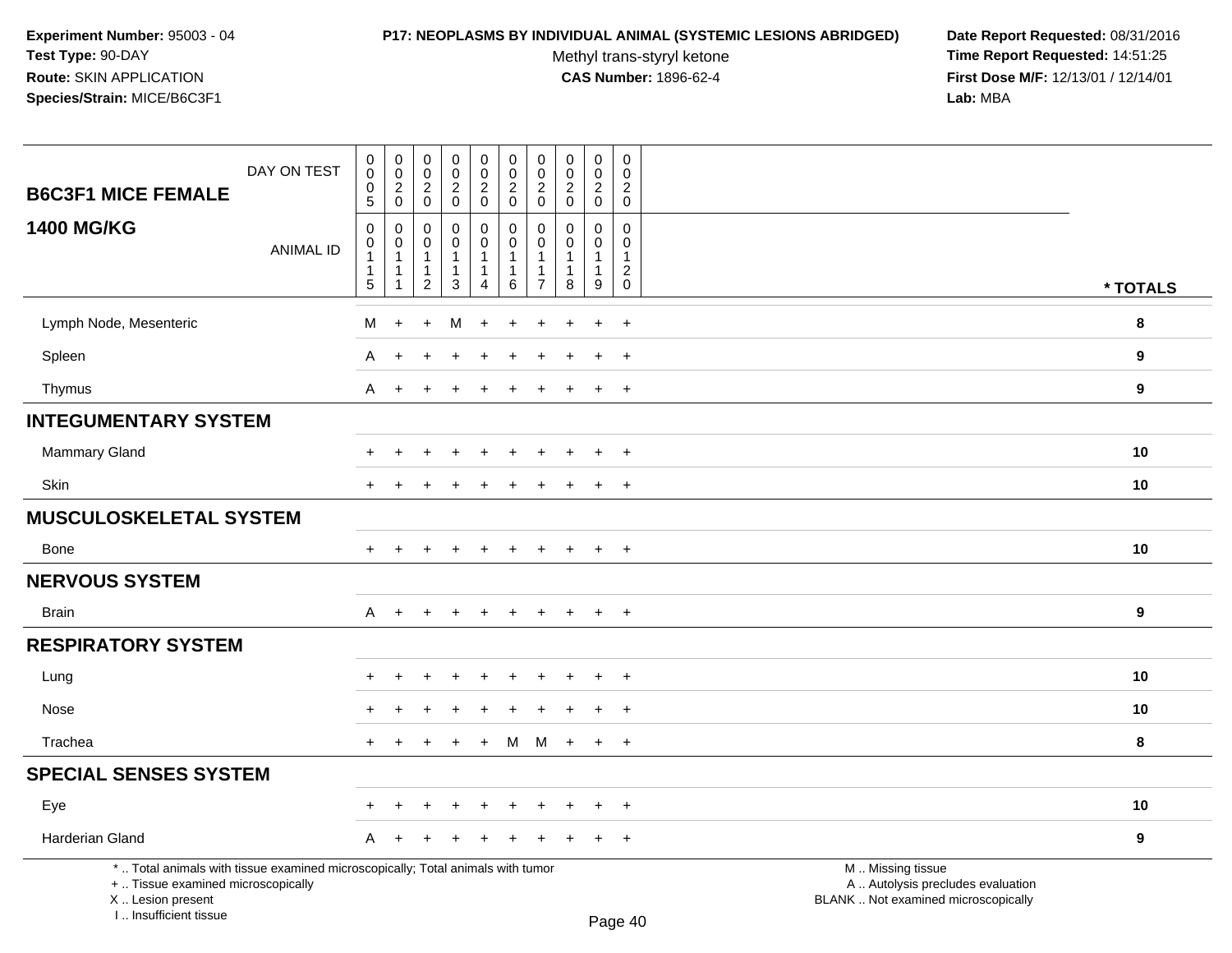#### **P17: NEOPLASMS BY INDIVIDUAL ANIMAL (SYSTEMIC LESIONS ABRIDGED) Date Report Requested:** 08/31/2016

Methyl trans-styryl ketone<br>CAS Number: 1896-62-4

| DAY ON TEST<br><b>B6C3F1 MICE FEMALE</b>                                                                                                                            | $\mathbf 0$<br>$\mathsf{O}\xspace$<br>0                             | $\pmb{0}$<br>0<br>$\overline{2}$     | $\mathbf 0$<br>$\mathbf 0$<br>$\overline{2}$                                      | $\mathbf 0$<br>$\mathsf 0$<br>$\overline{2}$     | $\pmb{0}$<br>$\pmb{0}$<br>$\overline{a}$                              | $\pmb{0}$<br>$\pmb{0}$<br>$\overline{c}$<br>$\mathbf 0$ | $\mathbf 0$<br>0<br>$\overline{2}$                                             | $\mathbf 0$<br>$\overline{0}$<br>$\overline{c}$                             | $\pmb{0}$<br>$\mathbf 0$<br>$\sqrt{2}$                                             | $\mathbf 0$<br>$\Omega$<br>$\overline{c}$                                     |                                                                                               |                  |
|---------------------------------------------------------------------------------------------------------------------------------------------------------------------|---------------------------------------------------------------------|--------------------------------------|-----------------------------------------------------------------------------------|--------------------------------------------------|-----------------------------------------------------------------------|---------------------------------------------------------|--------------------------------------------------------------------------------|-----------------------------------------------------------------------------|------------------------------------------------------------------------------------|-------------------------------------------------------------------------------|-----------------------------------------------------------------------------------------------|------------------|
| <b>1400 MG/KG</b><br><b>ANIMAL ID</b>                                                                                                                               | 5<br>$\mathbf 0$<br>0<br>$\mathbf{1}$<br>$\mathbf{1}$<br>$\sqrt{5}$ | $\mathbf 0$<br>$\mathbf 0$<br>0<br>1 | $\mathbf 0$<br>$\mathbf 0$<br>$\mathbf 0$<br>-1<br>$\mathbf{1}$<br>$\overline{2}$ | 0<br>0<br>0<br>$\mathbf{1}$<br>1<br>$\mathbf{3}$ | $\mathbf 0$<br>$\mathbf 0$<br>$\mathbf 0$<br>1<br>$\overline{1}$<br>4 | $\mathbf 0$<br>$\mathbf 0$<br>1<br>1<br>$\,6\,$         | $\mathbf 0$<br>$\Omega$<br>0<br>$\mathbf{1}$<br>$\mathbf{1}$<br>$\overline{7}$ | $\mathbf 0$<br>$\mathbf 0$<br>$\Omega$<br>$\mathbf{1}$<br>$\mathbf{1}$<br>8 | $\mathbf 0$<br>$\mathbf 0$<br>$\mathbf 0$<br>$\overline{1}$<br>$\overline{1}$<br>9 | $\mathbf 0$<br>$\Omega$<br>0<br>$\mathbf{1}$<br>$\overline{c}$<br>$\mathbf 0$ |                                                                                               | * TOTALS         |
| Lymph Node, Mesenteric                                                                                                                                              | М                                                                   | $+$                                  | $\ddot{}$                                                                         | M                                                | $\ddot{}$                                                             |                                                         |                                                                                |                                                                             | $\ddot{}$                                                                          | $+$                                                                           |                                                                                               | 8                |
| Spleen                                                                                                                                                              | Α                                                                   | $\ddot{}$                            |                                                                                   |                                                  |                                                                       |                                                         |                                                                                |                                                                             |                                                                                    | $\ddot{}$                                                                     |                                                                                               | 9                |
| Thymus                                                                                                                                                              | A                                                                   | $+$                                  |                                                                                   | $\ddot{}$                                        |                                                                       |                                                         |                                                                                |                                                                             | $\pm$                                                                              | $+$                                                                           |                                                                                               | 9                |
| <b>INTEGUMENTARY SYSTEM</b>                                                                                                                                         |                                                                     |                                      |                                                                                   |                                                  |                                                                       |                                                         |                                                                                |                                                                             |                                                                                    |                                                                               |                                                                                               |                  |
| <b>Mammary Gland</b>                                                                                                                                                | $\div$                                                              | $\pm$                                |                                                                                   | $\ddot{}$                                        |                                                                       |                                                         |                                                                                |                                                                             | $+$                                                                                | $+$                                                                           |                                                                                               | 10               |
| Skin                                                                                                                                                                | $\ddot{}$                                                           | $+$                                  | $\ddot{}$                                                                         | $\pm$                                            | $\ddot{}$                                                             | $\ddot{}$                                               | $\ddot{}$                                                                      | $\overline{+}$                                                              | $+$                                                                                | $+$                                                                           |                                                                                               | 10               |
| <b>MUSCULOSKELETAL SYSTEM</b>                                                                                                                                       |                                                                     |                                      |                                                                                   |                                                  |                                                                       |                                                         |                                                                                |                                                                             |                                                                                    |                                                                               |                                                                                               |                  |
| <b>Bone</b>                                                                                                                                                         | $+$                                                                 | $\ddot{}$                            | ÷                                                                                 | $\ddot{}$                                        | $\ddot{}$                                                             | $\ddot{}$                                               | $\ddot{}$                                                                      | $\overline{+}$                                                              | $+$                                                                                | $+$                                                                           |                                                                                               | 10               |
| <b>NERVOUS SYSTEM</b>                                                                                                                                               |                                                                     |                                      |                                                                                   |                                                  |                                                                       |                                                         |                                                                                |                                                                             |                                                                                    |                                                                               |                                                                                               |                  |
| <b>Brain</b>                                                                                                                                                        | A                                                                   | $+$                                  |                                                                                   |                                                  |                                                                       |                                                         |                                                                                |                                                                             | $\ddot{}$                                                                          | $+$                                                                           |                                                                                               | $\boldsymbol{9}$ |
| <b>RESPIRATORY SYSTEM</b>                                                                                                                                           |                                                                     |                                      |                                                                                   |                                                  |                                                                       |                                                         |                                                                                |                                                                             |                                                                                    |                                                                               |                                                                                               |                  |
| Lung                                                                                                                                                                |                                                                     |                                      |                                                                                   |                                                  |                                                                       |                                                         |                                                                                |                                                                             | $\div$                                                                             | $+$                                                                           |                                                                                               | 10               |
| Nose                                                                                                                                                                |                                                                     |                                      |                                                                                   |                                                  |                                                                       |                                                         |                                                                                |                                                                             | ÷                                                                                  | $+$                                                                           |                                                                                               | 10               |
| Trachea                                                                                                                                                             | $+$                                                                 | $+$                                  | $\ddot{}$                                                                         | $+$                                              | $+$                                                                   |                                                         | $M$ $M$ +                                                                      |                                                                             | $+$                                                                                | $+$                                                                           |                                                                                               | 8                |
| <b>SPECIAL SENSES SYSTEM</b>                                                                                                                                        |                                                                     |                                      |                                                                                   |                                                  |                                                                       |                                                         |                                                                                |                                                                             |                                                                                    |                                                                               |                                                                                               |                  |
| Eye                                                                                                                                                                 | +                                                                   | $\ddot{}$                            |                                                                                   |                                                  |                                                                       |                                                         |                                                                                |                                                                             | $\ddot{}$                                                                          | $+$                                                                           |                                                                                               | 10               |
| Harderian Gland                                                                                                                                                     | A                                                                   | $\ddot{}$                            |                                                                                   |                                                  |                                                                       |                                                         |                                                                                |                                                                             | $\pm$                                                                              | $+$                                                                           |                                                                                               | $\boldsymbol{9}$ |
| *  Total animals with tissue examined microscopically; Total animals with tumor<br>+  Tissue examined microscopically<br>X  Lesion present<br>I Insufficient tissue |                                                                     |                                      |                                                                                   |                                                  |                                                                       |                                                         |                                                                                |                                                                             |                                                                                    | $D_{200}$ $AD$                                                                | M  Missing tissue<br>A  Autolysis precludes evaluation<br>BLANK  Not examined microscopically |                  |